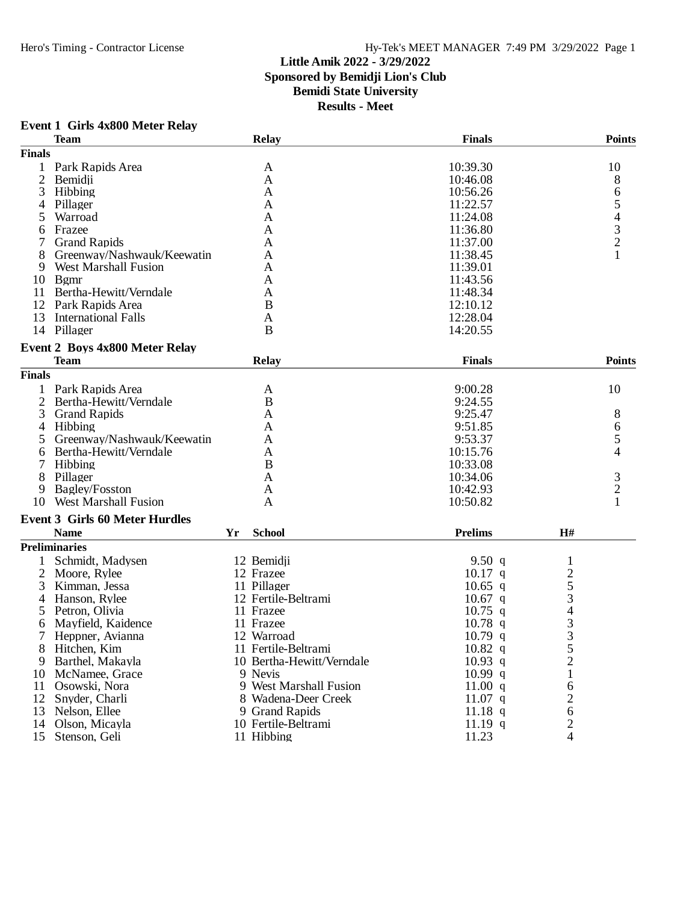## Hero's Timing - Contractor License Hy-Tek's MEET MANAGER 7:49 PM 3/29/2022 Page 1

## **Little Amik 2022 - 3/29/2022**

**Sponsored by Bemidji Lion's Club**

## **Bemidi State University**

| <b>Event 1 Girls 4x800 Meter Relay</b> |  |  |  |  |
|----------------------------------------|--|--|--|--|
|----------------------------------------|--|--|--|--|

|                | <b>Team</b>                           |    | <b>Relay</b>              | <b>Finals</b>    |                | <b>Points</b>            |
|----------------|---------------------------------------|----|---------------------------|------------------|----------------|--------------------------|
| <b>Finals</b>  |                                       |    |                           |                  |                |                          |
|                | Park Rapids Area                      |    | A                         | 10:39.30         |                | 10                       |
| $\mathfrak{2}$ | Bemidji                               |    | A                         | 10:46.08         |                | 8                        |
| 3              | Hibbing                               |    | A                         | 10:56.26         |                | 6                        |
| 4              | Pillager                              |    | A                         | 11:22.57         |                | 5                        |
|                | Warroad                               |    | A                         | 11:24.08         |                | $\overline{\mathcal{A}}$ |
| 6              | Frazee                                |    | A                         | 11:36.80         |                |                          |
|                | <b>Grand Rapids</b>                   |    | A                         | 11:37.00         |                | $\frac{3}{2}$            |
|                | Greenway/Nashwauk/Keewatin            |    | A                         | 11:38.45         |                |                          |
| 9              | <b>West Marshall Fusion</b>           |    | A                         | 11:39.01         |                |                          |
| 10             | <b>B</b> gmr                          |    | A                         | 11:43.56         |                |                          |
| 11             | Bertha-Hewitt/Verndale                |    | A                         | 11:48.34         |                |                          |
| 12             | Park Rapids Area                      |    | B                         | 12:10.12         |                |                          |
| 13             | <b>International Falls</b>            |    | A                         | 12:28.04         |                |                          |
|                | 14 Pillager                           |    | B                         | 14:20.55         |                |                          |
|                | Event 2 Boys 4x800 Meter Relay        |    |                           |                  |                |                          |
|                | <b>Team</b>                           |    | <b>Relay</b>              | <b>Finals</b>    |                | <b>Points</b>            |
| <b>Finals</b>  |                                       |    |                           |                  |                |                          |
|                | Park Rapids Area                      |    | A                         | 9:00.28          |                | 10                       |
| 2              | Bertha-Hewitt/Verndale                |    | B                         | 9:24.55          |                |                          |
| 3              | <b>Grand Rapids</b>                   |    | A                         | 9:25.47          |                | 8                        |
| $\overline{4}$ | Hibbing                               |    | A                         | 9:51.85          |                | 6                        |
| 5              | Greenway/Nashwauk/Keewatin            |    | A                         | 9:53.37          |                | 5                        |
| 6              | Bertha-Hewitt/Verndale                |    | A                         | 10:15.76         |                | 4                        |
|                | Hibbing                               |    | B                         | 10:33.08         |                |                          |
| 8              | Pillager                              |    | A                         | 10:34.06         |                | $\mathfrak{Z}$           |
| 9              | Bagley/Fosston                        |    | A                         | 10:42.93         |                | $\overline{c}$           |
| 10             | <b>West Marshall Fusion</b>           |    | A                         | 10:50.82         |                | $\mathbf{1}$             |
|                |                                       |    |                           |                  |                |                          |
|                | <b>Event 3 Girls 60 Meter Hurdles</b> |    |                           |                  |                |                          |
|                | <b>Name</b>                           | Yr | <b>School</b>             | <b>Prelims</b>   | H#             |                          |
|                | <b>Preliminaries</b>                  |    |                           |                  |                |                          |
|                | Schmidt, Madysen                      |    | 12 Bemidji                | 9.50 $q$         | 1              |                          |
| $\overline{2}$ | Moore, Rylee                          |    | 12 Frazee                 | $10.17$ q        | $rac{2}{5}$    |                          |
| 3              | Kimman, Jessa                         |    | 11 Pillager               | $10.65$ q        |                |                          |
| 4              | Hanson, Rylee                         |    | 12 Fertile-Beltrami       | $10.67$ q        | 3              |                          |
| 5              | Petron, Olivia                        |    | 11 Frazee                 | $10.75$ q        | 4              |                          |
| 6              | Mayfield, Kaidence                    |    | 11 Frazee                 | $10.78$ q        | $\frac{3}{3}$  |                          |
| 7              | Heppner, Avianna                      |    | 12 Warroad                | $10.79$ q        |                |                          |
| 8              | Hitchen, Kim                          |    | 11 Fertile-Beltrami       | $10.82\text{ q}$ | C              |                          |
| 9              | Barthel, Makayla                      |    | 10 Bertha-Hewitt/Verndale | $10.93$ q        | $\overline{c}$ |                          |
| 10             | McNamee, Grace                        |    | 9 Nevis                   | $10.99$ q        | $\mathbf{1}$   |                          |
| 11             | Osowski, Nora                         |    | 9 West Marshall Fusion    | 11.00 q          | 6              |                          |
| 12             | Snyder, Charli                        |    | 8 Wadena-Deer Creek       | 11.07 $q$        | $\overline{c}$ |                          |
| 13             | Nelson, Ellee                         |    | 9 Grand Rapids            | $11.18$ q        | 6              |                          |
| 14             | Olson, Micayla                        |    | 10 Fertile-Beltrami       | $11.19$ q        | $\overline{c}$ |                          |
| 15             | Stenson, Geli                         |    | 11 Hibbing                | 11.23            | $\overline{4}$ |                          |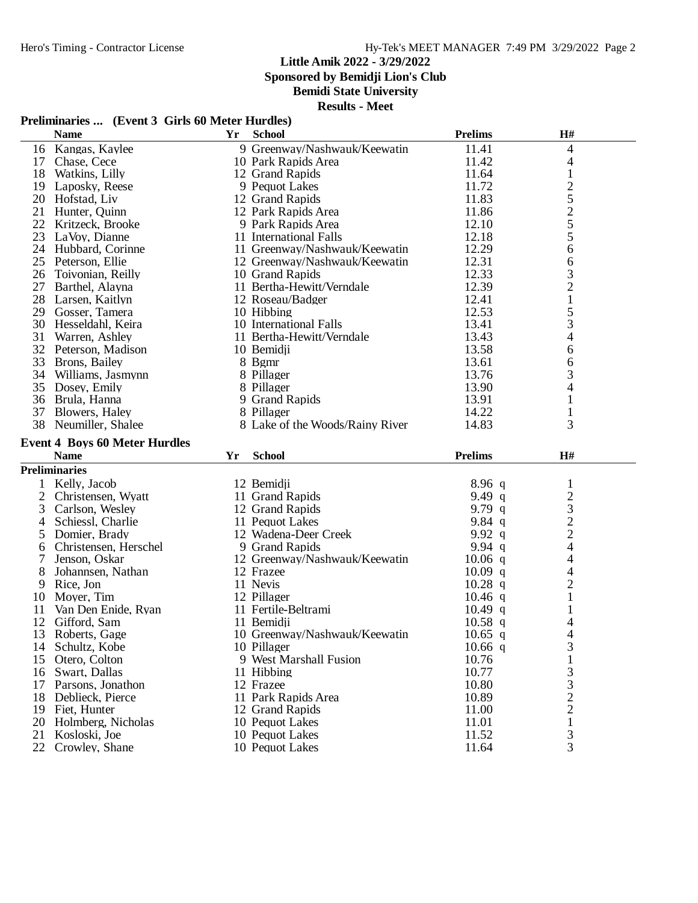**Sponsored by Bemidji Lion's Club**

#### **Bemidi State University**

**Results - Meet**

#### **Preliminaries ... (Event 3 Girls 60 Meter Hurdles)**

|                | <b>Name</b>                          | Yr | <b>School</b>                          | <b>Prelims</b> | H#                               |  |
|----------------|--------------------------------------|----|----------------------------------------|----------------|----------------------------------|--|
|                | 16 Kangas, Kaylee                    |    | 9 Greenway/Nashwauk/Keewatin           | 11.41          | 4                                |  |
|                | 17 Chase, Cece                       |    | 10 Park Rapids Area                    | 11.42          | 4                                |  |
| 18             | Watkins, Lilly                       |    | 12 Grand Rapids                        | 11.64          | $\mathbf{1}$                     |  |
| 19             | Laposky, Reese                       |    | 9 Pequot Lakes                         | 11.72          |                                  |  |
|                | 20 Hofstad, Liv                      |    | 12 Grand Rapids                        | 11.83          | $rac{2}{5}$                      |  |
| 21             | Hunter, Quinn                        |    | 12 Park Rapids Area                    | 11.86          |                                  |  |
|                | 22 Kritzeck, Brooke                  |    | 9 Park Rapids Area                     | 12.10          | $rac{2}{5}$                      |  |
| 23             | LaVoy, Dianne                        |    | 11 International Falls                 | 12.18          | 5                                |  |
|                | 24 Hubbard, Corinne                  |    | 11 Greenway/Nashwauk/Keewatin          | 12.29          | 6                                |  |
| 25             | Peterson, Ellie                      |    | 12 Greenway/Nashwauk/Keewatin          | 12.31          | 6                                |  |
|                | 26 Toivonian, Reilly                 |    | 10 Grand Rapids                        | 12.33          | 3                                |  |
| 27             | Barthel, Alayna                      |    | 11 Bertha-Hewitt/Verndale              | 12.39          | $\overline{2}$                   |  |
|                | 28 Larsen, Kaitlyn                   |    | 12 Roseau/Badger                       | 12.41          | $\mathbf{1}$                     |  |
|                | 29 Gosser, Tamera                    |    | 10 Hibbing                             | 12.53          | 5                                |  |
|                | 30 Hesseldahl, Keira                 |    | 10 International Falls                 | 13.41          | 3                                |  |
| 31             | Warren, Ashley                       |    | 11 Bertha-Hewitt/Verndale              | 13.43          | 4                                |  |
|                | 32 Peterson, Madison                 |    | 10 Bemidji                             | 13.58          | 6                                |  |
| 33             | Brons, Bailey                        |    | 8 Bgmr                                 | 13.61          | 6                                |  |
|                | 34 Williams, Jasmynn                 |    | 8 Pillager                             | 13.76          | 3                                |  |
| 35             | Dosey, Emily                         |    | 8 Pillager                             | 13.90          | 4                                |  |
|                | 36 Brula, Hanna                      |    | 9 Grand Rapids                         | 13.91          | $\mathbf{1}$                     |  |
|                | 37 Blowers, Haley                    |    | 8 Pillager                             | 14.22          | 1                                |  |
|                | 38 Neumiller, Shalee                 |    | 8 Lake of the Woods/Rainy River        | 14.83          | 3                                |  |
|                |                                      |    |                                        |                |                                  |  |
|                | <b>Event 4 Boys 60 Meter Hurdles</b> |    |                                        |                |                                  |  |
|                | <b>Name</b>                          | Yr | <b>School</b>                          | <b>Prelims</b> | H#                               |  |
|                | <b>Preliminaries</b>                 |    |                                        |                |                                  |  |
| 1              | Kelly, Jacob                         |    | 12 Bemidji                             | $8.96$ q       | 1                                |  |
| $\overline{2}$ | Christensen, Wyatt                   |    | 11 Grand Rapids                        | 9.49 $q$       | $\sqrt{2}$                       |  |
| 3              | Carlson, Wesley                      |    | 12 Grand Rapids                        | 9.79 $q$       | 3                                |  |
| 4              | Schiessl, Charlie                    |    | 11 Pequot Lakes                        | 9.84 $q$       | $\overline{c}$                   |  |
| 5              | Domier, Brady                        |    | 12 Wadena-Deer Creek                   | 9.92 $q$       | $\overline{c}$                   |  |
| 6              | Christensen, Herschel                |    | 9 Grand Rapids                         | 9.94 $q$       | $\overline{4}$                   |  |
| 7              | Jenson, Oskar                        |    | 12 Greenway/Nashwauk/Keewatin          | $10.06$ q      | 4                                |  |
| 8              | Johannsen, Nathan                    |    | 12 Frazee                              | $10.09$ q      | 4                                |  |
| 9              | Rice, Jon                            |    | 11 Nevis                               | $10.28$ q      | $\overline{2}$                   |  |
| 10             |                                      |    |                                        |                |                                  |  |
| 11             | Moyer, Tim                           |    | 12 Pillager                            | $10.46$ q      | $\mathbf{1}$                     |  |
|                | Van Den Enide, Ryan                  |    | 11 Fertile-Beltrami                    | $10.49$ q      | 1                                |  |
| 12             | Gifford, Sam                         |    | 11 Bemidii                             | $10.58$ q      | 4                                |  |
| 13             | Roberts, Gage                        |    | 10 Greenway/Nashwauk/Keewatin          | $10.65$ q      | 4                                |  |
| 14             | Schultz, Kobe                        |    | 10 Pillager                            | $10.66$ q      | 3                                |  |
|                | 15 Otero, Colton                     |    | 9 West Marshall Fusion                 | 10.76          | $\mathbf{1}$                     |  |
|                | 16 Swart, Dallas                     |    | 11 Hibbing                             | 10.77          | 3                                |  |
| 17             | Parsons, Jonathon                    |    | 12 Frazee                              | 10.80          | 3                                |  |
| 18             | Deblieck, Pierce<br>19 Fiet, Hunter  |    | 11 Park Rapids Area<br>12 Grand Rapids | 10.89<br>11.00 | $\overline{c}$<br>$\overline{2}$ |  |

20 Holmberg, Nicholas 10 Pequot Lakes 11.01 1 Kosloski, Joe 10 Pequot Lakes 11.52 3 22 Crowley, Shane 10 Pequot Lakes 11.64 3

12 Grand Rapids 11.00 2<br>
10 Pequot Lakes 11.01 1<br>
10 Pequot Lakes 11.52 3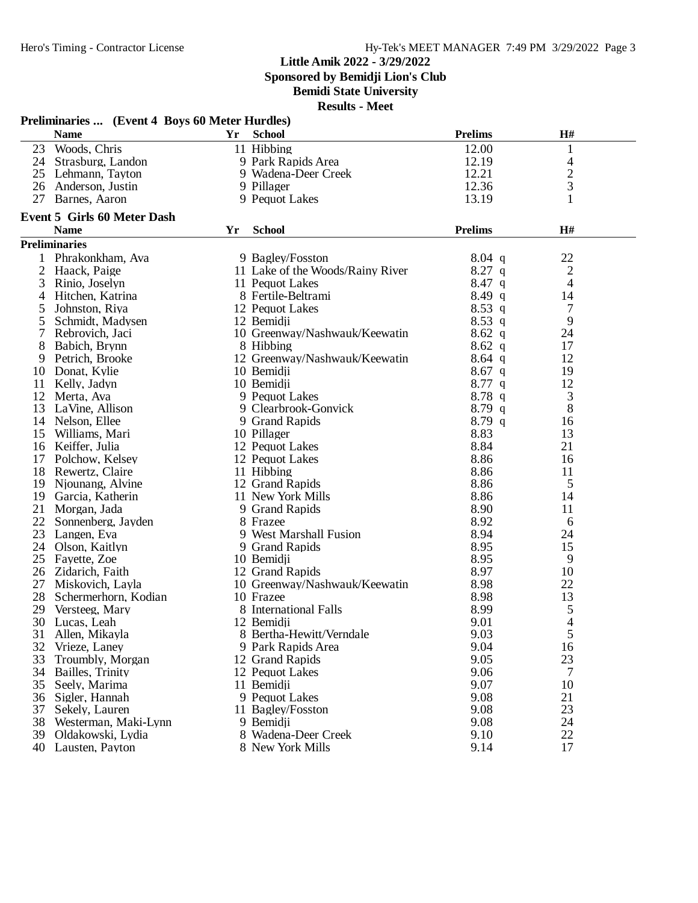**Sponsored by Bemidji Lion's Club**

**Bemidi State University**

| <b>Name</b><br><b>Prelims</b><br>H#<br>Yr<br><b>School</b><br>Woods, Chris<br>11 Hibbing<br>12.00<br>23<br>1<br>12.19<br>24 Strasburg, Landon<br>4<br>9 Park Rapids Area<br>$\overline{c}$<br>12.21<br>25 Lehmann, Tayton<br>9 Wadena-Deer Creek<br>3<br>12.36<br>26 Anderson, Justin<br>9 Pillager<br>13.19<br>27<br>Barnes, Aaron<br>9 Pequot Lakes<br>1<br><b>Event 5 Girls 60 Meter Dash</b><br>H#<br><b>Name</b><br><b>School</b><br><b>Prelims</b><br>Yr<br><b>Preliminaries</b><br>Phrakonkham, Ava<br>$8.04$ q<br>22<br>9 Bagley/Fosston<br>$8.27$ q<br>$\overline{2}$<br>11 Lake of the Woods/Rainy River<br>$\overline{c}$<br>Haack, Paige<br>$8.47$ q<br>4<br>3<br>Rinio, Joselyn<br>11 Pequot Lakes<br>8.49q<br>Hitchen, Katrina<br>8 Fertile-Beltrami<br>14<br>4<br>$8.53$ q<br>7<br>Johnston, Riya<br>12 Pequot Lakes<br>5<br>9<br>5<br>Schmidt, Madysen<br>12 Bemidji<br>$8.53$ q<br>7<br>10 Greenway/Nashwauk/Keewatin<br>$8.62\ q$<br>24<br>Rebrovich, Jaci<br>8<br>$8.62\ q$<br>17<br>Babich, Brynn<br>8 Hibbing<br>12 Greenway/Nashwauk/Keewatin<br>$8.64$ q<br>12<br>9<br>Petrich, Brooke<br>10 Bemidji<br>$8.67$ q<br>19<br>Donat, Kylie<br>10<br>10 Bemidji<br>$8.77$ q<br>12<br>Kelly, Jadyn<br>11<br>3<br>9 Pequot Lakes<br>8.78q<br>12<br>Merta, Ava<br>$8.79$ q<br>8<br>9 Clearbrook-Gonvick<br>13<br>LaVine, Allison<br>8.79q<br>14 Nelson, Ellee<br>9 Grand Rapids<br>16<br>8.83<br>10 Pillager<br>13<br>15 Williams, Mari<br>8.84<br>16 Keiffer, Julia<br>12 Pequot Lakes<br>21<br>8.86<br>Polchow, Kelsey<br>12 Pequot Lakes<br>16<br>17<br>8.86<br>18 Rewertz, Claire<br>11 Hibbing<br>11<br>8.86<br>12 Grand Rapids<br>5<br>19<br>Njounang, Alvine<br>8.86<br>19 Garcia, Katherin<br>11 New York Mills<br>14<br>8.90<br>21<br>Morgan, Jada<br>9 Grand Rapids<br>11<br>8.92<br>22 Sonnenberg, Jayden<br>8 Frazee<br>6<br>8.94<br>9 West Marshall Fusion<br>23<br>Langen, Eva<br>24<br>8.95<br>15<br>24 Olson, Kaitlyn<br>9 Grand Rapids<br>8.95<br>25<br>10 Bemidji<br>9<br>Fayette, Zoe<br>8.97<br>26 Zidarich, Faith<br>10<br>12 Grand Rapids<br>8.98<br>10 Greenway/Nashwauk/Keewatin<br>22<br>27 Miskovich, Layla<br>8.98<br>13<br>28<br>10 Frazee<br>Schermerhorn, Kodian<br>8 International Falls<br>5<br>8.99<br>Versteeg, Mary<br>29<br>4<br>9.01<br>30 Lucas, Leah<br>12 Bemidji<br>5<br>Allen, Mikayla<br>8 Bertha-Hewitt/Verndale<br>9.03<br>31<br>32<br>9.04<br>16<br>Vrieze, Laney<br>9 Park Rapids Area<br>23<br>33<br>9.05<br>Troumbly, Morgan<br>12 Grand Rapids<br>9.06<br>34<br>Bailles, Trinity<br>12 Pequot Lakes<br>7<br>9.07<br>10<br>35<br>Seely, Marima<br>11 Bemidji<br>9.08<br>21<br>36<br>Sigler, Hannah<br>9 Pequot Lakes<br>9.08<br>37<br>11 Bagley/Fosston<br>23<br>Sekely, Lauren<br>38<br>9.08<br>24<br>Westerman, Maki-Lynn<br>9 Bemidji<br>9.10<br>22<br>39<br>Oldakowski, Lydia<br>8 Wadena-Deer Creek | Preliminaries  (Event 4 Boys 60 Meter Hurdles) |                 |  |                  |      |    |  |  |
|--------------------------------------------------------------------------------------------------------------------------------------------------------------------------------------------------------------------------------------------------------------------------------------------------------------------------------------------------------------------------------------------------------------------------------------------------------------------------------------------------------------------------------------------------------------------------------------------------------------------------------------------------------------------------------------------------------------------------------------------------------------------------------------------------------------------------------------------------------------------------------------------------------------------------------------------------------------------------------------------------------------------------------------------------------------------------------------------------------------------------------------------------------------------------------------------------------------------------------------------------------------------------------------------------------------------------------------------------------------------------------------------------------------------------------------------------------------------------------------------------------------------------------------------------------------------------------------------------------------------------------------------------------------------------------------------------------------------------------------------------------------------------------------------------------------------------------------------------------------------------------------------------------------------------------------------------------------------------------------------------------------------------------------------------------------------------------------------------------------------------------------------------------------------------------------------------------------------------------------------------------------------------------------------------------------------------------------------------------------------------------------------------------------------------------------------------------------------------------------------------------------------------------------------------------------------------------------------------------------------------------------------------------------------------------------------------------------------------------------------------------------------------------------------------------------------------------------------------------------------------|------------------------------------------------|-----------------|--|------------------|------|----|--|--|
|                                                                                                                                                                                                                                                                                                                                                                                                                                                                                                                                                                                                                                                                                                                                                                                                                                                                                                                                                                                                                                                                                                                                                                                                                                                                                                                                                                                                                                                                                                                                                                                                                                                                                                                                                                                                                                                                                                                                                                                                                                                                                                                                                                                                                                                                                                                                                                                                                                                                                                                                                                                                                                                                                                                                                                                                                                                                          |                                                |                 |  |                  |      |    |  |  |
|                                                                                                                                                                                                                                                                                                                                                                                                                                                                                                                                                                                                                                                                                                                                                                                                                                                                                                                                                                                                                                                                                                                                                                                                                                                                                                                                                                                                                                                                                                                                                                                                                                                                                                                                                                                                                                                                                                                                                                                                                                                                                                                                                                                                                                                                                                                                                                                                                                                                                                                                                                                                                                                                                                                                                                                                                                                                          |                                                |                 |  |                  |      |    |  |  |
|                                                                                                                                                                                                                                                                                                                                                                                                                                                                                                                                                                                                                                                                                                                                                                                                                                                                                                                                                                                                                                                                                                                                                                                                                                                                                                                                                                                                                                                                                                                                                                                                                                                                                                                                                                                                                                                                                                                                                                                                                                                                                                                                                                                                                                                                                                                                                                                                                                                                                                                                                                                                                                                                                                                                                                                                                                                                          |                                                |                 |  |                  |      |    |  |  |
|                                                                                                                                                                                                                                                                                                                                                                                                                                                                                                                                                                                                                                                                                                                                                                                                                                                                                                                                                                                                                                                                                                                                                                                                                                                                                                                                                                                                                                                                                                                                                                                                                                                                                                                                                                                                                                                                                                                                                                                                                                                                                                                                                                                                                                                                                                                                                                                                                                                                                                                                                                                                                                                                                                                                                                                                                                                                          |                                                |                 |  |                  |      |    |  |  |
|                                                                                                                                                                                                                                                                                                                                                                                                                                                                                                                                                                                                                                                                                                                                                                                                                                                                                                                                                                                                                                                                                                                                                                                                                                                                                                                                                                                                                                                                                                                                                                                                                                                                                                                                                                                                                                                                                                                                                                                                                                                                                                                                                                                                                                                                                                                                                                                                                                                                                                                                                                                                                                                                                                                                                                                                                                                                          |                                                |                 |  |                  |      |    |  |  |
|                                                                                                                                                                                                                                                                                                                                                                                                                                                                                                                                                                                                                                                                                                                                                                                                                                                                                                                                                                                                                                                                                                                                                                                                                                                                                                                                                                                                                                                                                                                                                                                                                                                                                                                                                                                                                                                                                                                                                                                                                                                                                                                                                                                                                                                                                                                                                                                                                                                                                                                                                                                                                                                                                                                                                                                                                                                                          |                                                |                 |  |                  |      |    |  |  |
|                                                                                                                                                                                                                                                                                                                                                                                                                                                                                                                                                                                                                                                                                                                                                                                                                                                                                                                                                                                                                                                                                                                                                                                                                                                                                                                                                                                                                                                                                                                                                                                                                                                                                                                                                                                                                                                                                                                                                                                                                                                                                                                                                                                                                                                                                                                                                                                                                                                                                                                                                                                                                                                                                                                                                                                                                                                                          |                                                |                 |  |                  |      |    |  |  |
|                                                                                                                                                                                                                                                                                                                                                                                                                                                                                                                                                                                                                                                                                                                                                                                                                                                                                                                                                                                                                                                                                                                                                                                                                                                                                                                                                                                                                                                                                                                                                                                                                                                                                                                                                                                                                                                                                                                                                                                                                                                                                                                                                                                                                                                                                                                                                                                                                                                                                                                                                                                                                                                                                                                                                                                                                                                                          |                                                |                 |  |                  |      |    |  |  |
|                                                                                                                                                                                                                                                                                                                                                                                                                                                                                                                                                                                                                                                                                                                                                                                                                                                                                                                                                                                                                                                                                                                                                                                                                                                                                                                                                                                                                                                                                                                                                                                                                                                                                                                                                                                                                                                                                                                                                                                                                                                                                                                                                                                                                                                                                                                                                                                                                                                                                                                                                                                                                                                                                                                                                                                                                                                                          |                                                |                 |  |                  |      |    |  |  |
|                                                                                                                                                                                                                                                                                                                                                                                                                                                                                                                                                                                                                                                                                                                                                                                                                                                                                                                                                                                                                                                                                                                                                                                                                                                                                                                                                                                                                                                                                                                                                                                                                                                                                                                                                                                                                                                                                                                                                                                                                                                                                                                                                                                                                                                                                                                                                                                                                                                                                                                                                                                                                                                                                                                                                                                                                                                                          |                                                |                 |  |                  |      |    |  |  |
|                                                                                                                                                                                                                                                                                                                                                                                                                                                                                                                                                                                                                                                                                                                                                                                                                                                                                                                                                                                                                                                                                                                                                                                                                                                                                                                                                                                                                                                                                                                                                                                                                                                                                                                                                                                                                                                                                                                                                                                                                                                                                                                                                                                                                                                                                                                                                                                                                                                                                                                                                                                                                                                                                                                                                                                                                                                                          |                                                |                 |  |                  |      |    |  |  |
|                                                                                                                                                                                                                                                                                                                                                                                                                                                                                                                                                                                                                                                                                                                                                                                                                                                                                                                                                                                                                                                                                                                                                                                                                                                                                                                                                                                                                                                                                                                                                                                                                                                                                                                                                                                                                                                                                                                                                                                                                                                                                                                                                                                                                                                                                                                                                                                                                                                                                                                                                                                                                                                                                                                                                                                                                                                                          |                                                |                 |  |                  |      |    |  |  |
|                                                                                                                                                                                                                                                                                                                                                                                                                                                                                                                                                                                                                                                                                                                                                                                                                                                                                                                                                                                                                                                                                                                                                                                                                                                                                                                                                                                                                                                                                                                                                                                                                                                                                                                                                                                                                                                                                                                                                                                                                                                                                                                                                                                                                                                                                                                                                                                                                                                                                                                                                                                                                                                                                                                                                                                                                                                                          |                                                |                 |  |                  |      |    |  |  |
|                                                                                                                                                                                                                                                                                                                                                                                                                                                                                                                                                                                                                                                                                                                                                                                                                                                                                                                                                                                                                                                                                                                                                                                                                                                                                                                                                                                                                                                                                                                                                                                                                                                                                                                                                                                                                                                                                                                                                                                                                                                                                                                                                                                                                                                                                                                                                                                                                                                                                                                                                                                                                                                                                                                                                                                                                                                                          |                                                |                 |  |                  |      |    |  |  |
|                                                                                                                                                                                                                                                                                                                                                                                                                                                                                                                                                                                                                                                                                                                                                                                                                                                                                                                                                                                                                                                                                                                                                                                                                                                                                                                                                                                                                                                                                                                                                                                                                                                                                                                                                                                                                                                                                                                                                                                                                                                                                                                                                                                                                                                                                                                                                                                                                                                                                                                                                                                                                                                                                                                                                                                                                                                                          |                                                |                 |  |                  |      |    |  |  |
|                                                                                                                                                                                                                                                                                                                                                                                                                                                                                                                                                                                                                                                                                                                                                                                                                                                                                                                                                                                                                                                                                                                                                                                                                                                                                                                                                                                                                                                                                                                                                                                                                                                                                                                                                                                                                                                                                                                                                                                                                                                                                                                                                                                                                                                                                                                                                                                                                                                                                                                                                                                                                                                                                                                                                                                                                                                                          |                                                |                 |  |                  |      |    |  |  |
|                                                                                                                                                                                                                                                                                                                                                                                                                                                                                                                                                                                                                                                                                                                                                                                                                                                                                                                                                                                                                                                                                                                                                                                                                                                                                                                                                                                                                                                                                                                                                                                                                                                                                                                                                                                                                                                                                                                                                                                                                                                                                                                                                                                                                                                                                                                                                                                                                                                                                                                                                                                                                                                                                                                                                                                                                                                                          |                                                |                 |  |                  |      |    |  |  |
|                                                                                                                                                                                                                                                                                                                                                                                                                                                                                                                                                                                                                                                                                                                                                                                                                                                                                                                                                                                                                                                                                                                                                                                                                                                                                                                                                                                                                                                                                                                                                                                                                                                                                                                                                                                                                                                                                                                                                                                                                                                                                                                                                                                                                                                                                                                                                                                                                                                                                                                                                                                                                                                                                                                                                                                                                                                                          |                                                |                 |  |                  |      |    |  |  |
|                                                                                                                                                                                                                                                                                                                                                                                                                                                                                                                                                                                                                                                                                                                                                                                                                                                                                                                                                                                                                                                                                                                                                                                                                                                                                                                                                                                                                                                                                                                                                                                                                                                                                                                                                                                                                                                                                                                                                                                                                                                                                                                                                                                                                                                                                                                                                                                                                                                                                                                                                                                                                                                                                                                                                                                                                                                                          |                                                |                 |  |                  |      |    |  |  |
|                                                                                                                                                                                                                                                                                                                                                                                                                                                                                                                                                                                                                                                                                                                                                                                                                                                                                                                                                                                                                                                                                                                                                                                                                                                                                                                                                                                                                                                                                                                                                                                                                                                                                                                                                                                                                                                                                                                                                                                                                                                                                                                                                                                                                                                                                                                                                                                                                                                                                                                                                                                                                                                                                                                                                                                                                                                                          |                                                |                 |  |                  |      |    |  |  |
|                                                                                                                                                                                                                                                                                                                                                                                                                                                                                                                                                                                                                                                                                                                                                                                                                                                                                                                                                                                                                                                                                                                                                                                                                                                                                                                                                                                                                                                                                                                                                                                                                                                                                                                                                                                                                                                                                                                                                                                                                                                                                                                                                                                                                                                                                                                                                                                                                                                                                                                                                                                                                                                                                                                                                                                                                                                                          |                                                |                 |  |                  |      |    |  |  |
|                                                                                                                                                                                                                                                                                                                                                                                                                                                                                                                                                                                                                                                                                                                                                                                                                                                                                                                                                                                                                                                                                                                                                                                                                                                                                                                                                                                                                                                                                                                                                                                                                                                                                                                                                                                                                                                                                                                                                                                                                                                                                                                                                                                                                                                                                                                                                                                                                                                                                                                                                                                                                                                                                                                                                                                                                                                                          |                                                |                 |  |                  |      |    |  |  |
|                                                                                                                                                                                                                                                                                                                                                                                                                                                                                                                                                                                                                                                                                                                                                                                                                                                                                                                                                                                                                                                                                                                                                                                                                                                                                                                                                                                                                                                                                                                                                                                                                                                                                                                                                                                                                                                                                                                                                                                                                                                                                                                                                                                                                                                                                                                                                                                                                                                                                                                                                                                                                                                                                                                                                                                                                                                                          |                                                |                 |  |                  |      |    |  |  |
|                                                                                                                                                                                                                                                                                                                                                                                                                                                                                                                                                                                                                                                                                                                                                                                                                                                                                                                                                                                                                                                                                                                                                                                                                                                                                                                                                                                                                                                                                                                                                                                                                                                                                                                                                                                                                                                                                                                                                                                                                                                                                                                                                                                                                                                                                                                                                                                                                                                                                                                                                                                                                                                                                                                                                                                                                                                                          |                                                |                 |  |                  |      |    |  |  |
|                                                                                                                                                                                                                                                                                                                                                                                                                                                                                                                                                                                                                                                                                                                                                                                                                                                                                                                                                                                                                                                                                                                                                                                                                                                                                                                                                                                                                                                                                                                                                                                                                                                                                                                                                                                                                                                                                                                                                                                                                                                                                                                                                                                                                                                                                                                                                                                                                                                                                                                                                                                                                                                                                                                                                                                                                                                                          |                                                |                 |  |                  |      |    |  |  |
|                                                                                                                                                                                                                                                                                                                                                                                                                                                                                                                                                                                                                                                                                                                                                                                                                                                                                                                                                                                                                                                                                                                                                                                                                                                                                                                                                                                                                                                                                                                                                                                                                                                                                                                                                                                                                                                                                                                                                                                                                                                                                                                                                                                                                                                                                                                                                                                                                                                                                                                                                                                                                                                                                                                                                                                                                                                                          |                                                |                 |  |                  |      |    |  |  |
|                                                                                                                                                                                                                                                                                                                                                                                                                                                                                                                                                                                                                                                                                                                                                                                                                                                                                                                                                                                                                                                                                                                                                                                                                                                                                                                                                                                                                                                                                                                                                                                                                                                                                                                                                                                                                                                                                                                                                                                                                                                                                                                                                                                                                                                                                                                                                                                                                                                                                                                                                                                                                                                                                                                                                                                                                                                                          |                                                |                 |  |                  |      |    |  |  |
|                                                                                                                                                                                                                                                                                                                                                                                                                                                                                                                                                                                                                                                                                                                                                                                                                                                                                                                                                                                                                                                                                                                                                                                                                                                                                                                                                                                                                                                                                                                                                                                                                                                                                                                                                                                                                                                                                                                                                                                                                                                                                                                                                                                                                                                                                                                                                                                                                                                                                                                                                                                                                                                                                                                                                                                                                                                                          |                                                |                 |  |                  |      |    |  |  |
|                                                                                                                                                                                                                                                                                                                                                                                                                                                                                                                                                                                                                                                                                                                                                                                                                                                                                                                                                                                                                                                                                                                                                                                                                                                                                                                                                                                                                                                                                                                                                                                                                                                                                                                                                                                                                                                                                                                                                                                                                                                                                                                                                                                                                                                                                                                                                                                                                                                                                                                                                                                                                                                                                                                                                                                                                                                                          |                                                |                 |  |                  |      |    |  |  |
|                                                                                                                                                                                                                                                                                                                                                                                                                                                                                                                                                                                                                                                                                                                                                                                                                                                                                                                                                                                                                                                                                                                                                                                                                                                                                                                                                                                                                                                                                                                                                                                                                                                                                                                                                                                                                                                                                                                                                                                                                                                                                                                                                                                                                                                                                                                                                                                                                                                                                                                                                                                                                                                                                                                                                                                                                                                                          |                                                |                 |  |                  |      |    |  |  |
|                                                                                                                                                                                                                                                                                                                                                                                                                                                                                                                                                                                                                                                                                                                                                                                                                                                                                                                                                                                                                                                                                                                                                                                                                                                                                                                                                                                                                                                                                                                                                                                                                                                                                                                                                                                                                                                                                                                                                                                                                                                                                                                                                                                                                                                                                                                                                                                                                                                                                                                                                                                                                                                                                                                                                                                                                                                                          |                                                |                 |  |                  |      |    |  |  |
|                                                                                                                                                                                                                                                                                                                                                                                                                                                                                                                                                                                                                                                                                                                                                                                                                                                                                                                                                                                                                                                                                                                                                                                                                                                                                                                                                                                                                                                                                                                                                                                                                                                                                                                                                                                                                                                                                                                                                                                                                                                                                                                                                                                                                                                                                                                                                                                                                                                                                                                                                                                                                                                                                                                                                                                                                                                                          |                                                |                 |  |                  |      |    |  |  |
|                                                                                                                                                                                                                                                                                                                                                                                                                                                                                                                                                                                                                                                                                                                                                                                                                                                                                                                                                                                                                                                                                                                                                                                                                                                                                                                                                                                                                                                                                                                                                                                                                                                                                                                                                                                                                                                                                                                                                                                                                                                                                                                                                                                                                                                                                                                                                                                                                                                                                                                                                                                                                                                                                                                                                                                                                                                                          |                                                |                 |  |                  |      |    |  |  |
|                                                                                                                                                                                                                                                                                                                                                                                                                                                                                                                                                                                                                                                                                                                                                                                                                                                                                                                                                                                                                                                                                                                                                                                                                                                                                                                                                                                                                                                                                                                                                                                                                                                                                                                                                                                                                                                                                                                                                                                                                                                                                                                                                                                                                                                                                                                                                                                                                                                                                                                                                                                                                                                                                                                                                                                                                                                                          |                                                |                 |  |                  |      |    |  |  |
|                                                                                                                                                                                                                                                                                                                                                                                                                                                                                                                                                                                                                                                                                                                                                                                                                                                                                                                                                                                                                                                                                                                                                                                                                                                                                                                                                                                                                                                                                                                                                                                                                                                                                                                                                                                                                                                                                                                                                                                                                                                                                                                                                                                                                                                                                                                                                                                                                                                                                                                                                                                                                                                                                                                                                                                                                                                                          |                                                |                 |  |                  |      |    |  |  |
|                                                                                                                                                                                                                                                                                                                                                                                                                                                                                                                                                                                                                                                                                                                                                                                                                                                                                                                                                                                                                                                                                                                                                                                                                                                                                                                                                                                                                                                                                                                                                                                                                                                                                                                                                                                                                                                                                                                                                                                                                                                                                                                                                                                                                                                                                                                                                                                                                                                                                                                                                                                                                                                                                                                                                                                                                                                                          |                                                |                 |  |                  |      |    |  |  |
|                                                                                                                                                                                                                                                                                                                                                                                                                                                                                                                                                                                                                                                                                                                                                                                                                                                                                                                                                                                                                                                                                                                                                                                                                                                                                                                                                                                                                                                                                                                                                                                                                                                                                                                                                                                                                                                                                                                                                                                                                                                                                                                                                                                                                                                                                                                                                                                                                                                                                                                                                                                                                                                                                                                                                                                                                                                                          |                                                |                 |  |                  |      |    |  |  |
|                                                                                                                                                                                                                                                                                                                                                                                                                                                                                                                                                                                                                                                                                                                                                                                                                                                                                                                                                                                                                                                                                                                                                                                                                                                                                                                                                                                                                                                                                                                                                                                                                                                                                                                                                                                                                                                                                                                                                                                                                                                                                                                                                                                                                                                                                                                                                                                                                                                                                                                                                                                                                                                                                                                                                                                                                                                                          |                                                |                 |  |                  |      |    |  |  |
|                                                                                                                                                                                                                                                                                                                                                                                                                                                                                                                                                                                                                                                                                                                                                                                                                                                                                                                                                                                                                                                                                                                                                                                                                                                                                                                                                                                                                                                                                                                                                                                                                                                                                                                                                                                                                                                                                                                                                                                                                                                                                                                                                                                                                                                                                                                                                                                                                                                                                                                                                                                                                                                                                                                                                                                                                                                                          |                                                |                 |  |                  |      |    |  |  |
|                                                                                                                                                                                                                                                                                                                                                                                                                                                                                                                                                                                                                                                                                                                                                                                                                                                                                                                                                                                                                                                                                                                                                                                                                                                                                                                                                                                                                                                                                                                                                                                                                                                                                                                                                                                                                                                                                                                                                                                                                                                                                                                                                                                                                                                                                                                                                                                                                                                                                                                                                                                                                                                                                                                                                                                                                                                                          |                                                |                 |  |                  |      |    |  |  |
|                                                                                                                                                                                                                                                                                                                                                                                                                                                                                                                                                                                                                                                                                                                                                                                                                                                                                                                                                                                                                                                                                                                                                                                                                                                                                                                                                                                                                                                                                                                                                                                                                                                                                                                                                                                                                                                                                                                                                                                                                                                                                                                                                                                                                                                                                                                                                                                                                                                                                                                                                                                                                                                                                                                                                                                                                                                                          |                                                |                 |  |                  |      |    |  |  |
|                                                                                                                                                                                                                                                                                                                                                                                                                                                                                                                                                                                                                                                                                                                                                                                                                                                                                                                                                                                                                                                                                                                                                                                                                                                                                                                                                                                                                                                                                                                                                                                                                                                                                                                                                                                                                                                                                                                                                                                                                                                                                                                                                                                                                                                                                                                                                                                                                                                                                                                                                                                                                                                                                                                                                                                                                                                                          |                                                |                 |  |                  |      |    |  |  |
|                                                                                                                                                                                                                                                                                                                                                                                                                                                                                                                                                                                                                                                                                                                                                                                                                                                                                                                                                                                                                                                                                                                                                                                                                                                                                                                                                                                                                                                                                                                                                                                                                                                                                                                                                                                                                                                                                                                                                                                                                                                                                                                                                                                                                                                                                                                                                                                                                                                                                                                                                                                                                                                                                                                                                                                                                                                                          |                                                |                 |  |                  |      |    |  |  |
|                                                                                                                                                                                                                                                                                                                                                                                                                                                                                                                                                                                                                                                                                                                                                                                                                                                                                                                                                                                                                                                                                                                                                                                                                                                                                                                                                                                                                                                                                                                                                                                                                                                                                                                                                                                                                                                                                                                                                                                                                                                                                                                                                                                                                                                                                                                                                                                                                                                                                                                                                                                                                                                                                                                                                                                                                                                                          |                                                |                 |  |                  |      |    |  |  |
|                                                                                                                                                                                                                                                                                                                                                                                                                                                                                                                                                                                                                                                                                                                                                                                                                                                                                                                                                                                                                                                                                                                                                                                                                                                                                                                                                                                                                                                                                                                                                                                                                                                                                                                                                                                                                                                                                                                                                                                                                                                                                                                                                                                                                                                                                                                                                                                                                                                                                                                                                                                                                                                                                                                                                                                                                                                                          |                                                |                 |  |                  |      |    |  |  |
|                                                                                                                                                                                                                                                                                                                                                                                                                                                                                                                                                                                                                                                                                                                                                                                                                                                                                                                                                                                                                                                                                                                                                                                                                                                                                                                                                                                                                                                                                                                                                                                                                                                                                                                                                                                                                                                                                                                                                                                                                                                                                                                                                                                                                                                                                                                                                                                                                                                                                                                                                                                                                                                                                                                                                                                                                                                                          |                                                |                 |  |                  |      |    |  |  |
|                                                                                                                                                                                                                                                                                                                                                                                                                                                                                                                                                                                                                                                                                                                                                                                                                                                                                                                                                                                                                                                                                                                                                                                                                                                                                                                                                                                                                                                                                                                                                                                                                                                                                                                                                                                                                                                                                                                                                                                                                                                                                                                                                                                                                                                                                                                                                                                                                                                                                                                                                                                                                                                                                                                                                                                                                                                                          |                                                |                 |  |                  |      |    |  |  |
|                                                                                                                                                                                                                                                                                                                                                                                                                                                                                                                                                                                                                                                                                                                                                                                                                                                                                                                                                                                                                                                                                                                                                                                                                                                                                                                                                                                                                                                                                                                                                                                                                                                                                                                                                                                                                                                                                                                                                                                                                                                                                                                                                                                                                                                                                                                                                                                                                                                                                                                                                                                                                                                                                                                                                                                                                                                                          |                                                |                 |  |                  |      |    |  |  |
|                                                                                                                                                                                                                                                                                                                                                                                                                                                                                                                                                                                                                                                                                                                                                                                                                                                                                                                                                                                                                                                                                                                                                                                                                                                                                                                                                                                                                                                                                                                                                                                                                                                                                                                                                                                                                                                                                                                                                                                                                                                                                                                                                                                                                                                                                                                                                                                                                                                                                                                                                                                                                                                                                                                                                                                                                                                                          |                                                |                 |  |                  |      |    |  |  |
|                                                                                                                                                                                                                                                                                                                                                                                                                                                                                                                                                                                                                                                                                                                                                                                                                                                                                                                                                                                                                                                                                                                                                                                                                                                                                                                                                                                                                                                                                                                                                                                                                                                                                                                                                                                                                                                                                                                                                                                                                                                                                                                                                                                                                                                                                                                                                                                                                                                                                                                                                                                                                                                                                                                                                                                                                                                                          | 40                                             | Lausten, Payton |  | 8 New York Mills | 9.14 | 17 |  |  |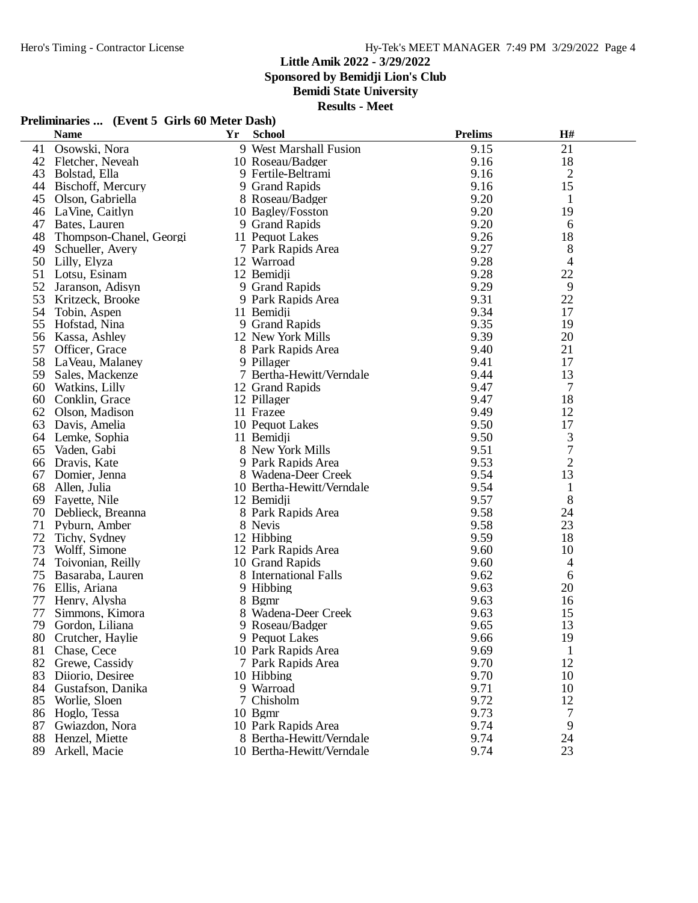**Sponsored by Bemidji Lion's Club**

**Bemidi State University**

**Results - Meet**

## **Preliminaries ... (Event 5 Girls 60 Meter Dash)**

|    | <b>Name</b>             | <b>Yr</b> | <b>School</b>             | <b>Prelims</b> | H#             |  |
|----|-------------------------|-----------|---------------------------|----------------|----------------|--|
| 41 | Osowski, Nora           |           | 9 West Marshall Fusion    | 9.15           | 21             |  |
| 42 | Fletcher, Neveah        |           | 10 Roseau/Badger          | 9.16           | 18             |  |
| 43 | Bolstad, Ella           |           | 9 Fertile-Beltrami        | 9.16           | $\mathfrak{2}$ |  |
| 44 | Bischoff, Mercury       |           | 9 Grand Rapids            | 9.16           | 15             |  |
| 45 | Olson, Gabriella        |           | 8 Roseau/Badger           | 9.20           | $\mathbf{1}$   |  |
| 46 | LaVine, Caitlyn         |           | 10 Bagley/Fosston         | 9.20           | 19             |  |
| 47 | Bates, Lauren           |           | 9 Grand Rapids            | 9.20           | 6              |  |
| 48 | Thompson-Chanel, Georgi |           | 11 Pequot Lakes           | 9.26           | 18             |  |
| 49 | Schueller, Avery        |           | 7 Park Rapids Area        | 9.27           | 8              |  |
| 50 | Lilly, Elyza            |           | 12 Warroad                | 9.28           | 4              |  |
| 51 | Lotsu, Esinam           |           | 12 Bemidji                | 9.28           | 22             |  |
| 52 | Jaranson, Adisyn        |           | 9 Grand Rapids            | 9.29           | 9              |  |
| 53 | Kritzeck, Brooke        |           | 9 Park Rapids Area        | 9.31           | 22             |  |
| 54 | Tobin, Aspen            |           | 11 Bemidji                | 9.34           | 17             |  |
| 55 | Hofstad, Nina           |           | 9 Grand Rapids            | 9.35           | 19             |  |
| 56 | Kassa, Ashley           |           | 12 New York Mills         | 9.39           | 20             |  |
| 57 | Officer, Grace          |           | 8 Park Rapids Area        | 9.40           | 21             |  |
| 58 | LaVeau, Malaney         |           | 9 Pillager                | 9.41           | 17             |  |
| 59 | Sales, Mackenze         |           | 7 Bertha-Hewitt/Verndale  | 9.44           | 13             |  |
| 60 | Watkins, Lilly          |           | 12 Grand Rapids           | 9.47           | 7              |  |
| 60 | Conklin, Grace          |           | 12 Pillager               | 9.47           | 18             |  |
| 62 | Olson, Madison          |           | 11 Frazee                 | 9.49           | 12             |  |
| 63 | Davis, Amelia           |           | 10 Pequot Lakes           | 9.50           | 17             |  |
| 64 | Lemke, Sophia           |           | 11 Bemidji                | 9.50           | $\mathfrak{Z}$ |  |
| 65 | Vaden, Gabi             |           | 8 New York Mills          | 9.51           | $\overline{7}$ |  |
| 66 | Dravis, Kate            |           | 9 Park Rapids Area        | 9.53           | $\overline{2}$ |  |
| 67 | Domier, Jenna           |           | 8 Wadena-Deer Creek       | 9.54           | 13             |  |
| 68 | Allen, Julia            |           | 10 Bertha-Hewitt/Verndale | 9.54           | $\mathbf{1}$   |  |
| 69 | Fayette, Nile           |           | 12 Bemidji                | 9.57           | 8              |  |
| 70 | Deblieck, Breanna       |           | 8 Park Rapids Area        | 9.58           | 24             |  |
| 71 | Pyburn, Amber           |           | 8 Nevis                   | 9.58           | 23             |  |
| 72 | Tichy, Sydney           |           | 12 Hibbing                | 9.59           | 18             |  |
| 73 | Wolff, Simone           |           | 12 Park Rapids Area       | 9.60           | 10             |  |
| 74 | Toivonian, Reilly       |           | 10 Grand Rapids           | 9.60           | 4              |  |
| 75 | Basaraba, Lauren        |           | 8 International Falls     | 9.62           | 6              |  |
| 76 | Ellis, Ariana           |           | 9 Hibbing                 | 9.63           | 20             |  |
| 77 | Henry, Alysha           |           | 8 Bgmr                    | 9.63           | 16             |  |
| 77 | Simmons, Kimora         |           | 8 Wadena-Deer Creek       | 9.63           | 15             |  |
| 79 | Gordon, Liliana         |           | 9 Roseau/Badger           | 9.65           | 13             |  |
|    | 80 Crutcher, Haylie     |           | 9 Pequot Lakes            | 9.66           | 19             |  |
| 81 | Chase, Cece             |           | 10 Park Rapids Area       | 9.69           | 1              |  |
| 82 | Grewe, Cassidy          |           | 7 Park Rapids Area        | 9.70           | 12             |  |
| 83 | Diiorio, Desiree        |           | 10 Hibbing                | 9.70           | 10             |  |
| 84 | Gustafson, Danika       |           | 9 Warroad                 | 9.71           | 10             |  |
| 85 | Worlie, Sloen           |           | 7 Chisholm                | 9.72           | 12             |  |
| 86 | Hoglo, Tessa            |           | $10$ Bgmr                 | 9.73           | 7              |  |
| 87 | Gwiazdon, Nora          |           | 10 Park Rapids Area       | 9.74           | 9              |  |
| 88 | Henzel, Miette          |           | 8 Bertha-Hewitt/Verndale  | 9.74           | 24             |  |
| 89 | Arkell, Macie           |           | 10 Bertha-Hewitt/Verndale | 9.74           | 23             |  |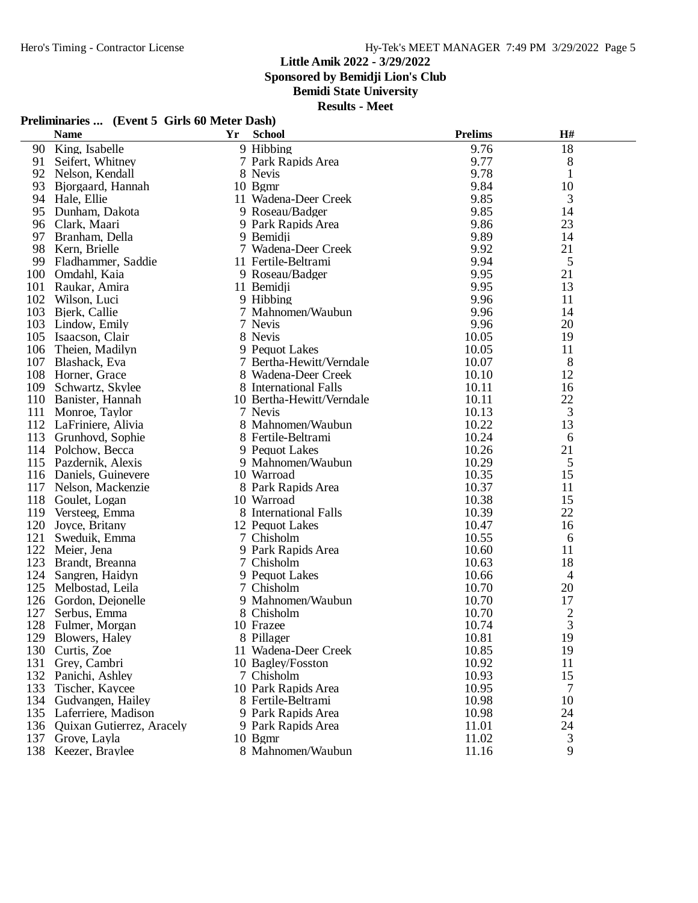**Sponsored by Bemidji Lion's Club**

**Bemidi State University**

**Results - Meet**

### **Preliminaries ... (Event 5 Girls 60 Meter Dash)**

| 18<br>9 Hibbing<br>9.76<br>King, Isabelle<br>90<br>9.77<br>8<br>91<br>Seifert, Whitney<br>7 Park Rapids Area<br>9.78<br>92<br>8 Nevis<br>$\mathbf{1}$<br>Nelson, Kendall<br>9.84<br>10 Bgmr<br>10<br>93<br>Bjorgaard, Hannah<br>9.85<br>94<br>11 Wadena-Deer Creek<br>3<br>Hale, Ellie<br>9.85<br>95<br>Dunham, Dakota<br>9 Roseau/Badger<br>14<br>9.86<br>23<br>96<br>Clark, Maari<br>9 Park Rapids Area<br>9.89<br>97<br>14<br>Branham, Della<br>9 Bemidji<br>9.92<br>98<br>7 Wadena-Deer Creek<br>21<br>Kern, Brielle<br>99<br>9.94<br>5<br>Fladhammer, Saddie<br>11 Fertile-Beltrami<br>100<br>9.95<br>21<br>Omdahl, Kaia<br>9 Roseau/Badger<br>101<br>9.95<br>Raukar, Amira<br>11 Bemidji<br>13<br>102<br>9 Hibbing<br>9.96<br>11<br>Wilson, Luci<br>103<br>9.96<br>Bjerk, Callie<br>14<br>7 Mahnomen/Waubun<br>103<br>7 Nevis<br>9.96<br>20<br>Lindow, Emily<br>105 Isaacson, Clair<br>8 Nevis<br>10.05<br>19<br>106<br>9 Pequot Lakes<br>10.05<br>Theien, Madilyn<br>11<br>107<br>10.07<br>8<br>Blashack, Eva<br>7 Bertha-Hewitt/Verndale<br>12<br>108<br>10.10<br>Horner, Grace<br>8 Wadena-Deer Creek<br>109<br>10.11<br>Schwartz, Skylee<br>8 International Falls<br>16<br>22<br>110 Banister, Hannah<br>10.11<br>10 Bertha-Hewitt/Verndale<br>3<br>111<br>10.13<br>Monroe, Taylor<br>7 Nevis<br>112 LaFriniere, Alivia<br>10.22<br>13<br>8 Mahnomen/Waubun<br>113<br>10.24<br>Grunhovd, Sophie<br>8 Fertile-Beltrami<br>6<br>114 Polchow, Becca<br>10.26<br>21<br>9 Pequot Lakes<br>10.29<br>115<br>Pazdernik, Alexis<br>5<br>9 Mahnomen/Waubun<br>10.35<br>10 Warroad<br>15<br>116 Daniels, Guinevere<br>10.37<br>117 Nelson, Mackenzie<br>8 Park Rapids Area<br>11<br>118<br>10 Warroad<br>10.38<br>15<br>Goulet, Logan<br>8 International Falls<br>22<br>119<br>Versteeg, Emma<br>10.39<br>120<br>10.47<br>12 Pequot Lakes<br>16<br>Joyce, Britany<br>121<br>7 Chisholm<br>10.55<br>Sweduik, Emma<br>6<br>122<br>11<br>Meier, Jena<br>9 Park Rapids Area<br>10.60<br>123<br>10.63<br>18<br>7 Chisholm<br>Brandt, Breanna<br>124<br>Sangren, Haidyn<br>9 Pequot Lakes<br>10.66<br>$\overline{4}$<br>125<br>20<br>Melbostad, Leila<br>7 Chisholm<br>10.70<br>126<br>10.70<br>17<br>9 Mahnomen/Waubun<br>Gordon, Dejonelle<br>127<br>10.70<br>$rac{2}{3}$<br>8 Chisholm<br>Serbus, Emma<br>128<br>10 Frazee<br>10.74<br>Fulmer, Morgan<br>19<br>10.81<br>129 Blowers, Haley<br>8 Pillager<br>11 Wadena-Deer Creek<br>10.85<br>19<br>130<br>Curtis, Zoe<br>10.92<br>131<br>10 Bagley/Fosston<br>Grey, Cambri<br>11<br>132<br>10.93<br>15<br>Panichi, Ashley<br>7 Chisholm<br>133<br>10 Park Rapids Area<br>10.95<br>Tischer, Kaycee<br>7<br>134<br>10.98<br>10<br>Gudvangen, Hailey<br>8 Fertile-Beltrami<br>24<br>135 Laferriere, Madison<br>9 Park Rapids Area<br>10.98<br>24<br>136 Quixan Gutierrez, Aracely<br>9 Park Rapids Area<br>11.01<br>3<br>137<br>Grove, Layla<br>10 Bgmr<br>11.02<br>8 Mahnomen/Waubun<br>9 |     | <b>Name</b>     | Yr | <b>School</b> | <b>Prelims</b> | H# |  |
|-------------------------------------------------------------------------------------------------------------------------------------------------------------------------------------------------------------------------------------------------------------------------------------------------------------------------------------------------------------------------------------------------------------------------------------------------------------------------------------------------------------------------------------------------------------------------------------------------------------------------------------------------------------------------------------------------------------------------------------------------------------------------------------------------------------------------------------------------------------------------------------------------------------------------------------------------------------------------------------------------------------------------------------------------------------------------------------------------------------------------------------------------------------------------------------------------------------------------------------------------------------------------------------------------------------------------------------------------------------------------------------------------------------------------------------------------------------------------------------------------------------------------------------------------------------------------------------------------------------------------------------------------------------------------------------------------------------------------------------------------------------------------------------------------------------------------------------------------------------------------------------------------------------------------------------------------------------------------------------------------------------------------------------------------------------------------------------------------------------------------------------------------------------------------------------------------------------------------------------------------------------------------------------------------------------------------------------------------------------------------------------------------------------------------------------------------------------------------------------------------------------------------------------------------------------------------------------------------------------------------------------------------------------------------------------------------------------------------------------------------------------------------------------------------------------------------------------------------------------------------------------------------------------------------------------|-----|-----------------|----|---------------|----------------|----|--|
|                                                                                                                                                                                                                                                                                                                                                                                                                                                                                                                                                                                                                                                                                                                                                                                                                                                                                                                                                                                                                                                                                                                                                                                                                                                                                                                                                                                                                                                                                                                                                                                                                                                                                                                                                                                                                                                                                                                                                                                                                                                                                                                                                                                                                                                                                                                                                                                                                                                                                                                                                                                                                                                                                                                                                                                                                                                                                                                                     |     |                 |    |               |                |    |  |
|                                                                                                                                                                                                                                                                                                                                                                                                                                                                                                                                                                                                                                                                                                                                                                                                                                                                                                                                                                                                                                                                                                                                                                                                                                                                                                                                                                                                                                                                                                                                                                                                                                                                                                                                                                                                                                                                                                                                                                                                                                                                                                                                                                                                                                                                                                                                                                                                                                                                                                                                                                                                                                                                                                                                                                                                                                                                                                                                     |     |                 |    |               |                |    |  |
|                                                                                                                                                                                                                                                                                                                                                                                                                                                                                                                                                                                                                                                                                                                                                                                                                                                                                                                                                                                                                                                                                                                                                                                                                                                                                                                                                                                                                                                                                                                                                                                                                                                                                                                                                                                                                                                                                                                                                                                                                                                                                                                                                                                                                                                                                                                                                                                                                                                                                                                                                                                                                                                                                                                                                                                                                                                                                                                                     |     |                 |    |               |                |    |  |
|                                                                                                                                                                                                                                                                                                                                                                                                                                                                                                                                                                                                                                                                                                                                                                                                                                                                                                                                                                                                                                                                                                                                                                                                                                                                                                                                                                                                                                                                                                                                                                                                                                                                                                                                                                                                                                                                                                                                                                                                                                                                                                                                                                                                                                                                                                                                                                                                                                                                                                                                                                                                                                                                                                                                                                                                                                                                                                                                     |     |                 |    |               |                |    |  |
|                                                                                                                                                                                                                                                                                                                                                                                                                                                                                                                                                                                                                                                                                                                                                                                                                                                                                                                                                                                                                                                                                                                                                                                                                                                                                                                                                                                                                                                                                                                                                                                                                                                                                                                                                                                                                                                                                                                                                                                                                                                                                                                                                                                                                                                                                                                                                                                                                                                                                                                                                                                                                                                                                                                                                                                                                                                                                                                                     |     |                 |    |               |                |    |  |
|                                                                                                                                                                                                                                                                                                                                                                                                                                                                                                                                                                                                                                                                                                                                                                                                                                                                                                                                                                                                                                                                                                                                                                                                                                                                                                                                                                                                                                                                                                                                                                                                                                                                                                                                                                                                                                                                                                                                                                                                                                                                                                                                                                                                                                                                                                                                                                                                                                                                                                                                                                                                                                                                                                                                                                                                                                                                                                                                     |     |                 |    |               |                |    |  |
|                                                                                                                                                                                                                                                                                                                                                                                                                                                                                                                                                                                                                                                                                                                                                                                                                                                                                                                                                                                                                                                                                                                                                                                                                                                                                                                                                                                                                                                                                                                                                                                                                                                                                                                                                                                                                                                                                                                                                                                                                                                                                                                                                                                                                                                                                                                                                                                                                                                                                                                                                                                                                                                                                                                                                                                                                                                                                                                                     |     |                 |    |               |                |    |  |
|                                                                                                                                                                                                                                                                                                                                                                                                                                                                                                                                                                                                                                                                                                                                                                                                                                                                                                                                                                                                                                                                                                                                                                                                                                                                                                                                                                                                                                                                                                                                                                                                                                                                                                                                                                                                                                                                                                                                                                                                                                                                                                                                                                                                                                                                                                                                                                                                                                                                                                                                                                                                                                                                                                                                                                                                                                                                                                                                     |     |                 |    |               |                |    |  |
|                                                                                                                                                                                                                                                                                                                                                                                                                                                                                                                                                                                                                                                                                                                                                                                                                                                                                                                                                                                                                                                                                                                                                                                                                                                                                                                                                                                                                                                                                                                                                                                                                                                                                                                                                                                                                                                                                                                                                                                                                                                                                                                                                                                                                                                                                                                                                                                                                                                                                                                                                                                                                                                                                                                                                                                                                                                                                                                                     |     |                 |    |               |                |    |  |
|                                                                                                                                                                                                                                                                                                                                                                                                                                                                                                                                                                                                                                                                                                                                                                                                                                                                                                                                                                                                                                                                                                                                                                                                                                                                                                                                                                                                                                                                                                                                                                                                                                                                                                                                                                                                                                                                                                                                                                                                                                                                                                                                                                                                                                                                                                                                                                                                                                                                                                                                                                                                                                                                                                                                                                                                                                                                                                                                     |     |                 |    |               |                |    |  |
|                                                                                                                                                                                                                                                                                                                                                                                                                                                                                                                                                                                                                                                                                                                                                                                                                                                                                                                                                                                                                                                                                                                                                                                                                                                                                                                                                                                                                                                                                                                                                                                                                                                                                                                                                                                                                                                                                                                                                                                                                                                                                                                                                                                                                                                                                                                                                                                                                                                                                                                                                                                                                                                                                                                                                                                                                                                                                                                                     |     |                 |    |               |                |    |  |
|                                                                                                                                                                                                                                                                                                                                                                                                                                                                                                                                                                                                                                                                                                                                                                                                                                                                                                                                                                                                                                                                                                                                                                                                                                                                                                                                                                                                                                                                                                                                                                                                                                                                                                                                                                                                                                                                                                                                                                                                                                                                                                                                                                                                                                                                                                                                                                                                                                                                                                                                                                                                                                                                                                                                                                                                                                                                                                                                     |     |                 |    |               |                |    |  |
|                                                                                                                                                                                                                                                                                                                                                                                                                                                                                                                                                                                                                                                                                                                                                                                                                                                                                                                                                                                                                                                                                                                                                                                                                                                                                                                                                                                                                                                                                                                                                                                                                                                                                                                                                                                                                                                                                                                                                                                                                                                                                                                                                                                                                                                                                                                                                                                                                                                                                                                                                                                                                                                                                                                                                                                                                                                                                                                                     |     |                 |    |               |                |    |  |
|                                                                                                                                                                                                                                                                                                                                                                                                                                                                                                                                                                                                                                                                                                                                                                                                                                                                                                                                                                                                                                                                                                                                                                                                                                                                                                                                                                                                                                                                                                                                                                                                                                                                                                                                                                                                                                                                                                                                                                                                                                                                                                                                                                                                                                                                                                                                                                                                                                                                                                                                                                                                                                                                                                                                                                                                                                                                                                                                     |     |                 |    |               |                |    |  |
|                                                                                                                                                                                                                                                                                                                                                                                                                                                                                                                                                                                                                                                                                                                                                                                                                                                                                                                                                                                                                                                                                                                                                                                                                                                                                                                                                                                                                                                                                                                                                                                                                                                                                                                                                                                                                                                                                                                                                                                                                                                                                                                                                                                                                                                                                                                                                                                                                                                                                                                                                                                                                                                                                                                                                                                                                                                                                                                                     |     |                 |    |               |                |    |  |
|                                                                                                                                                                                                                                                                                                                                                                                                                                                                                                                                                                                                                                                                                                                                                                                                                                                                                                                                                                                                                                                                                                                                                                                                                                                                                                                                                                                                                                                                                                                                                                                                                                                                                                                                                                                                                                                                                                                                                                                                                                                                                                                                                                                                                                                                                                                                                                                                                                                                                                                                                                                                                                                                                                                                                                                                                                                                                                                                     |     |                 |    |               |                |    |  |
|                                                                                                                                                                                                                                                                                                                                                                                                                                                                                                                                                                                                                                                                                                                                                                                                                                                                                                                                                                                                                                                                                                                                                                                                                                                                                                                                                                                                                                                                                                                                                                                                                                                                                                                                                                                                                                                                                                                                                                                                                                                                                                                                                                                                                                                                                                                                                                                                                                                                                                                                                                                                                                                                                                                                                                                                                                                                                                                                     |     |                 |    |               |                |    |  |
|                                                                                                                                                                                                                                                                                                                                                                                                                                                                                                                                                                                                                                                                                                                                                                                                                                                                                                                                                                                                                                                                                                                                                                                                                                                                                                                                                                                                                                                                                                                                                                                                                                                                                                                                                                                                                                                                                                                                                                                                                                                                                                                                                                                                                                                                                                                                                                                                                                                                                                                                                                                                                                                                                                                                                                                                                                                                                                                                     |     |                 |    |               |                |    |  |
|                                                                                                                                                                                                                                                                                                                                                                                                                                                                                                                                                                                                                                                                                                                                                                                                                                                                                                                                                                                                                                                                                                                                                                                                                                                                                                                                                                                                                                                                                                                                                                                                                                                                                                                                                                                                                                                                                                                                                                                                                                                                                                                                                                                                                                                                                                                                                                                                                                                                                                                                                                                                                                                                                                                                                                                                                                                                                                                                     |     |                 |    |               |                |    |  |
|                                                                                                                                                                                                                                                                                                                                                                                                                                                                                                                                                                                                                                                                                                                                                                                                                                                                                                                                                                                                                                                                                                                                                                                                                                                                                                                                                                                                                                                                                                                                                                                                                                                                                                                                                                                                                                                                                                                                                                                                                                                                                                                                                                                                                                                                                                                                                                                                                                                                                                                                                                                                                                                                                                                                                                                                                                                                                                                                     |     |                 |    |               |                |    |  |
|                                                                                                                                                                                                                                                                                                                                                                                                                                                                                                                                                                                                                                                                                                                                                                                                                                                                                                                                                                                                                                                                                                                                                                                                                                                                                                                                                                                                                                                                                                                                                                                                                                                                                                                                                                                                                                                                                                                                                                                                                                                                                                                                                                                                                                                                                                                                                                                                                                                                                                                                                                                                                                                                                                                                                                                                                                                                                                                                     |     |                 |    |               |                |    |  |
|                                                                                                                                                                                                                                                                                                                                                                                                                                                                                                                                                                                                                                                                                                                                                                                                                                                                                                                                                                                                                                                                                                                                                                                                                                                                                                                                                                                                                                                                                                                                                                                                                                                                                                                                                                                                                                                                                                                                                                                                                                                                                                                                                                                                                                                                                                                                                                                                                                                                                                                                                                                                                                                                                                                                                                                                                                                                                                                                     |     |                 |    |               |                |    |  |
|                                                                                                                                                                                                                                                                                                                                                                                                                                                                                                                                                                                                                                                                                                                                                                                                                                                                                                                                                                                                                                                                                                                                                                                                                                                                                                                                                                                                                                                                                                                                                                                                                                                                                                                                                                                                                                                                                                                                                                                                                                                                                                                                                                                                                                                                                                                                                                                                                                                                                                                                                                                                                                                                                                                                                                                                                                                                                                                                     |     |                 |    |               |                |    |  |
|                                                                                                                                                                                                                                                                                                                                                                                                                                                                                                                                                                                                                                                                                                                                                                                                                                                                                                                                                                                                                                                                                                                                                                                                                                                                                                                                                                                                                                                                                                                                                                                                                                                                                                                                                                                                                                                                                                                                                                                                                                                                                                                                                                                                                                                                                                                                                                                                                                                                                                                                                                                                                                                                                                                                                                                                                                                                                                                                     |     |                 |    |               |                |    |  |
|                                                                                                                                                                                                                                                                                                                                                                                                                                                                                                                                                                                                                                                                                                                                                                                                                                                                                                                                                                                                                                                                                                                                                                                                                                                                                                                                                                                                                                                                                                                                                                                                                                                                                                                                                                                                                                                                                                                                                                                                                                                                                                                                                                                                                                                                                                                                                                                                                                                                                                                                                                                                                                                                                                                                                                                                                                                                                                                                     |     |                 |    |               |                |    |  |
|                                                                                                                                                                                                                                                                                                                                                                                                                                                                                                                                                                                                                                                                                                                                                                                                                                                                                                                                                                                                                                                                                                                                                                                                                                                                                                                                                                                                                                                                                                                                                                                                                                                                                                                                                                                                                                                                                                                                                                                                                                                                                                                                                                                                                                                                                                                                                                                                                                                                                                                                                                                                                                                                                                                                                                                                                                                                                                                                     |     |                 |    |               |                |    |  |
|                                                                                                                                                                                                                                                                                                                                                                                                                                                                                                                                                                                                                                                                                                                                                                                                                                                                                                                                                                                                                                                                                                                                                                                                                                                                                                                                                                                                                                                                                                                                                                                                                                                                                                                                                                                                                                                                                                                                                                                                                                                                                                                                                                                                                                                                                                                                                                                                                                                                                                                                                                                                                                                                                                                                                                                                                                                                                                                                     |     |                 |    |               |                |    |  |
|                                                                                                                                                                                                                                                                                                                                                                                                                                                                                                                                                                                                                                                                                                                                                                                                                                                                                                                                                                                                                                                                                                                                                                                                                                                                                                                                                                                                                                                                                                                                                                                                                                                                                                                                                                                                                                                                                                                                                                                                                                                                                                                                                                                                                                                                                                                                                                                                                                                                                                                                                                                                                                                                                                                                                                                                                                                                                                                                     |     |                 |    |               |                |    |  |
|                                                                                                                                                                                                                                                                                                                                                                                                                                                                                                                                                                                                                                                                                                                                                                                                                                                                                                                                                                                                                                                                                                                                                                                                                                                                                                                                                                                                                                                                                                                                                                                                                                                                                                                                                                                                                                                                                                                                                                                                                                                                                                                                                                                                                                                                                                                                                                                                                                                                                                                                                                                                                                                                                                                                                                                                                                                                                                                                     |     |                 |    |               |                |    |  |
|                                                                                                                                                                                                                                                                                                                                                                                                                                                                                                                                                                                                                                                                                                                                                                                                                                                                                                                                                                                                                                                                                                                                                                                                                                                                                                                                                                                                                                                                                                                                                                                                                                                                                                                                                                                                                                                                                                                                                                                                                                                                                                                                                                                                                                                                                                                                                                                                                                                                                                                                                                                                                                                                                                                                                                                                                                                                                                                                     |     |                 |    |               |                |    |  |
|                                                                                                                                                                                                                                                                                                                                                                                                                                                                                                                                                                                                                                                                                                                                                                                                                                                                                                                                                                                                                                                                                                                                                                                                                                                                                                                                                                                                                                                                                                                                                                                                                                                                                                                                                                                                                                                                                                                                                                                                                                                                                                                                                                                                                                                                                                                                                                                                                                                                                                                                                                                                                                                                                                                                                                                                                                                                                                                                     |     |                 |    |               |                |    |  |
|                                                                                                                                                                                                                                                                                                                                                                                                                                                                                                                                                                                                                                                                                                                                                                                                                                                                                                                                                                                                                                                                                                                                                                                                                                                                                                                                                                                                                                                                                                                                                                                                                                                                                                                                                                                                                                                                                                                                                                                                                                                                                                                                                                                                                                                                                                                                                                                                                                                                                                                                                                                                                                                                                                                                                                                                                                                                                                                                     |     |                 |    |               |                |    |  |
|                                                                                                                                                                                                                                                                                                                                                                                                                                                                                                                                                                                                                                                                                                                                                                                                                                                                                                                                                                                                                                                                                                                                                                                                                                                                                                                                                                                                                                                                                                                                                                                                                                                                                                                                                                                                                                                                                                                                                                                                                                                                                                                                                                                                                                                                                                                                                                                                                                                                                                                                                                                                                                                                                                                                                                                                                                                                                                                                     |     |                 |    |               |                |    |  |
|                                                                                                                                                                                                                                                                                                                                                                                                                                                                                                                                                                                                                                                                                                                                                                                                                                                                                                                                                                                                                                                                                                                                                                                                                                                                                                                                                                                                                                                                                                                                                                                                                                                                                                                                                                                                                                                                                                                                                                                                                                                                                                                                                                                                                                                                                                                                                                                                                                                                                                                                                                                                                                                                                                                                                                                                                                                                                                                                     |     |                 |    |               |                |    |  |
|                                                                                                                                                                                                                                                                                                                                                                                                                                                                                                                                                                                                                                                                                                                                                                                                                                                                                                                                                                                                                                                                                                                                                                                                                                                                                                                                                                                                                                                                                                                                                                                                                                                                                                                                                                                                                                                                                                                                                                                                                                                                                                                                                                                                                                                                                                                                                                                                                                                                                                                                                                                                                                                                                                                                                                                                                                                                                                                                     |     |                 |    |               |                |    |  |
|                                                                                                                                                                                                                                                                                                                                                                                                                                                                                                                                                                                                                                                                                                                                                                                                                                                                                                                                                                                                                                                                                                                                                                                                                                                                                                                                                                                                                                                                                                                                                                                                                                                                                                                                                                                                                                                                                                                                                                                                                                                                                                                                                                                                                                                                                                                                                                                                                                                                                                                                                                                                                                                                                                                                                                                                                                                                                                                                     |     |                 |    |               |                |    |  |
|                                                                                                                                                                                                                                                                                                                                                                                                                                                                                                                                                                                                                                                                                                                                                                                                                                                                                                                                                                                                                                                                                                                                                                                                                                                                                                                                                                                                                                                                                                                                                                                                                                                                                                                                                                                                                                                                                                                                                                                                                                                                                                                                                                                                                                                                                                                                                                                                                                                                                                                                                                                                                                                                                                                                                                                                                                                                                                                                     |     |                 |    |               |                |    |  |
|                                                                                                                                                                                                                                                                                                                                                                                                                                                                                                                                                                                                                                                                                                                                                                                                                                                                                                                                                                                                                                                                                                                                                                                                                                                                                                                                                                                                                                                                                                                                                                                                                                                                                                                                                                                                                                                                                                                                                                                                                                                                                                                                                                                                                                                                                                                                                                                                                                                                                                                                                                                                                                                                                                                                                                                                                                                                                                                                     |     |                 |    |               |                |    |  |
|                                                                                                                                                                                                                                                                                                                                                                                                                                                                                                                                                                                                                                                                                                                                                                                                                                                                                                                                                                                                                                                                                                                                                                                                                                                                                                                                                                                                                                                                                                                                                                                                                                                                                                                                                                                                                                                                                                                                                                                                                                                                                                                                                                                                                                                                                                                                                                                                                                                                                                                                                                                                                                                                                                                                                                                                                                                                                                                                     |     |                 |    |               |                |    |  |
|                                                                                                                                                                                                                                                                                                                                                                                                                                                                                                                                                                                                                                                                                                                                                                                                                                                                                                                                                                                                                                                                                                                                                                                                                                                                                                                                                                                                                                                                                                                                                                                                                                                                                                                                                                                                                                                                                                                                                                                                                                                                                                                                                                                                                                                                                                                                                                                                                                                                                                                                                                                                                                                                                                                                                                                                                                                                                                                                     |     |                 |    |               |                |    |  |
|                                                                                                                                                                                                                                                                                                                                                                                                                                                                                                                                                                                                                                                                                                                                                                                                                                                                                                                                                                                                                                                                                                                                                                                                                                                                                                                                                                                                                                                                                                                                                                                                                                                                                                                                                                                                                                                                                                                                                                                                                                                                                                                                                                                                                                                                                                                                                                                                                                                                                                                                                                                                                                                                                                                                                                                                                                                                                                                                     |     |                 |    |               |                |    |  |
|                                                                                                                                                                                                                                                                                                                                                                                                                                                                                                                                                                                                                                                                                                                                                                                                                                                                                                                                                                                                                                                                                                                                                                                                                                                                                                                                                                                                                                                                                                                                                                                                                                                                                                                                                                                                                                                                                                                                                                                                                                                                                                                                                                                                                                                                                                                                                                                                                                                                                                                                                                                                                                                                                                                                                                                                                                                                                                                                     |     |                 |    |               |                |    |  |
|                                                                                                                                                                                                                                                                                                                                                                                                                                                                                                                                                                                                                                                                                                                                                                                                                                                                                                                                                                                                                                                                                                                                                                                                                                                                                                                                                                                                                                                                                                                                                                                                                                                                                                                                                                                                                                                                                                                                                                                                                                                                                                                                                                                                                                                                                                                                                                                                                                                                                                                                                                                                                                                                                                                                                                                                                                                                                                                                     |     |                 |    |               |                |    |  |
|                                                                                                                                                                                                                                                                                                                                                                                                                                                                                                                                                                                                                                                                                                                                                                                                                                                                                                                                                                                                                                                                                                                                                                                                                                                                                                                                                                                                                                                                                                                                                                                                                                                                                                                                                                                                                                                                                                                                                                                                                                                                                                                                                                                                                                                                                                                                                                                                                                                                                                                                                                                                                                                                                                                                                                                                                                                                                                                                     |     |                 |    |               |                |    |  |
|                                                                                                                                                                                                                                                                                                                                                                                                                                                                                                                                                                                                                                                                                                                                                                                                                                                                                                                                                                                                                                                                                                                                                                                                                                                                                                                                                                                                                                                                                                                                                                                                                                                                                                                                                                                                                                                                                                                                                                                                                                                                                                                                                                                                                                                                                                                                                                                                                                                                                                                                                                                                                                                                                                                                                                                                                                                                                                                                     |     |                 |    |               |                |    |  |
|                                                                                                                                                                                                                                                                                                                                                                                                                                                                                                                                                                                                                                                                                                                                                                                                                                                                                                                                                                                                                                                                                                                                                                                                                                                                                                                                                                                                                                                                                                                                                                                                                                                                                                                                                                                                                                                                                                                                                                                                                                                                                                                                                                                                                                                                                                                                                                                                                                                                                                                                                                                                                                                                                                                                                                                                                                                                                                                                     |     |                 |    |               |                |    |  |
|                                                                                                                                                                                                                                                                                                                                                                                                                                                                                                                                                                                                                                                                                                                                                                                                                                                                                                                                                                                                                                                                                                                                                                                                                                                                                                                                                                                                                                                                                                                                                                                                                                                                                                                                                                                                                                                                                                                                                                                                                                                                                                                                                                                                                                                                                                                                                                                                                                                                                                                                                                                                                                                                                                                                                                                                                                                                                                                                     |     |                 |    |               |                |    |  |
|                                                                                                                                                                                                                                                                                                                                                                                                                                                                                                                                                                                                                                                                                                                                                                                                                                                                                                                                                                                                                                                                                                                                                                                                                                                                                                                                                                                                                                                                                                                                                                                                                                                                                                                                                                                                                                                                                                                                                                                                                                                                                                                                                                                                                                                                                                                                                                                                                                                                                                                                                                                                                                                                                                                                                                                                                                                                                                                                     |     |                 |    |               |                |    |  |
|                                                                                                                                                                                                                                                                                                                                                                                                                                                                                                                                                                                                                                                                                                                                                                                                                                                                                                                                                                                                                                                                                                                                                                                                                                                                                                                                                                                                                                                                                                                                                                                                                                                                                                                                                                                                                                                                                                                                                                                                                                                                                                                                                                                                                                                                                                                                                                                                                                                                                                                                                                                                                                                                                                                                                                                                                                                                                                                                     | 138 | Keezer, Braylee |    |               | 11.16          |    |  |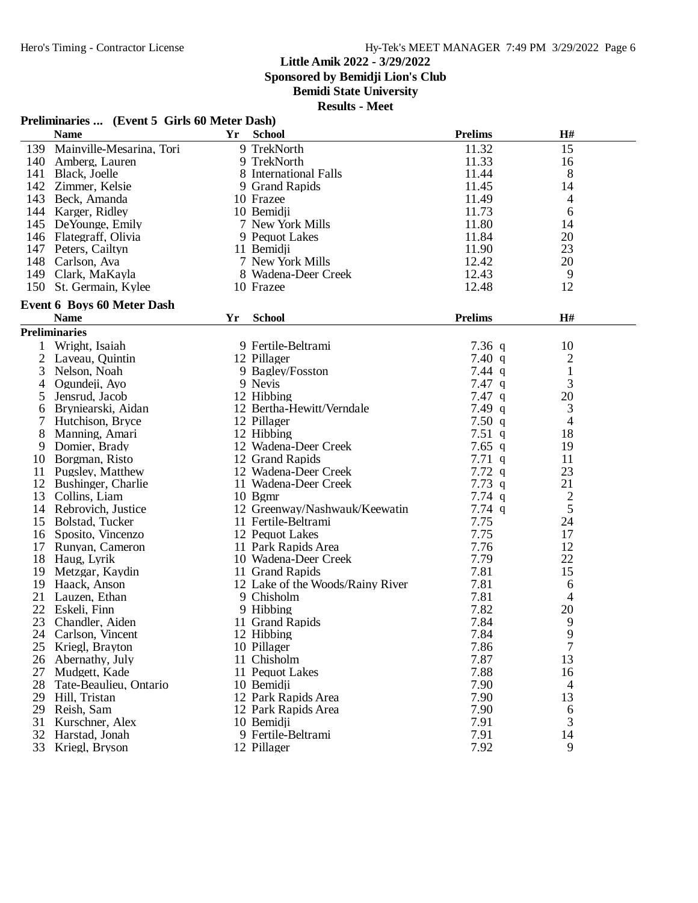**Sponsored by Bemidji Lion's Club**

**Bemidi State University**

| Preliminaries  (Event 5 Girls 60 Meter Dash) |  |  |  |
|----------------------------------------------|--|--|--|
|----------------------------------------------|--|--|--|

|                | <b>Name</b>                       | <b>Yr</b> | <b>School</b>                    | <b>Prelims</b> | H#           |  |
|----------------|-----------------------------------|-----------|----------------------------------|----------------|--------------|--|
| 139            | Mainville-Mesarina, Tori          |           | 9 TrekNorth                      | 11.32          | 15           |  |
|                | 140 Amberg, Lauren                |           | 9 TrekNorth                      | 11.33          | 16           |  |
|                | 141 Black, Joelle                 |           | 8 International Falls            | 11.44          | 8            |  |
|                | 142 Zimmer, Kelsie                |           | 9 Grand Rapids                   | 11.45          | 14           |  |
|                | 143 Beck, Amanda                  |           | 10 Frazee                        | 11.49          | 4            |  |
|                | 144 Karger, Ridley                |           | 10 Bemidji                       | 11.73          | 6            |  |
|                | 145 DeYounge, Emily               |           | 7 New York Mills                 | 11.80          | 14           |  |
|                | 146 Flategraff, Olivia            |           | 9 Pequot Lakes                   | 11.84          | 20           |  |
|                | 147 Peters, Cailtyn               |           | 11 Bemidji                       | 11.90          | 23           |  |
|                | 148 Carlson, Ava                  |           | 7 New York Mills                 | 12.42          | 20           |  |
|                | 149 Clark, MaKayla                |           | 8 Wadena-Deer Creek              | 12.43          | 9            |  |
| 150            | St. Germain, Kylee                |           | 10 Frazee                        | 12.48          | 12           |  |
|                | <b>Event 6 Boys 60 Meter Dash</b> |           |                                  |                |              |  |
|                | <b>Name</b>                       | Yr        | <b>School</b>                    | <b>Prelims</b> | H#           |  |
|                |                                   |           |                                  |                |              |  |
|                | <b>Preliminaries</b>              |           |                                  |                |              |  |
| 1              | Wright, Isaiah                    |           | 9 Fertile-Beltrami               | 7.36 $q$       | 10           |  |
| $\overline{2}$ | Laveau, Quintin                   |           | 12 Pillager                      | 7.40 $q$       | 2            |  |
| 3              | Nelson, Noah                      |           | 9 Bagley/Fosston                 | $7.44$ q       | $\mathbf{1}$ |  |
| 4              | Ogundeji, Ayo                     |           | 9 Nevis                          | $7.47$ q       | 3            |  |
| 5              | Jensrud, Jacob                    |           | 12 Hibbing                       | 7.47q          | 20           |  |
| 6              | Bryniearski, Aidan                |           | 12 Bertha-Hewitt/Verndale        | $7.49$ q       | 3            |  |
| 7              | Hutchison, Bryce                  |           | 12 Pillager                      | 7.50 $q$       | 4            |  |
| 8              | Manning, Amari                    |           | 12 Hibbing                       | 7.51 $q$       | 18           |  |
| 9              | Domier, Brady                     |           | 12 Wadena-Deer Creek             | $7.65$ q       | 19           |  |
| 10             | Borgman, Risto                    |           | 12 Grand Rapids                  | $7.71\ q$      | 11           |  |
| 11             | Pugsley, Matthew                  |           | 12 Wadena-Deer Creek             | 7.72q          | 23           |  |
| 12             | Bushinger, Charlie                |           | 11 Wadena-Deer Creek             | 7.73 $q$       | 21           |  |
| 13             | Collins, Liam                     |           | $10$ Bgmr                        | $7.74$ q       | 2            |  |
|                | 14 Rebrovich, Justice             |           | 12 Greenway/Nashwauk/Keewatin    | 7.74 q         | 5            |  |
|                | 15 Bolstad, Tucker                |           | 11 Fertile-Beltrami              | 7.75           | 24           |  |
| 16             | Sposito, Vincenzo                 |           | 12 Pequot Lakes                  | 7.75           | 17           |  |
| 17             | Runyan, Cameron                   |           | 11 Park Rapids Area              | 7.76           | 12           |  |
| 18             | Haug, Lyrik                       |           | 10 Wadena-Deer Creek             | 7.79           | 22           |  |
| 19             | Metzgar, Kaydin                   |           | 11 Grand Rapids                  | 7.81           | 15           |  |
| 19             | Haack, Anson                      |           | 12 Lake of the Woods/Rainy River | 7.81           | 6            |  |
| 21             | Lauzen, Ethan                     |           | 9 Chisholm                       | 7.81           | 4            |  |
| 22             | Eskeli, Finn                      |           | 9 Hibbing                        | 7.82           | 20           |  |
| 23             | Chandler, Aiden                   |           | 11 Grand Rapids                  | 7.84           | 9            |  |
| 24             | Carlson, Vincent                  |           | 12 Hibbing                       | 7.84           | 9            |  |
| 25             | Kriegl, Brayton                   |           | 10 Pillager                      | 7.86           | 7            |  |
| 26             | Abernathy, July                   |           | 11 Chisholm                      | 7.87           | 13           |  |
| 27             | Mudgett, Kade                     |           | 11 Pequot Lakes                  | 7.88           | 16           |  |
| 28             | Tate-Beaulieu, Ontario            |           | 10 Bemidji                       | 7.90           | 4            |  |
| 29             | Hill, Tristan                     |           | 12 Park Rapids Area              | 7.90           | 13           |  |
| 29             | Reish, Sam                        |           | 12 Park Rapids Area              | 7.90           | 6            |  |
| 31             | Kurschner, Alex                   |           | 10 Bemidji                       | 7.91           | 3            |  |
| 32             | Harstad, Jonah                    |           | 9 Fertile-Beltrami               | 7.91           | 14           |  |
| 33             | Kriegl, Bryson                    |           | 12 Pillager                      | 7.92           | 9            |  |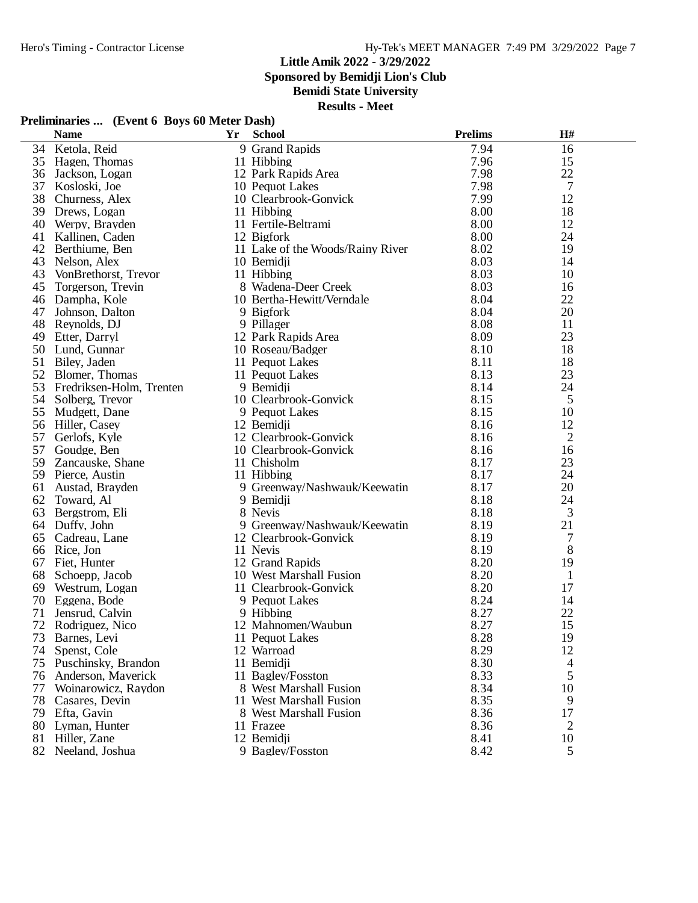**Sponsored by Bemidji Lion's Club**

**Bemidi State University**

**Results - Meet**

## **Preliminaries ... (Event 6 Boys 60 Meter Dash)**

|    | <b>Name</b>              | Yr | <b>School</b>                    | <b>Prelims</b> | H#             |  |
|----|--------------------------|----|----------------------------------|----------------|----------------|--|
|    | 34 Ketola, Reid          |    | 9 Grand Rapids                   | 7.94           | 16             |  |
| 35 | Hagen, Thomas            |    | 11 Hibbing                       | 7.96           | 15             |  |
| 36 | Jackson, Logan           |    | 12 Park Rapids Area              | 7.98           | 22             |  |
| 37 | Kosloski, Joe            |    | 10 Pequot Lakes                  | 7.98           | 7              |  |
| 38 | Churness, Alex           |    | 10 Clearbrook-Gonvick            | 7.99           | 12             |  |
| 39 | Drews, Logan             |    | 11 Hibbing                       | 8.00           | 18             |  |
| 40 | Werpy, Brayden           |    | 11 Fertile-Beltrami              | 8.00           | 12             |  |
| 41 | Kallinen, Caden          |    | 12 Bigfork                       | 8.00           | 24             |  |
| 42 | Berthiume, Ben           |    | 11 Lake of the Woods/Rainy River | 8.02           | 19             |  |
| 43 | Nelson, Alex             |    | 10 Bemidji                       | 8.03           | 14             |  |
| 43 | VonBrethorst, Trevor     |    | 11 Hibbing                       | 8.03           | 10             |  |
| 45 | Torgerson, Trevin        |    | 8 Wadena-Deer Creek              | 8.03           | 16             |  |
| 46 | Dampha, Kole             |    | 10 Bertha-Hewitt/Verndale        | 8.04           | 22             |  |
| 47 | Johnson, Dalton          |    | 9 Bigfork                        | 8.04           | 20             |  |
| 48 | Reynolds, DJ             |    | 9 Pillager                       | 8.08           | 11             |  |
| 49 | Etter, Darryl            |    | 12 Park Rapids Area              | 8.09           | 23             |  |
| 50 | Lund, Gunnar             |    | 10 Roseau/Badger                 | 8.10           | 18             |  |
| 51 | Biley, Jaden             |    | 11 Pequot Lakes                  | 8.11           | 18             |  |
| 52 | Blomer, Thomas           |    | 11 Pequot Lakes                  | 8.13           | 23             |  |
| 53 | Fredriksen-Holm, Trenten |    | 9 Bemidii                        | 8.14           | 24             |  |
| 54 | Solberg, Trevor          |    | 10 Clearbrook-Gonvick            | 8.15           | 5              |  |
| 55 | Mudgett, Dane            |    | 9 Pequot Lakes                   | 8.15           | 10             |  |
| 56 | Hiller, Casey            |    | 12 Bemidji                       | 8.16           | 12             |  |
| 57 | Gerlofs, Kyle            |    | 12 Clearbrook-Gonvick            | 8.16           | $\overline{2}$ |  |
| 57 | Goudge, Ben              |    | 10 Clearbrook-Gonvick            | 8.16           | 16             |  |
| 59 | Zancauske, Shane         |    | 11 Chisholm                      | 8.17           | 23             |  |
|    | 59 Pierce, Austin        |    | 11 Hibbing                       | 8.17           | 24             |  |
| 61 | Austad, Brayden          |    | 9 Greenway/Nashwauk/Keewatin     | 8.17           | 20             |  |
| 62 | Toward, Al               |    | 9 Bemidji                        | 8.18           | 24             |  |
| 63 | Bergstrom, Eli           |    | 8 Nevis                          | 8.18           | 3              |  |
|    | 64 Duffy, John           |    | 9 Greenway/Nashwauk/Keewatin     | 8.19           | 21             |  |
| 65 | Cadreau, Lane            |    | 12 Clearbrook-Gonvick            | 8.19           | 7              |  |
| 66 | Rice, Jon                |    | 11 Nevis                         | 8.19           | 8              |  |
| 67 | Fiet, Hunter             |    | 12 Grand Rapids                  | 8.20           | 19             |  |
| 68 | Schoepp, Jacob           |    | 10 West Marshall Fusion          | 8.20           | $\mathbf{1}$   |  |
| 69 | Westrum, Logan           |    | 11 Clearbrook-Gonvick            | 8.20           | 17             |  |
| 70 | Eggena, Bode             |    | 9 Pequot Lakes                   | 8.24           | 14             |  |
| 71 | Jensrud, Calvin          |    | 9 Hibbing                        | 8.27           | 22             |  |
| 72 | Rodriguez, Nico          |    | 12 Mahnomen/Waubun               | 8.27           | 15             |  |
|    | 73 Barnes, Levi          |    | 11 Pequot Lakes                  | 8.28           | 19             |  |
|    | 74 Spenst, Cole          |    | 12 Warroad                       | 8.29           | 12             |  |
| 75 | Puschinsky, Brandon      |    | 11 Bemidji                       | 8.30           | 4              |  |
| 76 | Anderson, Maverick       |    | 11 Bagley/Fosston                | 8.33           | 5              |  |
| 77 | Woinarowicz, Raydon      |    | 8 West Marshall Fusion           | 8.34           | 10             |  |
| 78 | Casares, Devin           |    | 11 West Marshall Fusion          | 8.35           | 9              |  |
| 79 | Efta, Gavin              |    | 8 West Marshall Fusion           | 8.36           | 17             |  |
| 80 | Lyman, Hunter            |    | 11 Frazee                        | 8.36           | 2              |  |
| 81 | Hiller, Zane             |    | 12 Bemidji                       | 8.41           | 10             |  |
|    | 82 Neeland, Joshua       |    | 9 Bagley/Fosston                 | 8.42           | 5              |  |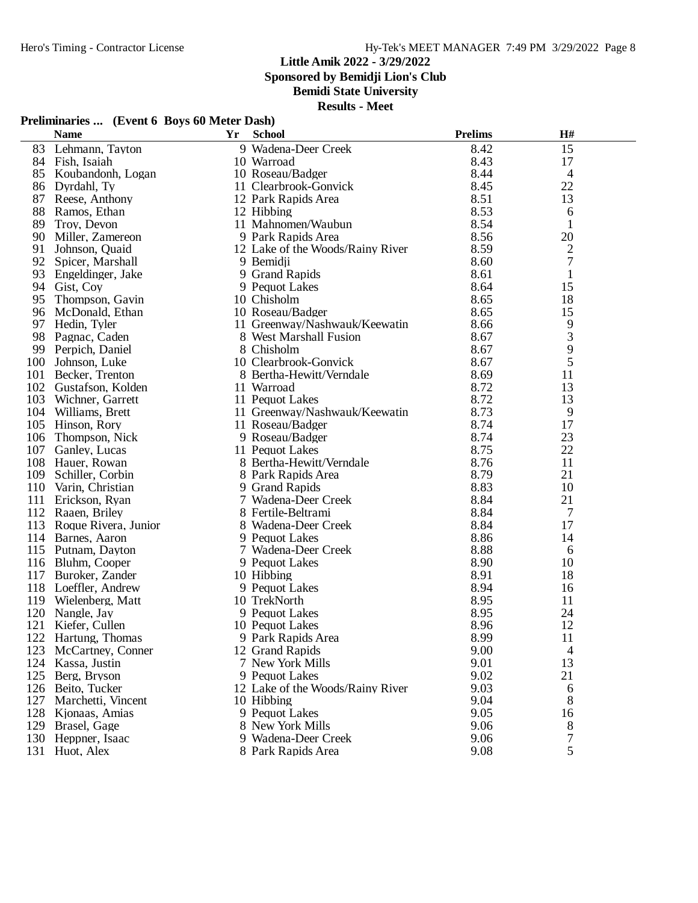**Sponsored by Bemidji Lion's Club**

**Bemidi State University**

**Results - Meet**

## **Preliminaries ... (Event 6 Boys 60 Meter Dash)**

|      | <b>Name</b>           | Yr | <b>School</b>                    | <b>Prelims</b> | H#             |  |
|------|-----------------------|----|----------------------------------|----------------|----------------|--|
| 83   | Lehmann, Tayton       |    | 9 Wadena-Deer Creek              | 8.42           | 15             |  |
|      | 84 Fish, Isaiah       |    | 10 Warroad                       | 8.43           | 17             |  |
| 85   | Koubandonh, Logan     |    | 10 Roseau/Badger                 | 8.44           | $\overline{4}$ |  |
| 86   | Dyrdahl, Ty           |    | 11 Clearbrook-Gonvick            | 8.45           | 22             |  |
| 87   | Reese, Anthony        |    | 12 Park Rapids Area              | 8.51           | 13             |  |
| 88   | Ramos, Ethan          |    | 12 Hibbing                       | 8.53           | 6              |  |
| 89   | Troy, Devon           |    | 11 Mahnomen/Waubun               | 8.54           | $\mathbf{1}$   |  |
| 90   | Miller, Zamereon      |    | 9 Park Rapids Area               | 8.56           | 20             |  |
| 91   | Johnson, Quaid        |    | 12 Lake of the Woods/Rainy River | 8.59           | $\overline{c}$ |  |
| 92   | Spicer, Marshall      |    | 9 Bemidji                        | 8.60           | $\overline{7}$ |  |
| 93   | Engeldinger, Jake     |    | 9 Grand Rapids                   | 8.61           | 1              |  |
| 94   | Gist, Coy             |    | 9 Pequot Lakes                   | 8.64           | 15             |  |
| 95   | Thompson, Gavin       |    | 10 Chisholm                      | 8.65           | 18             |  |
| 96   | McDonald, Ethan       |    | 10 Roseau/Badger                 | 8.65           | 15             |  |
| 97   | Hedin, Tyler          |    | 11 Greenway/Nashwauk/Keewatin    | 8.66           | 9              |  |
| 98   | Pagnac, Caden         |    | 8 West Marshall Fusion           | 8.67           | $\mathfrak{Z}$ |  |
| 99   | Perpich, Daniel       |    | 8 Chisholm                       | 8.67           | 9              |  |
| 100  | Johnson, Luke         |    | 10 Clearbrook-Gonvick            | 8.67           | 5              |  |
| 101  | Becker, Trenton       |    | 8 Bertha-Hewitt/Verndale         | 8.69           | 11             |  |
|      | 102 Gustafson, Kolden |    | 11 Warroad                       | 8.72           | 13             |  |
| 103  | Wichner, Garrett      |    | 11 Pequot Lakes                  | 8.72           | 13             |  |
|      | 104 Williams, Brett   |    | 11 Greenway/Nashwauk/Keewatin    | 8.73           | 9              |  |
| 105  | Hinson, Rory          |    | 11 Roseau/Badger                 | 8.74           | 17             |  |
| 106  | Thompson, Nick        |    | 9 Roseau/Badger                  | 8.74           | 23             |  |
| 107  | Ganley, Lucas         |    | 11 Pequot Lakes                  | 8.75           | 22             |  |
|      | 108 Hauer, Rowan      |    | 8 Bertha-Hewitt/Verndale         | 8.76           | 11             |  |
| 109  | Schiller, Corbin      |    | 8 Park Rapids Area               | 8.79           | 21             |  |
| 110  | Varin, Christian      |    | 9 Grand Rapids                   | 8.83           | 10             |  |
| 111  | Erickson, Ryan        |    | 7 Wadena-Deer Creek              | 8.84           | 21             |  |
| 112  | Raaen, Briley         |    | 8 Fertile-Beltrami               | 8.84           | 7              |  |
| 113  | Roque Rivera, Junior  |    | 8 Wadena-Deer Creek              | 8.84           | 17             |  |
|      | 114 Barnes, Aaron     |    | 9 Pequot Lakes                   | 8.86           | 14             |  |
|      | 115 Putnam, Dayton    |    | 7 Wadena-Deer Creek              | 8.88           | 6              |  |
|      | 116 Bluhm, Cooper     |    | 9 Pequot Lakes                   | 8.90           | 10             |  |
| 117  | Buroker, Zander       |    | 10 Hibbing                       | 8.91           | 18             |  |
| 118  | Loeffler, Andrew      |    | 9 Pequot Lakes                   | 8.94           | 16             |  |
| 119  | Wielenberg, Matt      |    | 10 TrekNorth                     | 8.95           | 11             |  |
| 120  | Nangle, Jay           |    | 9 Pequot Lakes                   | 8.95           | 24             |  |
| 121  | Kiefer, Cullen        |    | 10 Pequot Lakes                  | 8.96           | 12             |  |
|      | 122 Hartung, Thomas   |    | 9 Park Rapids Area               | 8.99           | 11             |  |
| 123. | McCartney, Conner     |    | 12 Grand Rapids                  | 9.00           | 4              |  |
| 124  | Kassa, Justin         |    | 7 New York Mills                 | 9.01           | 13             |  |
| 125  | Berg, Bryson          |    | 9 Pequot Lakes                   | 9.02           | 21             |  |
| 126  | Beito, Tucker         |    | 12 Lake of the Woods/Rainy River | 9.03           | 6              |  |
| 127  | Marchetti, Vincent    |    | 10 Hibbing                       | 9.04           | 8              |  |
|      | 128 Kjonaas, Amias    |    | 9 Pequot Lakes                   | 9.05           | 16             |  |
|      | 129 Brasel, Gage      |    | 8 New York Mills                 | 9.06           | 8              |  |
| 130  | Heppner, Isaac        |    | 9 Wadena-Deer Creek              | 9.06           | 7              |  |
|      | 131 Huot, Alex        |    | 8 Park Rapids Area               | 9.08           | 5              |  |
|      |                       |    |                                  |                |                |  |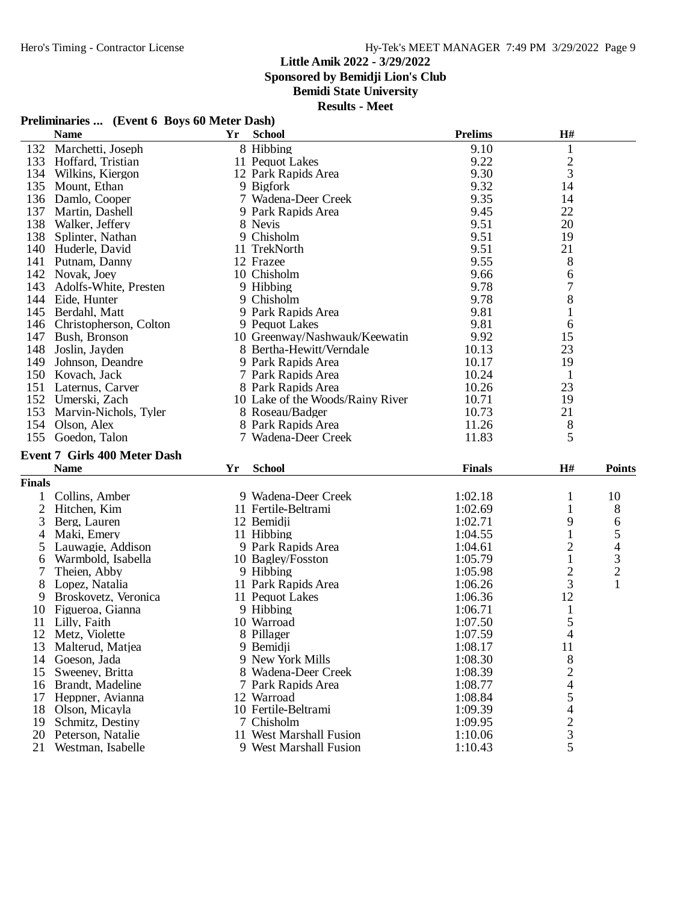**Sponsored by Bemidji Lion's Club**

**Bemidi State University**

**Results - Meet**

## **Preliminaries ... (Event 6 Boys 60 Meter Dash)**

|     | <b>Name</b>                                        | Yr | <b>School</b>                    | <b>Prelims</b> | H#          |  |
|-----|----------------------------------------------------|----|----------------------------------|----------------|-------------|--|
| 132 | Marchetti, Joseph                                  |    | 8 Hibbing                        | 9.10           |             |  |
| 133 | Hoffard, Tristian                                  |    | 11 Pequot Lakes                  | 9.22           | $rac{2}{3}$ |  |
| 134 | Wilkins, Kiergon                                   |    | 12 Park Rapids Area              | 9.30           |             |  |
| 135 | Mount, Ethan                                       |    | 9 Bigfork                        | 9.32           | 14          |  |
| 136 | Damlo, Cooper                                      |    | 7 Wadena-Deer Creek              | 9.35           | 14          |  |
| 137 | Martin, Dashell                                    |    | 9 Park Rapids Area               | 9.45           | 22          |  |
| 138 | Walker, Jeffery                                    |    | 8 Nevis                          | 9.51           | 20          |  |
| 138 | Splinter, Nathan                                   |    | 9 Chisholm                       | 9.51           | 19          |  |
| 140 | Huderle, David                                     |    | 11 TrekNorth                     | 9.51           | 21          |  |
| 141 | Putnam, Danny                                      |    | 12 Frazee                        | 9.55           | 8           |  |
| 142 | Novak, Joey                                        |    | 10 Chisholm                      | 9.66           | 6           |  |
| 143 | Adolfs-White, Presten                              |    | 9 Hibbing                        | 9.78           |             |  |
| 144 | Eide, Hunter                                       |    | 9 Chisholm                       | 9.78           | 8           |  |
| 145 | Berdahl, Matt                                      |    | 9 Park Rapids Area               | 9.81           | $\bf{I}$    |  |
| 146 | Christopherson, Colton                             |    | 9 Pequot Lakes                   | 9.81           | 6           |  |
| 147 | Bush, Bronson                                      |    | 10 Greenway/Nashwauk/Keewatin    | 9.92           | 15          |  |
| 148 | Joslin, Jayden                                     |    | 8 Bertha-Hewitt/Verndale         | 10.13          | 23          |  |
| 149 | Johnson, Deandre                                   |    | 9 Park Rapids Area               | 10.17          | 19          |  |
| 150 | Kovach, Jack                                       |    | 7 Park Rapids Area               | 10.24          |             |  |
| 151 | Laternus, Carver                                   |    | 8 Park Rapids Area               | 10.26          | 23          |  |
| 152 | Umerski, Zach                                      |    | 10 Lake of the Woods/Rainy River | 10.71          | 19          |  |
| 153 | Marvin-Nichols, Tyler                              |    | 8 Roseau/Badger                  | 10.73          | 21          |  |
| 154 | Olson, Alex                                        |    | 8 Park Rapids Area               | 11.26          | 8           |  |
| 155 | Goedon, Talon                                      |    | 7 Wadena-Deer Creek              | 11.83          | 5           |  |
|     | $E_{\text{cont}}$ 7 $C_{\text{in}}$ 400 Motor Doch |    |                                  |                |             |  |

#### **Event 7 Girls 400 Meter Dash Name Yr School Finals H# Points**

**Finals**

| uais |                      |                         |         |                |                |
|------|----------------------|-------------------------|---------|----------------|----------------|
|      | Collins, Amber       | 9 Wadena-Deer Creek     | 1:02.18 |                | 10             |
| 2    | Hitchen, Kim         | 11 Fertile-Beltrami     | 1:02.69 |                | 8              |
| 3    | Berg, Lauren         | 12 Bemidii              | 1:02.71 | 9              | 6              |
|      | Maki, Emery          | 11 Hibbing              | 1:04.55 |                | 5              |
| 5.   | Lauwagie, Addison    | 9 Park Rapids Area      | 1:04.61 |                | 4              |
| 6    | Warmbold, Isabella   | 10 Bagley/Fosston       | 1:05.79 |                | 3              |
|      | Theien, Abby         | 9 Hibbing               | 1:05.98 |                | $\overline{2}$ |
| 8.   | Lopez, Natalia       | 11 Park Rapids Area     | 1:06.26 | 3              |                |
| 9    | Broskovetz, Veronica | 11 Pequot Lakes         | 1:06.36 | 12             |                |
| 10   | Figueroa, Gianna     | 9 Hibbing               | 1:06.71 |                |                |
| 11   | Lilly, Faith         | 10 Warroad              | 1:07.50 |                |                |
| 12   | Metz. Violette       | 8 Pillager              | 1:07.59 | 4              |                |
| 13   | Malterud, Matjea     | 9 Bemidii               | 1:08.17 | 11             |                |
| 14   | Goeson, Jada         | 9 New York Mills        | 1:08.30 | 8              |                |
| 15   | Sweeney, Britta      | 8 Wadena-Deer Creek     | 1:08.39 | 2              |                |
| 16   | Brandt, Madeline     | 7 Park Rapids Area      | 1:08.77 | 4              |                |
| 17   | Heppner, Avianna     | 12 Warroad              | 1:08.84 | 5              |                |
| 18   | Olson, Micayla       | 10 Fertile-Beltrami     | 1:09.39 | 4              |                |
| 19   | Schmitz, Destiny     | 7 Chisholm              | 1:09.95 | $\overline{c}$ |                |
| 20   | Peterson, Natalie    | 11 West Marshall Fusion | 1:10.06 | 3              |                |
|      | 21 Westman, Isabelle | 9 West Marshall Fusion  | 1:10.43 | 5              |                |
|      |                      |                         |         |                |                |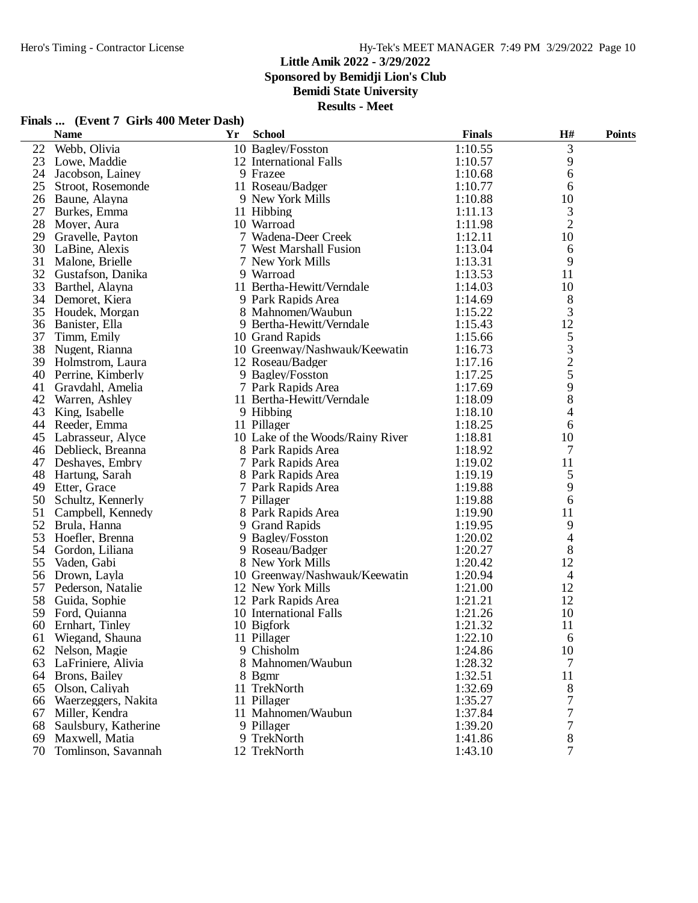**Sponsored by Bemidji Lion's Club**

**Bemidi State University**

| Finals  (Event 7 Girls 400 Meter Dash) |  |
|----------------------------------------|--|
|----------------------------------------|--|

|    | <b>Name</b>            | Yr | <b>School</b>                    | <b>Finals</b> | H#                                         | <b>Points</b> |
|----|------------------------|----|----------------------------------|---------------|--------------------------------------------|---------------|
| 22 | Webb, Olivia           |    | 10 Bagley/Fosston                | 1:10.55       | 3                                          |               |
| 23 | Lowe, Maddie           |    | 12 International Falls           | 1:10.57       | 9                                          |               |
| 24 | Jacobson, Lainey       |    | 9 Frazee                         | 1:10.68       | 6                                          |               |
| 25 | Stroot, Rosemonde      |    | 11 Roseau/Badger                 | 1:10.77       | 6                                          |               |
| 26 | Baune, Alayna          |    | 9 New York Mills                 | 1:10.88       | 10                                         |               |
| 27 | Burkes, Emma           |    | 11 Hibbing                       | 1:11.13       | 3                                          |               |
| 28 | Moyer, Aura            |    | 10 Warroad                       | 1:11.98       | $\overline{2}$                             |               |
| 29 | Gravelle, Payton       |    | 7 Wadena-Deer Creek              | 1:12.11       | 10                                         |               |
| 30 | LaBine, Alexis         |    | 7 West Marshall Fusion           | 1:13.04       | 6                                          |               |
| 31 | Malone, Brielle        |    | 7 New York Mills                 | 1:13.31       | 9                                          |               |
| 32 | Gustafson, Danika      |    | 9 Warroad                        | 1:13.53       | 11                                         |               |
| 33 | Barthel, Alayna        |    | 11 Bertha-Hewitt/Verndale        | 1:14.03       | 10                                         |               |
| 34 | Demoret, Kiera         |    | 9 Park Rapids Area               | 1:14.69       | 8                                          |               |
| 35 | Houdek, Morgan         |    | 8 Mahnomen/Waubun                | 1:15.22       | 3                                          |               |
| 36 | Banister, Ella         |    | 9 Bertha-Hewitt/Verndale         | 1:15.43       | 12                                         |               |
| 37 | Timm, Emily            |    | 10 Grand Rapids                  | 1:15.66       | 5                                          |               |
| 38 | Nugent, Rianna         |    | 10 Greenway/Nashwauk/Keewatin    | 1:16.73       |                                            |               |
| 39 | Holmstrom, Laura       |    | 12 Roseau/Badger                 | 1:17.16       | $\begin{array}{c} 3 \\ 2 \\ 5 \end{array}$ |               |
| 40 | Perrine, Kimberly      |    | 9 Bagley/Fosston                 | 1:17.25       |                                            |               |
| 41 | Gravdahl, Amelia       |    | 7 Park Rapids Area               | 1:17.69       | 9                                          |               |
| 42 | Warren, Ashley         |    | 11 Bertha-Hewitt/Verndale        | 1:18.09       | 8                                          |               |
| 43 | King, Isabelle         |    | 9 Hibbing                        | 1:18.10       | 4                                          |               |
| 44 | Reeder, Emma           |    | 11 Pillager                      | 1:18.25       | 6                                          |               |
| 45 | Labrasseur, Alyce      |    | 10 Lake of the Woods/Rainy River | 1:18.81       | 10                                         |               |
| 46 | Deblieck, Breanna      |    | 8 Park Rapids Area               | 1:18.92       | 7                                          |               |
| 47 | Deshayes, Embry        |    | 7 Park Rapids Area               | 1:19.02       | 11                                         |               |
| 48 | Hartung, Sarah         |    | 8 Park Rapids Area               | 1:19.19       | 5                                          |               |
| 49 | Etter, Grace           |    | 7 Park Rapids Area               | 1:19.88       | 9                                          |               |
| 50 | Schultz, Kennerly      |    | 7 Pillager                       | 1:19.88       | 6                                          |               |
| 51 | Campbell, Kennedy      |    | 8 Park Rapids Area               | 1:19.90       | 11                                         |               |
| 52 | Brula, Hanna           |    | 9 Grand Rapids                   | 1:19.95       | 9                                          |               |
| 53 | Hoefler, Brenna        |    | 9 Bagley/Fosston                 | 1:20.02       | 4                                          |               |
| 54 | Gordon, Liliana        |    | 9 Roseau/Badger                  | 1:20.27       | 8                                          |               |
| 55 | Vaden, Gabi            |    | 8 New York Mills                 | 1:20.42       | 12                                         |               |
| 56 | Drown, Layla           |    | 10 Greenway/Nashwauk/Keewatin    | 1:20.94       | 4                                          |               |
| 57 | Pederson, Natalie      |    | 12 New York Mills                | 1:21.00       | 12                                         |               |
| 58 | Guida, Sophie          |    | 12 Park Rapids Area              | 1:21.21       | 12                                         |               |
| 59 | Ford, Quianna          |    | 10 International Falls           | 1:21.26       | 10                                         |               |
| 60 | Ernhart, Tinley        |    | 10 Bigfork                       | 1:21.32       | 11                                         |               |
| 61 | Wiegand, Shauna        |    | 11 Pillager                      | 1:22.10       | 6                                          |               |
|    | 62 Nelson, Magie       |    | 9 Chisholm                       | 1:24.86       | 10                                         |               |
| 63 | LaFriniere, Alivia     |    | 8 Mahnomen/Waubun                | 1:28.32       | 7                                          |               |
| 64 | Brons, Bailey          |    | 8 Bgmr                           | 1:32.51       | 11                                         |               |
|    | 65 Olson, Caliyah      |    | 11 TrekNorth                     | 1:32.69       | 8                                          |               |
| 66 | Waerzeggers, Nakita    |    | 11 Pillager                      | 1:35.27       | 7                                          |               |
| 67 | Miller, Kendra         |    | 11 Mahnomen/Waubun               | 1:37.84       | 7                                          |               |
| 68 | Saulsbury, Katherine   |    | 9 Pillager                       | 1:39.20       | 7                                          |               |
| 69 | Maxwell, Matia         |    | 9 TrekNorth                      | 1:41.86       | 8                                          |               |
|    | 70 Tomlinson, Savannah |    | 12 TrekNorth                     | 1:43.10       | 7                                          |               |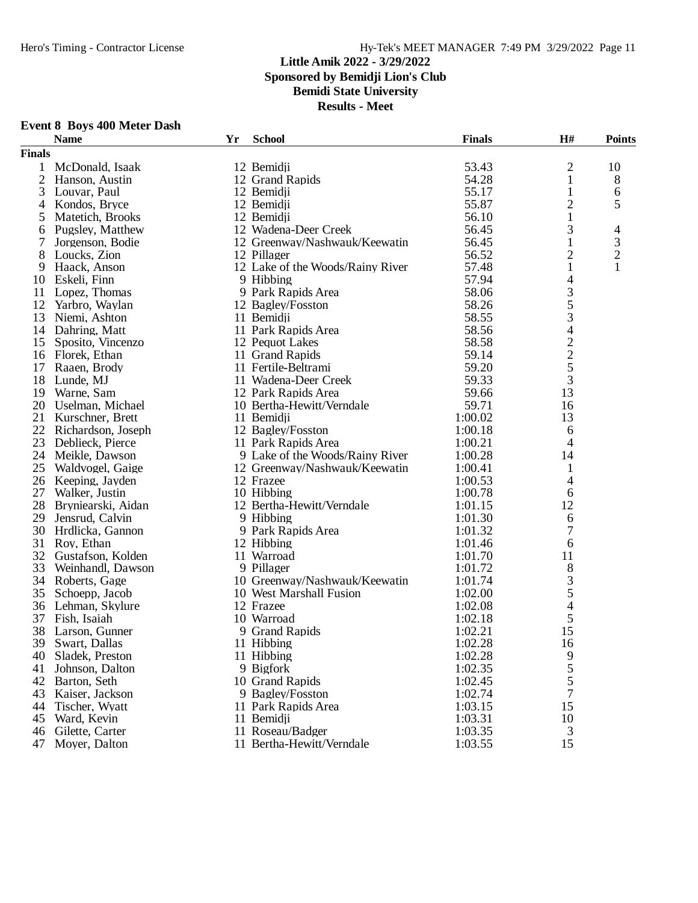**Sponsored by Bemidji Lion's Club**

**Bemidi State University**

| <b>Event 8 Boys 400 Meter Dash</b> |  |  |  |  |
|------------------------------------|--|--|--|--|
|------------------------------------|--|--|--|--|

|               | <b>Name</b>        | Yr | <b>School</b>                    | <b>Finals</b> | H#                                         | <b>Points</b>               |
|---------------|--------------------|----|----------------------------------|---------------|--------------------------------------------|-----------------------------|
| <b>Finals</b> |                    |    |                                  |               |                                            |                             |
| 1             | McDonald, Isaak    |    | 12 Bemidji                       | 53.43         | 2                                          | 10                          |
|               | 2 Hanson, Austin   |    | 12 Grand Rapids                  | 54.28         | $\mathbf{1}$                               | 8                           |
| 3             | Louvar, Paul       |    | 12 Bemidji                       | 55.17         | $\mathbf{1}$                               | 6                           |
| 4             | Kondos, Bryce      |    | 12 Bemidji                       | 55.87         | $\overline{c}$                             | 5                           |
| 5             | Matetich, Brooks   |    | 12 Bemidji                       | 56.10         | $\mathbf{1}$                               |                             |
| 6             | Pugsley, Matthew   |    | 12 Wadena-Deer Creek             | 56.45         | 3                                          | $\overline{4}$              |
| 7             | Jorgenson, Bodie   |    | 12 Greenway/Nashwauk/Keewatin    | 56.45         | $\mathbf{1}$                               | $\ensuremath{\mathfrak{Z}}$ |
| 8             | Loucks, Zion       |    | 12 Pillager                      | 56.52         | $\overline{c}$                             | $\overline{c}$              |
| 9             | Haack, Anson       |    | 12 Lake of the Woods/Rainy River | 57.48         | $\mathbf{1}$                               | 1                           |
| 10            | Eskeli, Finn       |    | 9 Hibbing                        | 57.94         | $\overline{\mathcal{A}}$                   |                             |
| 11            | Lopez, Thomas      |    | 9 Park Rapids Area               | 58.06         | 3                                          |                             |
| 12            | Yarbro, Waylan     |    | 12 Bagley/Fosston                | 58.26         | 5                                          |                             |
| 13            | Niemi, Ashton      |    | 11 Bemidji                       | 58.55         | 3                                          |                             |
| 14            | Dahring, Matt      |    | 11 Park Rapids Area              | 58.56         | 4                                          |                             |
| 15            | Sposito, Vincenzo  |    | 12 Pequot Lakes                  | 58.58         |                                            |                             |
| 16            | Florek, Ethan      |    | 11 Grand Rapids                  | 59.14         | $\begin{array}{c} 2 \\ 2 \\ 5 \end{array}$ |                             |
| 17            | Raaen, Brody       |    | 11 Fertile-Beltrami              | 59.20         |                                            |                             |
| 18            | Lunde, MJ          |    | 11 Wadena-Deer Creek             | 59.33         | 3                                          |                             |
| 19            | Warne, Sam         |    | 12 Park Rapids Area              | 59.66         | 13                                         |                             |
| 20            | Uselman, Michael   |    | 10 Bertha-Hewitt/Verndale        | 59.71         | 16                                         |                             |
| 21            | Kurschner, Brett   |    | 11 Bemidji                       | 1:00.02       | 13                                         |                             |
| 22            | Richardson, Joseph |    | 12 Bagley/Fosston                | 1:00.18       | 6                                          |                             |
| 23            | Deblieck, Pierce   |    | 11 Park Rapids Area              | 1:00.21       | 4                                          |                             |
| 24            | Meikle, Dawson     |    | 9 Lake of the Woods/Rainy River  | 1:00.28       | 14                                         |                             |
| 25            | Waldvogel, Gaige   |    | 12 Greenway/Nashwauk/Keewatin    | 1:00.41       | 1                                          |                             |
| 26            | Keeping, Jayden    |    | 12 Frazee                        | 1:00.53       | 4                                          |                             |
| 27            | Walker, Justin     |    | 10 Hibbing                       | 1:00.78       | 6                                          |                             |
| 28            | Bryniearski, Aidan |    | 12 Bertha-Hewitt/Verndale        | 1:01.15       | 12                                         |                             |
| 29            | Jensrud, Calvin    |    | 9 Hibbing                        | 1:01.30       | 6                                          |                             |
| 30            | Hrdlicka, Gannon   |    | 9 Park Rapids Area               | 1:01.32       | 7                                          |                             |
| 31            | Roy, Ethan         |    | 12 Hibbing                       | 1:01.46       | 6                                          |                             |
| 32            | Gustafson, Kolden  |    | 11 Warroad                       | 1:01.70       | 11                                         |                             |
| 33            | Weinhandl, Dawson  |    | 9 Pillager                       | 1:01.72       | 8                                          |                             |
| 34            | Roberts, Gage      |    | 10 Greenway/Nashwauk/Keewatin    | 1:01.74       | 3                                          |                             |
| 35            | Schoepp, Jacob     |    | 10 West Marshall Fusion          | 1:02.00       | 5                                          |                             |
| 36            | Lehman, Skylure    |    | 12 Frazee                        | 1:02.08       | 4                                          |                             |
| 37            | Fish, Isaiah       |    | 10 Warroad                       | 1:02.18       | 5                                          |                             |
| 38            | Larson, Gunner     |    | 9 Grand Rapids                   | 1:02.21       | 15                                         |                             |
|               | 39 Swart, Dallas   |    | 11 Hibbing                       | 1:02.28       |                                            |                             |
| 40            | Sladek, Preston    |    | 11 Hibbing                       | 1:02.28       | 16<br>9                                    |                             |
| 41            | Johnson, Dalton    |    | 9 Bigfork                        | 1:02.35       | 5                                          |                             |
| 42            | Barton, Seth       |    | 10 Grand Rapids                  | 1:02.45       | 5                                          |                             |
| 43            | Kaiser, Jackson    |    | 9 Bagley/Fosston                 | 1:02.74       | 7                                          |                             |
| 44            | Tischer, Wyatt     |    | 11 Park Rapids Area              | 1:03.15       | 15                                         |                             |
| 45            | Ward, Kevin        |    | 11 Bemidji                       | 1:03.31       | 10                                         |                             |
| 46            | Gilette, Carter    |    | 11 Roseau/Badger                 | 1:03.35       | 3                                          |                             |
| 47            | Moyer, Dalton      |    | 11 Bertha-Hewitt/Verndale        | 1:03.55       | 15                                         |                             |
|               |                    |    |                                  |               |                                            |                             |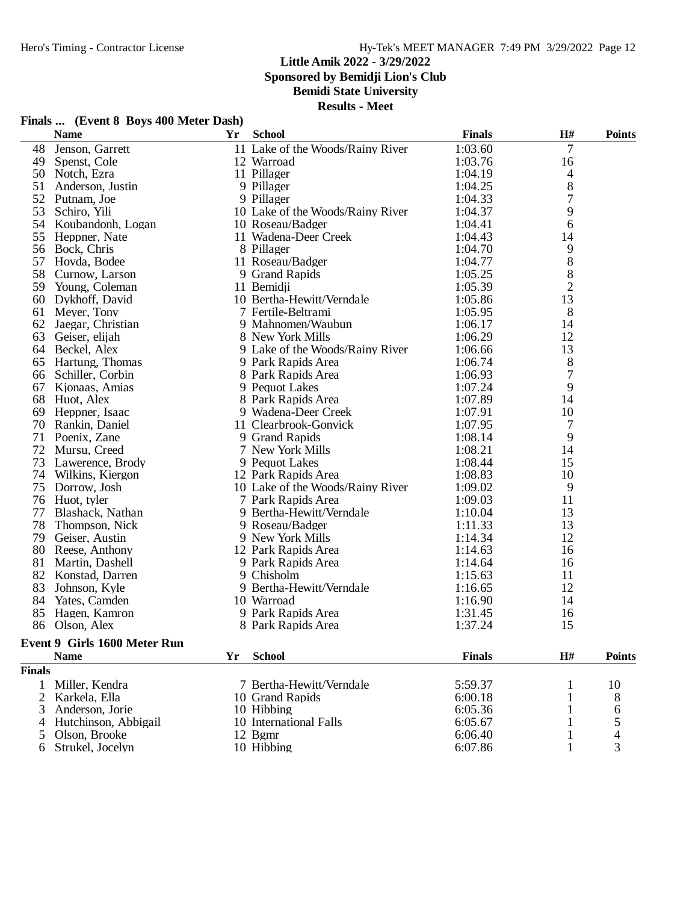**Sponsored by Bemidji Lion's Club**

**Bemidi State University**

**Results - Meet**

|                | <b>Name</b>                  | Yr | <b>School</b>                    | <b>Finals</b> | H#             | <b>Points</b> |
|----------------|------------------------------|----|----------------------------------|---------------|----------------|---------------|
|                | 48 Jenson, Garrett           |    | 11 Lake of the Woods/Rainy River | 1:03.60       | $\overline{7}$ |               |
|                | 49 Spenst, Cole              |    | 12 Warroad                       | 1:03.76       | 16             |               |
|                | 50 Notch, Ezra               |    | 11 Pillager                      | 1:04.19       | 4              |               |
| 51             | Anderson, Justin             |    | 9 Pillager                       | 1:04.25       | 8              |               |
| 52             | Putnam, Joe                  |    | 9 Pillager                       | 1:04.33       | 7              |               |
|                | 53 Schiro, Yili              |    | 10 Lake of the Woods/Rainy River | 1:04.37       | 9              |               |
|                | 54 Koubandonh, Logan         |    | 10 Roseau/Badger                 | 1:04.41       | 6              |               |
|                | 55 Heppner, Nate             |    | 11 Wadena-Deer Creek             | 1:04.43       | 14             |               |
|                | 56 Bock, Chris               |    | 8 Pillager                       | 1:04.70       | 9              |               |
|                | 57 Hovda, Bodee              |    | 11 Roseau/Badger                 | 1:04.77       | 8              |               |
|                | 58 Curnow, Larson            |    | 9 Grand Rapids                   | 1:05.25       | 8              |               |
|                | 59 Young, Coleman            |    | 11 Bemidji                       | 1:05.39       | $\overline{c}$ |               |
|                | 60 Dykhoff, David            |    | 10 Bertha-Hewitt/Verndale        | 1:05.86       | 13             |               |
|                | 61 Meyer, Tony               |    | 7 Fertile-Beltrami               | 1:05.95       | 8              |               |
| 62             | Jaegar, Christian            |    | 9 Mahnomen/Waubun                | 1:06.17       | 14             |               |
|                | 63 Geiser, elijah            |    | 8 New York Mills                 | 1:06.29       | 12             |               |
|                | 64 Beckel, Alex              |    | 9 Lake of the Woods/Rainy River  | 1:06.66       | 13             |               |
|                | 65 Hartung, Thomas           |    | 9 Park Rapids Area               | 1:06.74       | 8              |               |
|                | 66 Schiller, Corbin          |    | 8 Park Rapids Area               | 1:06.93       | 7              |               |
|                | 67 Kjonaas, Amias            |    | 9 Pequot Lakes                   | 1:07.24       | 9              |               |
|                | 68 Huot, Alex                |    | 8 Park Rapids Area               | 1:07.89       | 14             |               |
|                | 69 Heppner, Isaac            |    | 9 Wadena-Deer Creek              | 1:07.91       | 10             |               |
|                | 70 Rankin, Daniel            |    | 11 Clearbrook-Gonvick            | 1:07.95       | 7              |               |
|                | 71 Poenix, Zane              |    | 9 Grand Rapids                   | 1:08.14       | 9              |               |
| 72             | Mursu, Creed                 |    | 7 New York Mills                 | 1:08.21       | 14             |               |
|                | 73 Lawerence, Brody          |    | 9 Pequot Lakes                   | 1:08.44       | 15             |               |
|                | 74 Wilkins, Kiergon          |    | 12 Park Rapids Area              | 1:08.83       | 10             |               |
|                |                              |    | 10 Lake of the Woods/Rainy River | 1:09.02       | 9              |               |
|                | 75 Dorrow, Josh              |    |                                  |               |                |               |
| 77             | 76 Huot, tyler               |    | 7 Park Rapids Area               | 1:09.03       | 11<br>13       |               |
|                | Blashack, Nathan             |    | 9 Bertha-Hewitt/Verndale         | 1:10.04       |                |               |
| 78             | Thompson, Nick               |    | 9 Roseau/Badger                  | 1:11.33       | 13             |               |
|                | 79 Geiser, Austin            |    | 9 New York Mills                 | 1:14.34       | 12             |               |
|                | 80 Reese, Anthony            |    | 12 Park Rapids Area              | 1:14.63       | 16             |               |
|                | 81 Martin, Dashell           |    | 9 Park Rapids Area               | 1:14.64       | 16             |               |
|                | 82 Konstad, Darren           |    | 9 Chisholm                       | 1:15.63       | 11             |               |
|                | 83 Johnson, Kyle             |    | 9 Bertha-Hewitt/Verndale         | 1:16.65       | 12             |               |
|                | 84 Yates, Camden             |    | 10 Warroad                       | 1:16.90       | 14             |               |
| 85             | Hagen, Kamron                |    | 9 Park Rapids Area               | 1:31.45       | 16             |               |
|                | 86 Olson, Alex               |    | 8 Park Rapids Area               | 1:37.24       | 15             |               |
|                | Event 9 Girls 1600 Meter Run |    |                                  |               |                |               |
|                | <b>Name</b>                  | Yr | <b>School</b>                    | <b>Finals</b> | H#             | <b>Points</b> |
| <b>Finals</b>  |                              |    |                                  |               |                |               |
| $\mathbf{1}$   | Miller, Kendra               |    | 7 Bertha-Hewitt/Verndale         | 5:59.37       | $\mathbf{1}$   | 10            |
| $\overline{c}$ | Karkela, Ella                |    | 10 Grand Rapids                  | 6:00.18       | $\mathbf{1}$   | 8             |
| 3              | Anderson, Jorie              |    | 10 Hibbing                       | 6:05.36       | 1              | 6             |

3 Anderson, Jorie 10 Hibbing 6:05.36 1 6<br>4 Hutchinson, Abbigail 10 International Falls 6:05.67 1 5<br>5 Olson, Brooke 12 Bgmr 6:06.40 1 4 4 Hutchinson, Abbigail 10 International Falls 6:05.67 1 5 5 Olson, Brooke 12 Bgmr 6:06.40 1 4 Strukel, Jocelyn 10 Hibbing 6:07.86 1 3

#### **Finals ... (Event 8 Boys 400 Meter Dash)**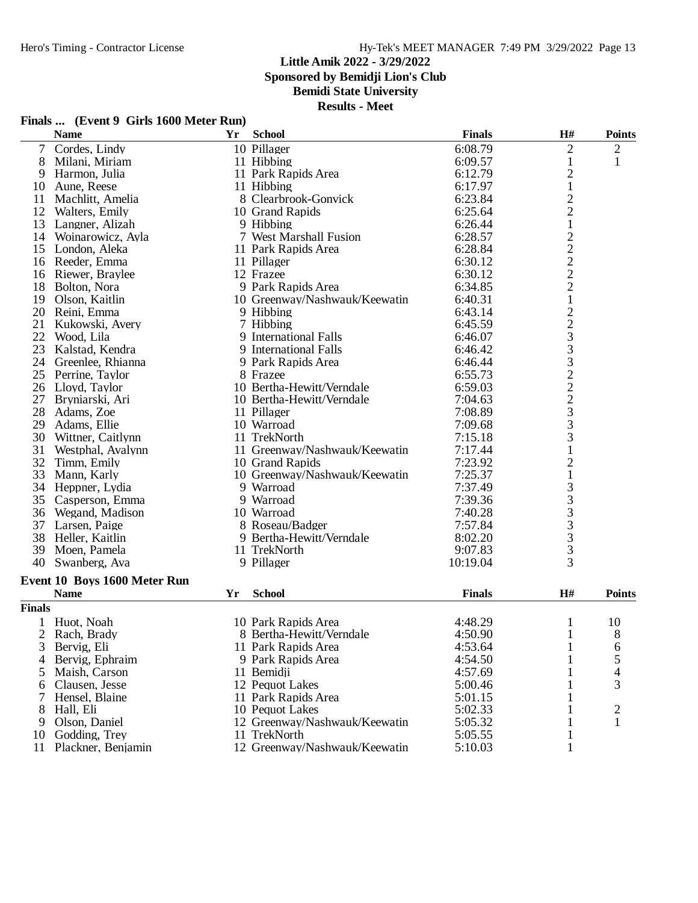**Sponsored by Bemidji Lion's Club**

**Bemidi State University**

|  | Finals  (Event 9 Girls 1600 Meter Run) |  |  |  |  |  |
|--|----------------------------------------|--|--|--|--|--|
|--|----------------------------------------|--|--|--|--|--|

|                | <b>Name</b>                  | Yr | <b>School</b>                 | <b>Finals</b> | H#                                                | <b>Points</b>  |
|----------------|------------------------------|----|-------------------------------|---------------|---------------------------------------------------|----------------|
| $\tau$         | Cordes, Lindy                |    | 10 Pillager                   | 6:08.79       | $\mathfrak{2}$                                    | $\overline{c}$ |
| 8              | Milani, Miriam               |    | 11 Hibbing                    | 6:09.57       | $\mathbf{1}$                                      | $\mathbf{1}$   |
| 9              | Harmon, Julia                |    | 11 Park Rapids Area           | 6:12.79       |                                                   |                |
| 10             | Aune, Reese                  |    | 11 Hibbing                    | 6:17.97       | $\frac{2}{1}$                                     |                |
| 11             | Machlitt, Amelia             |    | 8 Clearbrook-Gonvick          | 6:23.84       |                                                   |                |
| 12             | Walters, Emily               |    | 10 Grand Rapids               | 6:25.64       | $\frac{2}{2}$                                     |                |
| 13             | Langner, Alizah              |    | 9 Hibbing                     | 6:26.44       | $\,1$                                             |                |
|                | 14 Woinarowicz, Ayla         |    | 7 West Marshall Fusion        | 6:28.57       |                                                   |                |
| 15             | London, Aleka                |    | 11 Park Rapids Area           | 6:28.84       | $\begin{array}{c}\n2 \\ 2 \\ 2 \\ 2\n\end{array}$ |                |
| 16             | Reeder, Emma                 |    | 11 Pillager                   | 6:30.12       |                                                   |                |
| 16             | Riewer, Braylee              |    | 12 Frazee                     | 6:30.12       |                                                   |                |
| 18             | Bolton, Nora                 |    | 9 Park Rapids Area            | 6:34.85       |                                                   |                |
| 19             | Olson, Kaitlin               |    | 10 Greenway/Nashwauk/Keewatin | 6:40.31       | $\mathbf 1$                                       |                |
| 20             | Reini, Emma                  |    | 9 Hibbing                     | 6:43.14       |                                                   |                |
| 21             | Kukowski, Avery              |    | 7 Hibbing                     | 6:45.59       |                                                   |                |
| 22             | Wood, Lila                   |    | 9 International Falls         | 6:46.07       | $\begin{array}{c} 2 \\ 2 \\ 3 \\ 3 \end{array}$   |                |
| 23             | Kalstad, Kendra              |    | 9 International Falls         | 6:46.42       |                                                   |                |
|                | 24 Greenlee, Rhianna         |    | 9 Park Rapids Area            | 6:46.44       | 3                                                 |                |
| 25             | Perrine, Taylor              |    | 8 Frazee                      | 6:55.73       | $\sqrt{2}$                                        |                |
|                | 26 Lloyd, Taylor             |    | 10 Bertha-Hewitt/Verndale     | 6:59.03       |                                                   |                |
| 27             | Bryniarski, Ari              |    | 10 Bertha-Hewitt/Verndale     | 7:04.63       |                                                   |                |
| 28             | Adams, Zoe                   |    | 11 Pillager                   | 7:08.89       |                                                   |                |
| 29             | Adams, Ellie                 |    | 10 Warroad                    | 7:09.68       | $\begin{array}{c} 2 \\ 2 \\ 3 \\ 3 \end{array}$   |                |
| 30             | Wittner, Caitlynn            |    | 11 TrekNorth                  | 7:15.18       | $\mathfrak{Z}$                                    |                |
| 31             | Westphal, Avalynn            |    | 11 Greenway/Nashwauk/Keewatin | 7:17.44       | $\mathbf{1}$                                      |                |
| 32             | Timm, Emily                  |    | 10 Grand Rapids               | 7:23.92       | $\overline{c}$                                    |                |
| 33             | Mann, Karly                  |    | 10 Greenway/Nashwauk/Keewatin | 7:25.37       | $\,1\,$                                           |                |
|                | 34 Heppner, Lydia            |    | 9 Warroad                     | 7:37.49       |                                                   |                |
| 35             | Casperson, Emma              |    | 9 Warroad                     | 7:39.36       | $\frac{3}{3}$                                     |                |
| 36             | Wegand, Madison              |    | 10 Warroad                    | 7:40.28       |                                                   |                |
| 37             | Larsen, Paige                |    | 8 Roseau/Badger               | 7:57.84       | $\begin{array}{c} 3 \\ 3 \\ 3 \end{array}$        |                |
| 38             | Heller, Kaitlin              |    | 9 Bertha-Hewitt/Verndale      | 8:02.20       |                                                   |                |
| 39             | Moen, Pamela                 |    | 11 TrekNorth                  | 9:07.83       |                                                   |                |
| 40             | Swanberg, Ava                |    | 9 Pillager                    | 10:19.04      | $\frac{3}{3}$                                     |                |
|                |                              |    |                               |               |                                                   |                |
|                | Event 10 Boys 1600 Meter Run |    |                               |               |                                                   |                |
|                | <b>Name</b>                  | Yr | <b>School</b>                 | <b>Finals</b> | $\mathbf{H}$ #                                    | <b>Points</b>  |
| <b>Finals</b>  |                              |    |                               |               |                                                   |                |
|                | Huot, Noah                   |    | 10 Park Rapids Area           | 4:48.29       | 1                                                 | 10             |
| $\overline{2}$ | Rach, Brady                  |    | 8 Bertha-Hewitt/Verndale      | 4:50.90       | 1                                                 | 8              |
| 3              | Bervig, Eli                  |    | 11 Park Rapids Area           | 4:53.64       | $\mathbf{1}$                                      | 6              |
| 4              | Bervig, Ephraim              |    | 9 Park Rapids Area            | 4:54.50       |                                                   | 5              |
| 5              | Maish, Carson                |    | 11 Bemidji                    | 4:57.69       |                                                   | 4              |
| 6              | Clausen, Jesse               |    | 12 Pequot Lakes               | 5:00.46       |                                                   | 3              |
| 7              | Hensel, Blaine               |    | 11 Park Rapids Area           | 5:01.15       |                                                   |                |
| 8              | Hall, Eli                    |    | 10 Pequot Lakes               | 5:02.33       |                                                   | 2              |
| 9              | Olson, Daniel                |    | 12 Greenway/Nashwauk/Keewatin | 5:05.32       |                                                   | 1              |
| 10             | Godding, Trey                |    | 11 TrekNorth                  | 5:05.55       |                                                   |                |
| 11             | Plackner, Benjamin           |    | 12 Greenway/Nashwauk/Keewatin | 5:10.03       | 1                                                 |                |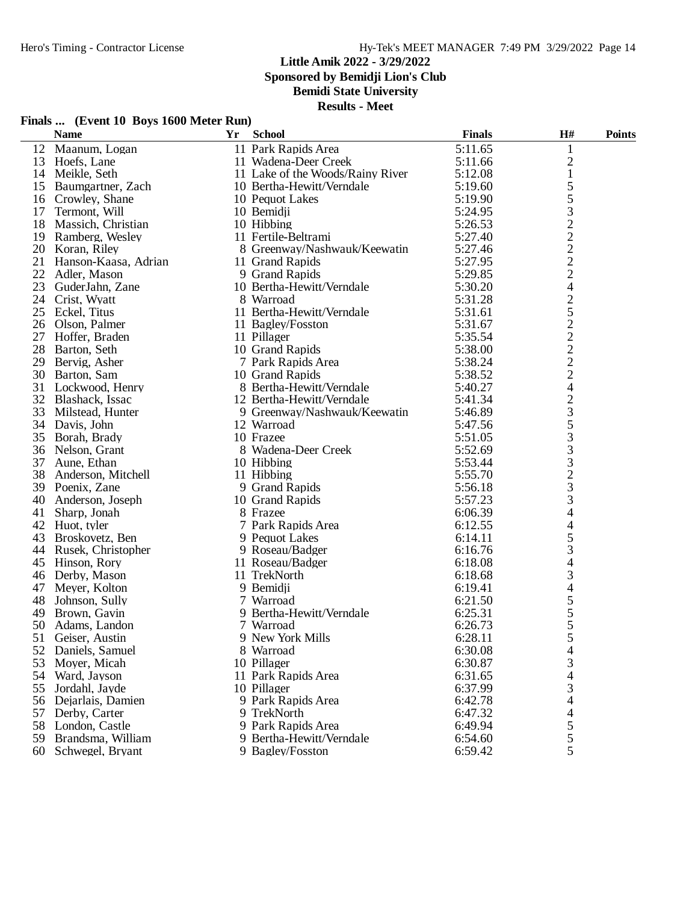**Finals ... (Event 10 Boys 1600 Meter Run)**

#### **Little Amik 2022 - 3/29/2022**

**Sponsored by Bemidji Lion's Club**

## **Bemidi State University**

|    | <b>Name</b>           | Yr | <b>School</b>                    | <b>Finals</b> | $\mathbf{H}$ #           | <b>Points</b> |
|----|-----------------------|----|----------------------------------|---------------|--------------------------|---------------|
|    | 12 Maanum, Logan      |    | 11 Park Rapids Area              | 5:11.65       | $\mathbf{1}$             |               |
|    | 13 Hoefs, Lane        |    | 11 Wadena-Deer Creek             | 5:11.66       | $\overline{c}$           |               |
|    | 14 Meikle, Seth       |    | 11 Lake of the Woods/Rainy River | 5:12.08       | $\mathbf{1}$             |               |
| 15 | Baumgartner, Zach     |    | 10 Bertha-Hewitt/Verndale        | 5:19.60       | 5                        |               |
| 16 | Crowley, Shane        |    | 10 Pequot Lakes                  | 5:19.90       | 5                        |               |
| 17 | Termont, Will         |    | 10 Bemidji                       | 5:24.95       | 3                        |               |
|    | 18 Massich, Christian |    | 10 Hibbing                       | 5:26.53       | $\overline{c}$           |               |
|    | 19 Ramberg, Wesley    |    | 11 Fertile-Beltrami              | 5:27.40       | $\overline{c}$           |               |
|    | 20 Koran, Riley       |    | 8 Greenway/Nashwauk/Keewatin     | 5:27.46       | $\overline{c}$           |               |
| 21 | Hanson-Kaasa, Adrian  |    | 11 Grand Rapids                  | 5:27.95       | $\overline{c}$           |               |
| 22 | Adler, Mason          |    | 9 Grand Rapids                   | 5:29.85       | $\overline{c}$           |               |
| 23 | GuderJahn, Zane       |    | 10 Bertha-Hewitt/Verndale        | 5:30.20       | $\overline{4}$           |               |
|    | 24 Crist, Wyatt       |    | 8 Warroad                        | 5:31.28       | $\overline{c}$           |               |
|    | 25 Eckel, Titus       |    | 11 Bertha-Hewitt/Verndale        | 5:31.61       | 5                        |               |
|    | 26 Olson, Palmer      |    | 11 Bagley/Fosston                | 5:31.67       |                          |               |
| 27 | Hoffer, Braden        |    | 11 Pillager                      | 5:35.54       | $\frac{2}{2}$            |               |
| 28 | Barton, Seth          |    | 10 Grand Rapids                  | 5:38.00       | $\overline{c}$           |               |
| 29 |                       |    | 7 Park Rapids Area               | 5:38.24       | $\overline{c}$           |               |
|    | Bervig, Asher         |    |                                  |               | $\overline{c}$           |               |
|    | 30 Barton, Sam        |    | 10 Grand Rapids                  | 5:38.52       |                          |               |
|    | 31 Lockwood, Henry    |    | 8 Bertha-Hewitt/Verndale         | 5:40.27       | $\overline{\mathcal{L}}$ |               |
|    | 32 Blashack, Issac    |    | 12 Bertha-Hewitt/Verndale        | 5:41.34       | $\frac{2}{3}$            |               |
|    | 33 Milstead, Hunter   |    | 9 Greenway/Nashwauk/Keewatin     | 5:46.89       |                          |               |
| 34 | Davis, John           |    | 12 Warroad                       | 5:47.56       | 5                        |               |
| 35 | Borah, Brady          |    | 10 Frazee                        | 5:51.05       | 3                        |               |
|    | 36 Nelson, Grant      |    | 8 Wadena-Deer Creek              | 5:52.69       | 3                        |               |
| 37 | Aune, Ethan           |    | 10 Hibbing                       | 5:53.44       | 3                        |               |
| 38 | Anderson, Mitchell    |    | 11 Hibbing                       | 5:55.70       | $\frac{2}{3}$            |               |
|    | 39 Poenix, Zane       |    | 9 Grand Rapids                   | 5:56.18       |                          |               |
| 40 | Anderson, Joseph      |    | 10 Grand Rapids                  | 5:57.23       | 3                        |               |
| 41 | Sharp, Jonah          |    | 8 Frazee                         | 6:06.39       | $\overline{4}$           |               |
|    | 42 Huot, tyler        |    | 7 Park Rapids Area               | 6:12.55       | 4                        |               |
|    | 43 Broskovetz, Ben    |    | 9 Pequot Lakes                   | 6:14.11       | 5                        |               |
|    | 44 Rusek, Christopher |    | 9 Roseau/Badger                  | 6:16.76       | 3                        |               |
|    | 45 Hinson, Rory       |    | 11 Roseau/Badger                 | 6:18.08       | 4                        |               |
|    | 46 Derby, Mason       |    | 11 TrekNorth                     | 6:18.68       | 3                        |               |
| 47 | Meyer, Kolton         |    | 9 Bemidji                        | 6:19.41       | $\overline{4}$           |               |
| 48 | Johnson, Sully        |    | 7 Warroad                        | 6:21.50       | 5                        |               |
| 49 | Brown, Gavin          |    | 9 Bertha-Hewitt/Verndale         | 6:25.31       | 5                        |               |
| 50 | Adams, Landon         |    | 7 Warroad                        | 6:26.73       | 5                        |               |
|    | 51 Geiser, Austin     |    | 9 New York Mills                 | 6:28.11       |                          |               |
| 52 | Daniels, Samuel       |    | 8 Warroad                        | 6:30.08       | 4                        |               |
| 53 | Moyer, Micah          |    | 10 Pillager                      | 6:30.87       | 3                        |               |
|    | 54 Ward, Jayson       |    | 11 Park Rapids Area              | 6:31.65       | 4                        |               |
|    | 55 Jordahl, Jayde     |    | 10 Pillager                      | 6:37.99       | 3                        |               |
|    | 56 Dejarlais, Damien  |    | 9 Park Rapids Area               | 6:42.78       | 4                        |               |
|    | 57 Derby, Carter      |    | 9 TrekNorth                      | 6:47.32       | 4                        |               |
|    | 58 London, Castle     |    | 9 Park Rapids Area               | 6:49.94       | 5                        |               |
|    | 59 Brandsma, William  |    | 9 Bertha-Hewitt/Verndale         | 6:54.60       | 5                        |               |
|    | 60 Schwegel, Bryant   |    | 9 Bagley/Fosston                 | 6:59.42       | 5                        |               |
|    |                       |    |                                  |               |                          |               |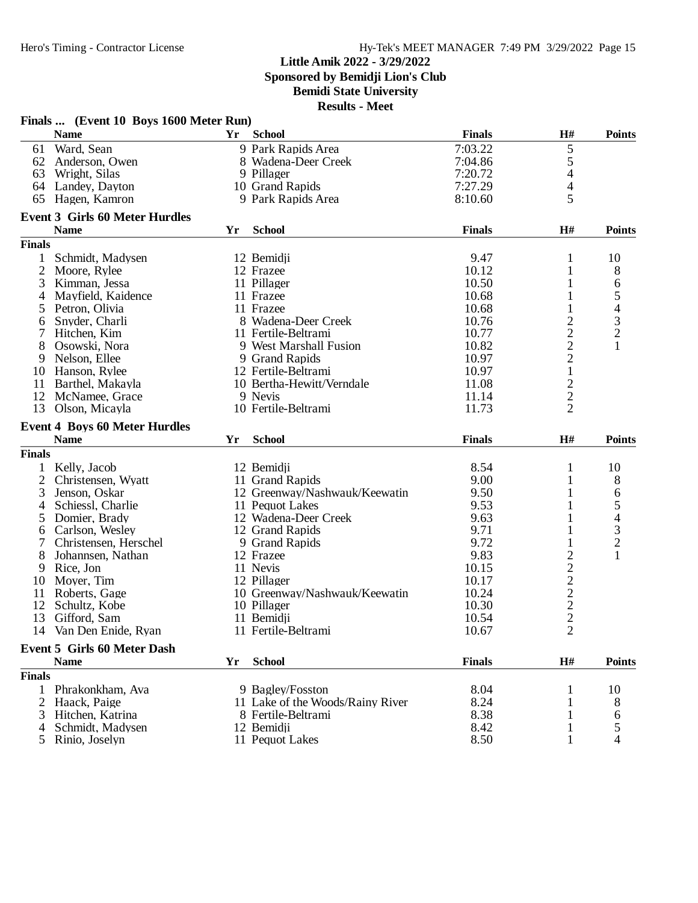**Sponsored by Bemidji Lion's Club**

**Bemidi State University**

|                | Finals  (Event 10 Boys 1600 Meter Run)            |    |                                              |                |                                 |                                                 |
|----------------|---------------------------------------------------|----|----------------------------------------------|----------------|---------------------------------|-------------------------------------------------|
|                | <b>Name</b>                                       | Yr | <b>School</b>                                | <b>Finals</b>  | H#                              | <b>Points</b>                                   |
| 61             | Ward, Sean                                        |    | 9 Park Rapids Area                           | 7:03.22        | 5                               |                                                 |
|                | 62 Anderson, Owen                                 |    | 8 Wadena-Deer Creek                          | 7:04.86        | 5                               |                                                 |
| 63             | Wright, Silas                                     |    | 9 Pillager                                   | 7:20.72        | 4                               |                                                 |
| 64             | Landey, Dayton                                    |    | 10 Grand Rapids                              | 7:27.29        | $\overline{\mathcal{A}}$        |                                                 |
| 65             | Hagen, Kamron                                     |    | 9 Park Rapids Area                           | 8:10.60        | 5                               |                                                 |
|                | <b>Event 3 Girls 60 Meter Hurdles</b>             |    |                                              |                |                                 |                                                 |
|                | <b>Name</b>                                       | Yr | <b>School</b>                                | <b>Finals</b>  | H#                              | <b>Points</b>                                   |
| <b>Finals</b>  |                                                   |    |                                              |                |                                 |                                                 |
| 1              | Schmidt, Madysen                                  |    | 12 Bemidji                                   | 9.47           |                                 | 10                                              |
| $\overline{c}$ | Moore, Rylee                                      |    | 12 Frazee                                    | 10.12          |                                 | 8                                               |
| 3              | Kimman, Jessa                                     |    | 11 Pillager                                  | 10.50          |                                 | 6                                               |
| 4              | Mayfield, Kaidence                                |    | 11 Frazee                                    | 10.68          |                                 | 5                                               |
| 5              | Petron, Olivia                                    |    | 11 Frazee                                    | 10.68          | 1                               | $\overline{\mathcal{L}}$                        |
| 6              | Snyder, Charli                                    |    | 8 Wadena-Deer Creek                          | 10.76          | $\overline{c}$                  |                                                 |
| 7              | Hitchen, Kim                                      |    | 11 Fertile-Beltrami                          | 10.77          | $\overline{c}$                  | $\frac{3}{2}$                                   |
| 8              | Osowski, Nora                                     |    | 9 West Marshall Fusion                       | 10.82          | $\overline{c}$                  | $\mathbf{1}$                                    |
| 9              | Nelson, Ellee                                     |    | 9 Grand Rapids                               | 10.97          | $\overline{c}$                  |                                                 |
|                | 10 Hanson, Rylee                                  |    | 12 Fertile-Beltrami                          | 10.97          | $\,1$                           |                                                 |
| 11             | Barthel, Makayla                                  |    | 10 Bertha-Hewitt/Verndale                    | 11.08          |                                 |                                                 |
| 12             | McNamee, Grace                                    |    | 9 Nevis                                      | 11.14          | $\frac{2}{2}$                   |                                                 |
|                |                                                   |    |                                              |                |                                 |                                                 |
| 13             | Olson, Micayla                                    |    | 10 Fertile-Beltrami                          | 11.73          |                                 |                                                 |
|                | <b>Event 4 Boys 60 Meter Hurdles</b>              |    |                                              |                |                                 |                                                 |
|                | <b>Name</b>                                       | Yr | <b>School</b>                                | <b>Finals</b>  | H#                              | <b>Points</b>                                   |
| <b>Finals</b>  |                                                   |    |                                              |                |                                 |                                                 |
|                | Kelly, Jacob                                      |    | 12 Bemidji                                   | 8.54           | 1                               | 10                                              |
| $\overline{2}$ | Christensen, Wyatt                                |    | 11 Grand Rapids                              | 9.00           | $\mathbf{1}$                    | 8                                               |
| 3              | Jenson, Oskar                                     |    | 12 Greenway/Nashwauk/Keewatin                | 9.50           | 1                               | 6                                               |
| 4              | Schiessl, Charlie                                 |    | 11 Pequot Lakes                              | 9.53           |                                 | $\begin{array}{c} 5 \\ 4 \\ 3 \\ 2 \end{array}$ |
| 5              | Domier, Brady                                     |    | 12 Wadena-Deer Creek                         | 9.63           |                                 |                                                 |
| 6              | Carlson, Wesley                                   |    | 12 Grand Rapids                              | 9.71           |                                 |                                                 |
| 7              | Christensen, Herschel                             |    | 9 Grand Rapids                               | 9.72           | 1                               |                                                 |
| 8              | Johannsen, Nathan                                 |    |                                              |                |                                 | $\mathbf{1}$                                    |
|                |                                                   |    | 12 Frazee                                    | 9.83           | $\overline{c}$                  |                                                 |
| 9              | Rice, Jon                                         |    | 11 Nevis                                     | 10.15          |                                 |                                                 |
| 10             | Moyer, Tim                                        |    | 12 Pillager                                  | 10.17          | $\overline{c}$                  |                                                 |
| 11             |                                                   |    |                                              | 10.24          |                                 |                                                 |
|                | Roberts, Gage                                     |    | 10 Greenway/Nashwauk/Keewatin<br>10 Pillager | 10.30          |                                 |                                                 |
| 12             | Schultz, Kobe                                     |    |                                              |                | $\frac{2}{2}$<br>$\overline{2}$ |                                                 |
| 13             | Gifford, Sam<br>14 Van Den Enide, Ryan            |    | 11 Bemidji<br>11 Fertile-Beltrami            | 10.54<br>10.67 | $\overline{2}$                  |                                                 |
|                |                                                   |    |                                              |                |                                 |                                                 |
|                | <b>Event 5 Girls 60 Meter Dash</b><br><b>Name</b> | Yr | <b>School</b>                                | <b>Finals</b>  | H#                              | <b>Points</b>                                   |
| <b>Finals</b>  |                                                   |    |                                              |                |                                 |                                                 |
| 1              | Phrakonkham, Ava                                  |    |                                              |                | 1                               |                                                 |
| 2              |                                                   |    | 9 Bagley/Fosston                             | 8.04           |                                 | 10                                              |
|                | Haack, Paige                                      |    | 11 Lake of the Woods/Rainy River             | 8.24           |                                 | 8                                               |
|                | Hitchen, Katrina<br>Schmidt, Madysen              |    | 8 Fertile-Beltrami<br>12 Bemidji             | 8.38<br>8.42   |                                 | 6<br>$\mathfrak s$                              |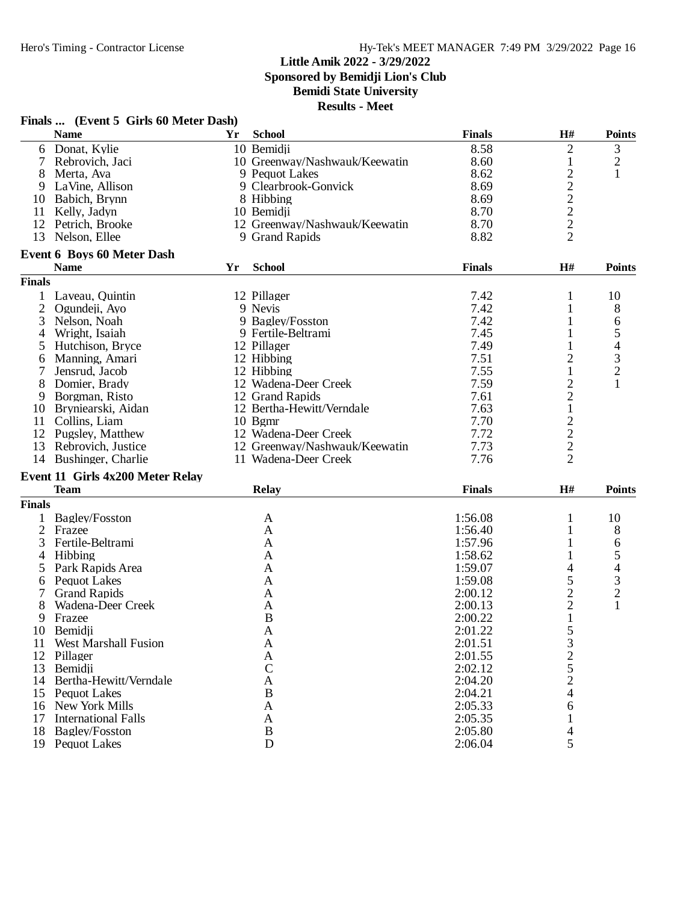## **Little Amik 2022 - 3/29/2022 Sponsored by Bemidji Lion's Club**

**Bemidi State University**

|                | Finals  (Event 5 Girls 60 Meter Dash) |    |                               |               |                  |                                |
|----------------|---------------------------------------|----|-------------------------------|---------------|------------------|--------------------------------|
|                | <b>Name</b>                           | Yr | <b>School</b>                 | <b>Finals</b> | H#               | <b>Points</b>                  |
| 6              | Donat, Kylie                          |    | 10 Bemidji                    | 8.58          | 2                | 3                              |
| 7              | Rebrovich, Jaci                       |    | 10 Greenway/Nashwauk/Keewatin | 8.60          | $\mathbf{1}$     | 2                              |
| 8              | Merta, Ava                            |    | 9 Pequot Lakes                | 8.62          | $\overline{c}$   | $\mathbf{1}$                   |
| 9              | LaVine, Allison                       |    | 9 Clearbrook-Gonvick          | 8.69          | $\boldsymbol{2}$ |                                |
| 10             | Babich, Brynn                         |    | 8 Hibbing                     | 8.69          |                  |                                |
|                | 11 Kelly, Jadyn                       |    | 10 Bemidji                    | 8.70          | $\frac{2}{2}$    |                                |
| 12             | Petrich, Brooke                       |    | 12 Greenway/Nashwauk/Keewatin | 8.70          | $\sqrt{2}$       |                                |
| 13             | Nelson, Ellee                         |    | 9 Grand Rapids                | 8.82          | $\overline{2}$   |                                |
|                | <b>Event 6 Boys 60 Meter Dash</b>     |    |                               |               |                  |                                |
|                | <b>Name</b>                           | Yr | <b>School</b>                 | <b>Finals</b> | H#               | <b>Points</b>                  |
| <b>Finals</b>  |                                       |    |                               |               |                  |                                |
| 1              | Laveau, Quintin                       |    | 12 Pillager                   | 7.42          | 1                | 10                             |
| $\overline{2}$ | Ogundeji, Ayo                         |    | 9 Nevis                       | 7.42          | 1                | 8                              |
| 3              | Nelson, Noah                          |    | 9 Bagley/Fosston              | 7.42          |                  | 6                              |
| 4              | Wright, Isaiah                        |    | 9 Fertile-Beltrami            | 7.45          | 1                | 5                              |
| 5              | Hutchison, Bryce                      |    | 12 Pillager                   | 7.49          | 1                | 4                              |
| 6              | Manning, Amari                        |    | 12 Hibbing                    | 7.51          | $\overline{c}$   | 3                              |
|                | Jensrud, Jacob                        |    | 12 Hibbing                    | 7.55          | $\mathbf{1}$     | $\overline{c}$                 |
| 8              | Domier, Brady                         |    | 12 Wadena-Deer Creek          | 7.59          | $\overline{c}$   |                                |
| 9              | Borgman, Risto                        |    | 12 Grand Rapids               | 7.61          | $\overline{2}$   |                                |
| 10             | Bryniearski, Aidan                    |    | 12 Bertha-Hewitt/Verndale     | 7.63          | $\mathbf{1}$     |                                |
| 11             | Collins, Liam                         |    | $10$ Bgmr                     | 7.70          | $\sqrt{2}$       |                                |
| 12             | Pugsley, Matthew                      |    | 12 Wadena-Deer Creek          | 7.72          | $\overline{c}$   |                                |
| 13             | Rebrovich, Justice                    |    | 12 Greenway/Nashwauk/Keewatin | 7.73          | $\sqrt{2}$       |                                |
|                | 14 Bushinger, Charlie                 |    | 11 Wadena-Deer Creek          | 7.76          | $\overline{2}$   |                                |
|                | Event 11 Girls 4x200 Meter Relay      |    |                               |               |                  |                                |
|                | <b>Team</b>                           |    | <b>Relay</b>                  | <b>Finals</b> | H#               | <b>Points</b>                  |
| <b>Finals</b>  |                                       |    |                               |               |                  |                                |
|                | Bagley/Fosston                        |    | A                             | 1:56.08       | 1                | 10                             |
| $\overline{2}$ | Frazee                                |    | A                             | 1:56.40       |                  |                                |
| 3              | Fertile-Beltrami                      |    | A                             | 1:57.96       | 1                | 8                              |
|                |                                       |    |                               |               | 1                | 6                              |
| 4              | Hibbing                               |    | A                             | 1:58.62       | 1                | 5                              |
| 5              | Park Rapids Area                      |    | A                             | 1:59.07       | 4                | 4                              |
| 6              | <b>Pequot Lakes</b>                   |    | A                             | 1:59.08       | 5                | $\mathfrak{Z}$                 |
|                | <b>Grand Rapids</b>                   |    | A                             | 2:00.12       | $\overline{c}$   | $\overline{c}$<br>$\mathbf{1}$ |
| 8              | Wadena-Deer Creek                     |    | A                             | 2:00.13       | $\overline{c}$   |                                |
| 9              | Frazee                                |    | B                             | 2:00.22       | $\mathbf{1}$     |                                |
|                | 10 Bemidji                            |    | A                             | 2:01.22       | 5                |                                |
| 11             | <b>West Marshall Fusion</b>           |    | A                             | 2:01.51       | 3                |                                |
|                | 12 Pillager                           |    | A                             | 2:01.55       | $\overline{c}$   |                                |
| 13             | Bemidji                               |    | $\mathcal{C}$                 | 2:02.12       | 5                |                                |
|                | 14 Bertha-Hewitt/Verndale             |    | A                             | 2:04.20       | $\overline{c}$   |                                |
|                | 15 Pequot Lakes                       |    | B                             | 2:04.21       | 4                |                                |
|                | 16 New York Mills                     |    | A                             | 2:05.33       | 6                |                                |
| 17             | <b>International Falls</b>            |    | A                             | 2:05.35       |                  |                                |
| 18             | <b>Bagley/Fosston</b>                 |    | B                             | 2:05.80       | 4                |                                |
|                | 19 Pequot Lakes                       |    | $\mathbf D$                   | 2:06.04       | 5                |                                |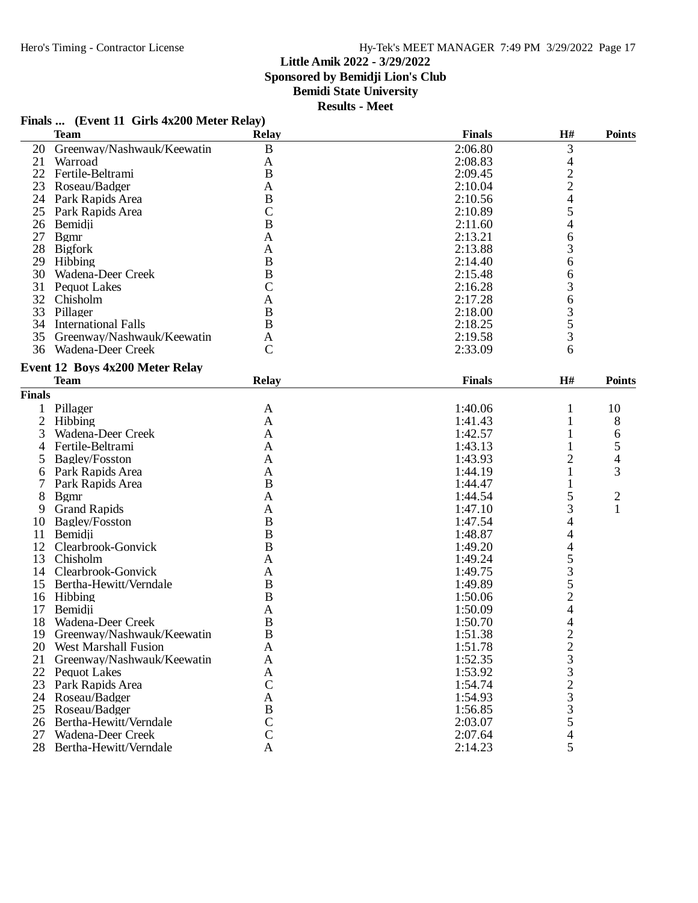## Hero's Timing - Contractor License Hy-Tek's MEET MANAGER 7:49 PM 3/29/2022 Page 17

#### **Little Amik 2022 - 3/29/2022**

**Sponsored by Bemidji Lion's Club**

## **Bemidi State University**

**Results - Meet**

|                | <b>Team</b>                     | <b>Relay</b>   | <b>Finals</b> | $\mathbf{H}$ #                                  | <b>Points</b>  |
|----------------|---------------------------------|----------------|---------------|-------------------------------------------------|----------------|
| 20             | Greenway/Nashwauk/Keewatin      | $\bf{B}$       | 2:06.80       | 3                                               |                |
| 21             | Warroad                         | A              | 2:08.83       | 4                                               |                |
|                | 22 Fertile-Beltrami             | $\bf{B}$       | 2:09.45       |                                                 |                |
| 23             | Roseau/Badger                   | A              | 2:10.04       | $\frac{2}{4}$                                   |                |
|                | 24 Park Rapids Area             | $\bf{B}$       | 2:10.56       |                                                 |                |
| 25             | Park Rapids Area                | $\mathbf C$    | 2:10.89       | 5                                               |                |
| 26             | Bemidji                         | $\overline{B}$ | 2:11.60       | 4                                               |                |
|                | 27 Bgmr                         | $\mathbf{A}$   | 2:13.21       | 6                                               |                |
|                | 28 Bigfork                      | A              | 2:13.88       | 3                                               |                |
|                | 29 Hibbing                      | $\bf{B}$       | 2:14.40       | 6                                               |                |
|                | 30 Wadena-Deer Creek            | $\bf{B}$       | 2:15.48       | 6                                               |                |
|                | 31 Pequot Lakes                 | $\mathcal{C}$  | 2:16.28       | 3                                               |                |
| 32             | Chisholm                        | A              | 2:17.28       | 6                                               |                |
|                | 33 Pillager                     | $\bf{B}$       | 2:18.00       | 3                                               |                |
|                | 34 International Falls          | $\bf{B}$       | 2:18.25       | 5                                               |                |
|                | 35 Greenway/Nashwauk/Keewatin   | A              | 2:19.58       | 3                                               |                |
|                | 36 Wadena-Deer Creek            | $\mathbf C$    | 2:33.09       | 6                                               |                |
|                |                                 |                |               |                                                 |                |
|                | Event 12 Boys 4x200 Meter Relay |                |               |                                                 |                |
|                | <b>Team</b>                     | <b>Relay</b>   | <b>Finals</b> | H#                                              | <b>Points</b>  |
| <b>Finals</b>  |                                 |                |               |                                                 |                |
| 1              | Pillager                        | A              | 1:40.06       | 1                                               | 10             |
| $\overline{2}$ | Hibbing                         | $\mathbf{A}$   | 1:41.43       | 1                                               | 8              |
| 3              | Wadena-Deer Creek               | A              | 1:42.57       |                                                 | 6              |
| 4              | Fertile-Beltrami                | A              | 1:43.13       |                                                 | 5              |
| 5              | Bagley/Fosston                  | A              | 1:43.93       | 2                                               | 4              |
| 6              | Park Rapids Area                | A              | 1:44.19       | 1                                               | 3              |
| 7              | Park Rapids Area                | $\bf{B}$       | 1:44.47       | 1                                               |                |
| 8              | <b>B</b> gmr                    | $\mathbf{A}$   | 1:44.54       | 5                                               | $\overline{2}$ |
| 9              | <b>Grand Rapids</b>             | A              | 1:47.10       | 3                                               | $\mathbf{1}$   |
| 10             | Bagley/Fosston                  | $\bf{B}$       | 1:47.54       | 4                                               |                |
| 11             | Bemidji                         | $\bf{B}$       | 1:48.87       | 4                                               |                |
| 12             | Clearbrook-Gonvick              | $\bf{B}$       | 1:49.20       | 4                                               |                |
| 13             | Chisholm                        | A              | 1:49.24       | 5                                               |                |
| 14             | Clearbrook-Gonvick              | $\mathbf{A}$   | 1:49.75       | 3                                               |                |
|                | 15 Bertha-Hewitt/Verndale       | $\bf{B}$       | 1:49.89       | 5                                               |                |
|                | 16 Hibbing                      | $\bf{B}$       | 1:50.06       | $\overline{c}$                                  |                |
| 17             | Bemidii                         | A              | 1:50.09       | 4                                               |                |
| 18             | Wadena-Deer Creek               | $\bf{B}$       | 1:50.70       | 4                                               |                |
| 19             | Greenway/Nashwauk/Keewatin      | B              | 1:51.38       | $\overline{2}$                                  |                |
| 20             | <b>West Marshall Fusion</b>     | A              | 1:51.78       |                                                 |                |
| 21             | Greenway/Nashwauk/Keewatin      | $\mathbf{A}$   | 1:52.35       | $\frac{2}{3}$                                   |                |
|                | 22 Pequot Lakes                 | $\mathbf{A}$   | 1:53.92       |                                                 |                |
| 23             | Park Rapids Area                | $\mathcal{C}$  | 1:54.74       |                                                 |                |
| 24             | Roseau/Badger                   | A              | 1:54.93       | $\begin{array}{c} 3 \\ 2 \\ 3 \\ 3 \end{array}$ |                |
| 25             | Roseau/Badger                   | $\, {\bf B}$   | 1:56.85       |                                                 |                |
| 26             | Bertha-Hewitt/Verndale          | $\mathsf{C}$   | 2:03.07       | 5                                               |                |
| 27             | Wadena-Deer Creek               | $\mathcal{C}$  | 2:07.64       | 4                                               |                |
|                |                                 | A              |               | 5                                               |                |
|                | 28 Bertha-Hewitt/Verndale       |                | 2:14.23       |                                                 |                |

## **Finals ... (Event 11 Girls 4x200 Meter Relay)**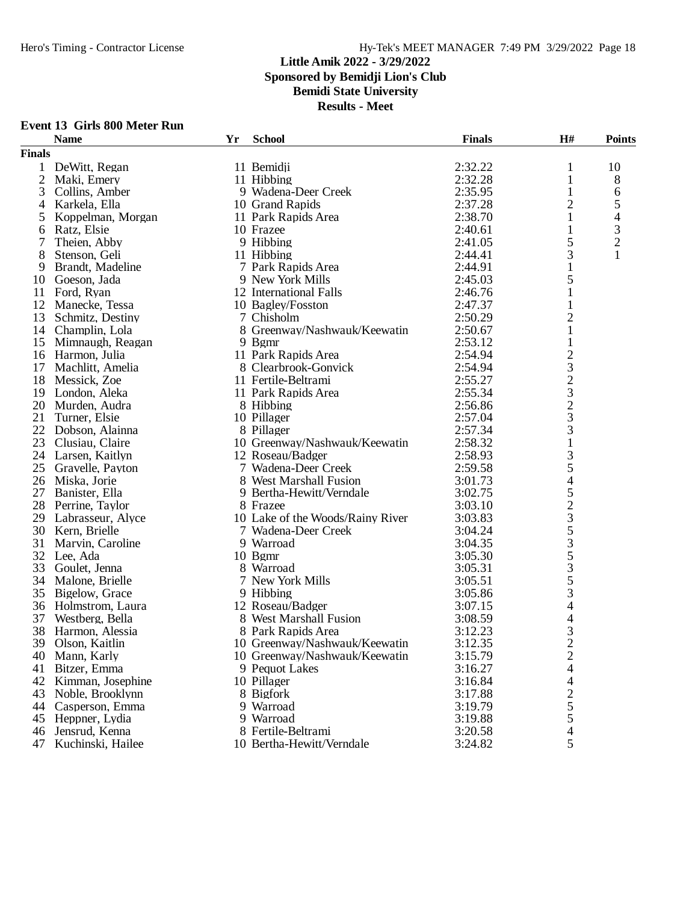#### **Little Amik 2022 - 3/29/2022 Sponsored by Bemidji Lion's Club Bemidi State University**

| <b>School</b><br><b>Finals</b><br>H#<br>Yr<br><b>Points</b><br><b>Name</b><br><b>Finals</b><br>2:32.22<br>1 DeWitt, Regan<br>11 Bemidji<br>10<br>1<br>$\overline{2}$<br>2:32.28<br>Maki, Emery<br>11 Hibbing<br>1<br>8<br>2:35.95<br>3<br>6<br>Collins, Amber<br>9 Wadena-Deer Creek<br>1<br>$\overline{2}$<br>5<br>2:37.28<br>Karkela, Ella<br>10 Grand Rapids<br>4<br>2:38.70<br>4<br>Koppelman, Morgan<br>11 Park Rapids Area<br>5<br>3<br>Ratz, Elsie<br>10 Frazee<br>2:40.61<br>1<br>6<br>$\overline{c}$<br>5<br>Theien, Abby<br>9 Hibbing<br>7<br>2:41.05<br>3<br>1<br>8<br>11 Hibbing<br>2:44.41<br>Stenson, Geli<br>2:44.91<br>9<br>Brandt, Madeline<br>7 Park Rapids Area<br>1<br>5<br>2:45.03<br>Goeson, Jada<br>9 New York Mills<br>10<br>Ford, Ryan<br>12 International Falls<br>2:46.76<br>11<br>1<br>12<br>Manecke, Tessa<br>10 Bagley/Fosston<br>2:47.37<br>$\overline{c}$<br>13<br>2:50.29<br>Schmitz, Destiny<br>7 Chisholm<br>14 Champlin, Lola<br>8 Greenway/Nashwauk/Keewatin<br>2:50.67<br>$\mathbf{1}$<br>9 Bgmr<br>2:53.12<br>$\mathbf{1}$<br>15 Mimnaugh, Reagan<br>$\overline{c}$<br>11 Park Rapids Area<br>16 Harmon, Julia<br>2:54.94<br>3<br>Machlitt, Amelia<br>8 Clearbrook-Gonvick<br>2:54.94<br>17<br>$\overline{c}$<br>2:55.27<br>18 Messick, Zoe<br>11 Fertile-Beltrami<br>3<br>2:55.34<br>19 London, Aleka<br>11 Park Rapids Area<br>$\overline{c}$<br>20 Murden, Audra<br>2:56.86<br>8 Hibbing<br>3<br>10 Pillager<br>2:57.04<br>21<br>Turner, Elsie<br>3<br>2:57.34<br>22 Dobson, Alainna<br>8 Pillager<br>2:58.32<br>$\mathbf{1}$<br>23<br>Clusiau, Claire<br>10 Greenway/Nashwauk/Keewatin<br>3<br>2:58.93<br>24 Larsen, Kaitlyn<br>12 Roseau/Badger<br>5<br>25<br>2:59.58<br>Gravelle, Payton<br>7 Wadena-Deer Creek<br>4<br>26 Miska, Jorie<br>8 West Marshall Fusion<br>3:01.73<br>5<br>27<br>9 Bertha-Hewitt/Verndale<br>3:02.75<br>Banister, Ella<br>$\overline{c}$<br>28 Perrine, Taylor<br>8 Frazee<br>3:03.10<br>3<br>10 Lake of the Woods/Rainy River<br>29 Labrasseur, Alyce<br>3:03.83<br>5<br>30 Kern, Brielle<br>7 Wadena-Deer Creek<br>3:04.24<br>$rac{3}{5}$<br>Marvin, Caroline<br>9 Warroad<br>31<br>3:04.35<br>32 Lee, Ada<br>10 Bgmr<br>3:05.30<br>3<br>33 Goulet, Jenna<br>8 Warroad<br>3:05.31<br>5<br>34 Malone, Brielle<br>7 New York Mills<br>3:05.51<br>3<br>9 Hibbing<br>35 Bigelow, Grace<br>3:05.86<br>4<br>36<br>Holmstrom, Laura<br>12 Roseau/Badger<br>3:07.15<br>4<br>37<br>Westberg, Bella<br>8 West Marshall Fusion<br>3:08.59<br>38 Harmon, Alessia<br>3<br>8 Park Rapids Area<br>3:12.23<br>$\overline{c}$<br>39<br>10 Greenway/Nashwauk/Keewatin<br>3:12.35<br>Olson, Kaitlin<br>$\overline{c}$<br>3:15.79<br>Mann, Karly<br>10 Greenway/Nashwauk/Keewatin<br>40<br>4<br>41<br>Bitzer, Emma<br>9 Pequot Lakes<br>3:16.27<br>42<br>Kimman, Josephine<br>10 Pillager<br>3:16.84<br>4<br>$\frac{2}{5}$<br>43<br>Noble, Brooklynn<br>8 Bigfork<br>3:17.88<br>44<br>9 Warroad<br>3:19.79<br>Casperson, Emma<br>5<br>9 Warroad<br>3:19.88<br>45<br>Heppner, Lydia<br>Jensrud, Kenna<br>8 Fertile-Beltrami<br>3:20.58<br>46<br>4<br>10 Bertha-Hewitt/Verndale |    | <b>Event 13 Girls 800 Meter Run</b> |  |         |   |  |
|------------------------------------------------------------------------------------------------------------------------------------------------------------------------------------------------------------------------------------------------------------------------------------------------------------------------------------------------------------------------------------------------------------------------------------------------------------------------------------------------------------------------------------------------------------------------------------------------------------------------------------------------------------------------------------------------------------------------------------------------------------------------------------------------------------------------------------------------------------------------------------------------------------------------------------------------------------------------------------------------------------------------------------------------------------------------------------------------------------------------------------------------------------------------------------------------------------------------------------------------------------------------------------------------------------------------------------------------------------------------------------------------------------------------------------------------------------------------------------------------------------------------------------------------------------------------------------------------------------------------------------------------------------------------------------------------------------------------------------------------------------------------------------------------------------------------------------------------------------------------------------------------------------------------------------------------------------------------------------------------------------------------------------------------------------------------------------------------------------------------------------------------------------------------------------------------------------------------------------------------------------------------------------------------------------------------------------------------------------------------------------------------------------------------------------------------------------------------------------------------------------------------------------------------------------------------------------------------------------------------------------------------------------------------------------------------------------------------------------------------------------------------------------------------------------------------------------------------------------------------------------------------------------------------------------------------------------------------------------------------------------------------------------------------------------------------------------------------------------------------------------|----|-------------------------------------|--|---------|---|--|
|                                                                                                                                                                                                                                                                                                                                                                                                                                                                                                                                                                                                                                                                                                                                                                                                                                                                                                                                                                                                                                                                                                                                                                                                                                                                                                                                                                                                                                                                                                                                                                                                                                                                                                                                                                                                                                                                                                                                                                                                                                                                                                                                                                                                                                                                                                                                                                                                                                                                                                                                                                                                                                                                                                                                                                                                                                                                                                                                                                                                                                                                                                                                    |    |                                     |  |         |   |  |
|                                                                                                                                                                                                                                                                                                                                                                                                                                                                                                                                                                                                                                                                                                                                                                                                                                                                                                                                                                                                                                                                                                                                                                                                                                                                                                                                                                                                                                                                                                                                                                                                                                                                                                                                                                                                                                                                                                                                                                                                                                                                                                                                                                                                                                                                                                                                                                                                                                                                                                                                                                                                                                                                                                                                                                                                                                                                                                                                                                                                                                                                                                                                    |    |                                     |  |         |   |  |
|                                                                                                                                                                                                                                                                                                                                                                                                                                                                                                                                                                                                                                                                                                                                                                                                                                                                                                                                                                                                                                                                                                                                                                                                                                                                                                                                                                                                                                                                                                                                                                                                                                                                                                                                                                                                                                                                                                                                                                                                                                                                                                                                                                                                                                                                                                                                                                                                                                                                                                                                                                                                                                                                                                                                                                                                                                                                                                                                                                                                                                                                                                                                    |    |                                     |  |         |   |  |
|                                                                                                                                                                                                                                                                                                                                                                                                                                                                                                                                                                                                                                                                                                                                                                                                                                                                                                                                                                                                                                                                                                                                                                                                                                                                                                                                                                                                                                                                                                                                                                                                                                                                                                                                                                                                                                                                                                                                                                                                                                                                                                                                                                                                                                                                                                                                                                                                                                                                                                                                                                                                                                                                                                                                                                                                                                                                                                                                                                                                                                                                                                                                    |    |                                     |  |         |   |  |
|                                                                                                                                                                                                                                                                                                                                                                                                                                                                                                                                                                                                                                                                                                                                                                                                                                                                                                                                                                                                                                                                                                                                                                                                                                                                                                                                                                                                                                                                                                                                                                                                                                                                                                                                                                                                                                                                                                                                                                                                                                                                                                                                                                                                                                                                                                                                                                                                                                                                                                                                                                                                                                                                                                                                                                                                                                                                                                                                                                                                                                                                                                                                    |    |                                     |  |         |   |  |
|                                                                                                                                                                                                                                                                                                                                                                                                                                                                                                                                                                                                                                                                                                                                                                                                                                                                                                                                                                                                                                                                                                                                                                                                                                                                                                                                                                                                                                                                                                                                                                                                                                                                                                                                                                                                                                                                                                                                                                                                                                                                                                                                                                                                                                                                                                                                                                                                                                                                                                                                                                                                                                                                                                                                                                                                                                                                                                                                                                                                                                                                                                                                    |    |                                     |  |         |   |  |
|                                                                                                                                                                                                                                                                                                                                                                                                                                                                                                                                                                                                                                                                                                                                                                                                                                                                                                                                                                                                                                                                                                                                                                                                                                                                                                                                                                                                                                                                                                                                                                                                                                                                                                                                                                                                                                                                                                                                                                                                                                                                                                                                                                                                                                                                                                                                                                                                                                                                                                                                                                                                                                                                                                                                                                                                                                                                                                                                                                                                                                                                                                                                    |    |                                     |  |         |   |  |
|                                                                                                                                                                                                                                                                                                                                                                                                                                                                                                                                                                                                                                                                                                                                                                                                                                                                                                                                                                                                                                                                                                                                                                                                                                                                                                                                                                                                                                                                                                                                                                                                                                                                                                                                                                                                                                                                                                                                                                                                                                                                                                                                                                                                                                                                                                                                                                                                                                                                                                                                                                                                                                                                                                                                                                                                                                                                                                                                                                                                                                                                                                                                    |    |                                     |  |         |   |  |
|                                                                                                                                                                                                                                                                                                                                                                                                                                                                                                                                                                                                                                                                                                                                                                                                                                                                                                                                                                                                                                                                                                                                                                                                                                                                                                                                                                                                                                                                                                                                                                                                                                                                                                                                                                                                                                                                                                                                                                                                                                                                                                                                                                                                                                                                                                                                                                                                                                                                                                                                                                                                                                                                                                                                                                                                                                                                                                                                                                                                                                                                                                                                    |    |                                     |  |         |   |  |
|                                                                                                                                                                                                                                                                                                                                                                                                                                                                                                                                                                                                                                                                                                                                                                                                                                                                                                                                                                                                                                                                                                                                                                                                                                                                                                                                                                                                                                                                                                                                                                                                                                                                                                                                                                                                                                                                                                                                                                                                                                                                                                                                                                                                                                                                                                                                                                                                                                                                                                                                                                                                                                                                                                                                                                                                                                                                                                                                                                                                                                                                                                                                    |    |                                     |  |         |   |  |
|                                                                                                                                                                                                                                                                                                                                                                                                                                                                                                                                                                                                                                                                                                                                                                                                                                                                                                                                                                                                                                                                                                                                                                                                                                                                                                                                                                                                                                                                                                                                                                                                                                                                                                                                                                                                                                                                                                                                                                                                                                                                                                                                                                                                                                                                                                                                                                                                                                                                                                                                                                                                                                                                                                                                                                                                                                                                                                                                                                                                                                                                                                                                    |    |                                     |  |         |   |  |
|                                                                                                                                                                                                                                                                                                                                                                                                                                                                                                                                                                                                                                                                                                                                                                                                                                                                                                                                                                                                                                                                                                                                                                                                                                                                                                                                                                                                                                                                                                                                                                                                                                                                                                                                                                                                                                                                                                                                                                                                                                                                                                                                                                                                                                                                                                                                                                                                                                                                                                                                                                                                                                                                                                                                                                                                                                                                                                                                                                                                                                                                                                                                    |    |                                     |  |         |   |  |
|                                                                                                                                                                                                                                                                                                                                                                                                                                                                                                                                                                                                                                                                                                                                                                                                                                                                                                                                                                                                                                                                                                                                                                                                                                                                                                                                                                                                                                                                                                                                                                                                                                                                                                                                                                                                                                                                                                                                                                                                                                                                                                                                                                                                                                                                                                                                                                                                                                                                                                                                                                                                                                                                                                                                                                                                                                                                                                                                                                                                                                                                                                                                    |    |                                     |  |         |   |  |
|                                                                                                                                                                                                                                                                                                                                                                                                                                                                                                                                                                                                                                                                                                                                                                                                                                                                                                                                                                                                                                                                                                                                                                                                                                                                                                                                                                                                                                                                                                                                                                                                                                                                                                                                                                                                                                                                                                                                                                                                                                                                                                                                                                                                                                                                                                                                                                                                                                                                                                                                                                                                                                                                                                                                                                                                                                                                                                                                                                                                                                                                                                                                    |    |                                     |  |         |   |  |
|                                                                                                                                                                                                                                                                                                                                                                                                                                                                                                                                                                                                                                                                                                                                                                                                                                                                                                                                                                                                                                                                                                                                                                                                                                                                                                                                                                                                                                                                                                                                                                                                                                                                                                                                                                                                                                                                                                                                                                                                                                                                                                                                                                                                                                                                                                                                                                                                                                                                                                                                                                                                                                                                                                                                                                                                                                                                                                                                                                                                                                                                                                                                    |    |                                     |  |         |   |  |
|                                                                                                                                                                                                                                                                                                                                                                                                                                                                                                                                                                                                                                                                                                                                                                                                                                                                                                                                                                                                                                                                                                                                                                                                                                                                                                                                                                                                                                                                                                                                                                                                                                                                                                                                                                                                                                                                                                                                                                                                                                                                                                                                                                                                                                                                                                                                                                                                                                                                                                                                                                                                                                                                                                                                                                                                                                                                                                                                                                                                                                                                                                                                    |    |                                     |  |         |   |  |
|                                                                                                                                                                                                                                                                                                                                                                                                                                                                                                                                                                                                                                                                                                                                                                                                                                                                                                                                                                                                                                                                                                                                                                                                                                                                                                                                                                                                                                                                                                                                                                                                                                                                                                                                                                                                                                                                                                                                                                                                                                                                                                                                                                                                                                                                                                                                                                                                                                                                                                                                                                                                                                                                                                                                                                                                                                                                                                                                                                                                                                                                                                                                    |    |                                     |  |         |   |  |
|                                                                                                                                                                                                                                                                                                                                                                                                                                                                                                                                                                                                                                                                                                                                                                                                                                                                                                                                                                                                                                                                                                                                                                                                                                                                                                                                                                                                                                                                                                                                                                                                                                                                                                                                                                                                                                                                                                                                                                                                                                                                                                                                                                                                                                                                                                                                                                                                                                                                                                                                                                                                                                                                                                                                                                                                                                                                                                                                                                                                                                                                                                                                    |    |                                     |  |         |   |  |
|                                                                                                                                                                                                                                                                                                                                                                                                                                                                                                                                                                                                                                                                                                                                                                                                                                                                                                                                                                                                                                                                                                                                                                                                                                                                                                                                                                                                                                                                                                                                                                                                                                                                                                                                                                                                                                                                                                                                                                                                                                                                                                                                                                                                                                                                                                                                                                                                                                                                                                                                                                                                                                                                                                                                                                                                                                                                                                                                                                                                                                                                                                                                    |    |                                     |  |         |   |  |
|                                                                                                                                                                                                                                                                                                                                                                                                                                                                                                                                                                                                                                                                                                                                                                                                                                                                                                                                                                                                                                                                                                                                                                                                                                                                                                                                                                                                                                                                                                                                                                                                                                                                                                                                                                                                                                                                                                                                                                                                                                                                                                                                                                                                                                                                                                                                                                                                                                                                                                                                                                                                                                                                                                                                                                                                                                                                                                                                                                                                                                                                                                                                    |    |                                     |  |         |   |  |
|                                                                                                                                                                                                                                                                                                                                                                                                                                                                                                                                                                                                                                                                                                                                                                                                                                                                                                                                                                                                                                                                                                                                                                                                                                                                                                                                                                                                                                                                                                                                                                                                                                                                                                                                                                                                                                                                                                                                                                                                                                                                                                                                                                                                                                                                                                                                                                                                                                                                                                                                                                                                                                                                                                                                                                                                                                                                                                                                                                                                                                                                                                                                    |    |                                     |  |         |   |  |
|                                                                                                                                                                                                                                                                                                                                                                                                                                                                                                                                                                                                                                                                                                                                                                                                                                                                                                                                                                                                                                                                                                                                                                                                                                                                                                                                                                                                                                                                                                                                                                                                                                                                                                                                                                                                                                                                                                                                                                                                                                                                                                                                                                                                                                                                                                                                                                                                                                                                                                                                                                                                                                                                                                                                                                                                                                                                                                                                                                                                                                                                                                                                    |    |                                     |  |         |   |  |
|                                                                                                                                                                                                                                                                                                                                                                                                                                                                                                                                                                                                                                                                                                                                                                                                                                                                                                                                                                                                                                                                                                                                                                                                                                                                                                                                                                                                                                                                                                                                                                                                                                                                                                                                                                                                                                                                                                                                                                                                                                                                                                                                                                                                                                                                                                                                                                                                                                                                                                                                                                                                                                                                                                                                                                                                                                                                                                                                                                                                                                                                                                                                    |    |                                     |  |         |   |  |
|                                                                                                                                                                                                                                                                                                                                                                                                                                                                                                                                                                                                                                                                                                                                                                                                                                                                                                                                                                                                                                                                                                                                                                                                                                                                                                                                                                                                                                                                                                                                                                                                                                                                                                                                                                                                                                                                                                                                                                                                                                                                                                                                                                                                                                                                                                                                                                                                                                                                                                                                                                                                                                                                                                                                                                                                                                                                                                                                                                                                                                                                                                                                    |    |                                     |  |         |   |  |
|                                                                                                                                                                                                                                                                                                                                                                                                                                                                                                                                                                                                                                                                                                                                                                                                                                                                                                                                                                                                                                                                                                                                                                                                                                                                                                                                                                                                                                                                                                                                                                                                                                                                                                                                                                                                                                                                                                                                                                                                                                                                                                                                                                                                                                                                                                                                                                                                                                                                                                                                                                                                                                                                                                                                                                                                                                                                                                                                                                                                                                                                                                                                    |    |                                     |  |         |   |  |
|                                                                                                                                                                                                                                                                                                                                                                                                                                                                                                                                                                                                                                                                                                                                                                                                                                                                                                                                                                                                                                                                                                                                                                                                                                                                                                                                                                                                                                                                                                                                                                                                                                                                                                                                                                                                                                                                                                                                                                                                                                                                                                                                                                                                                                                                                                                                                                                                                                                                                                                                                                                                                                                                                                                                                                                                                                                                                                                                                                                                                                                                                                                                    |    |                                     |  |         |   |  |
|                                                                                                                                                                                                                                                                                                                                                                                                                                                                                                                                                                                                                                                                                                                                                                                                                                                                                                                                                                                                                                                                                                                                                                                                                                                                                                                                                                                                                                                                                                                                                                                                                                                                                                                                                                                                                                                                                                                                                                                                                                                                                                                                                                                                                                                                                                                                                                                                                                                                                                                                                                                                                                                                                                                                                                                                                                                                                                                                                                                                                                                                                                                                    |    |                                     |  |         |   |  |
|                                                                                                                                                                                                                                                                                                                                                                                                                                                                                                                                                                                                                                                                                                                                                                                                                                                                                                                                                                                                                                                                                                                                                                                                                                                                                                                                                                                                                                                                                                                                                                                                                                                                                                                                                                                                                                                                                                                                                                                                                                                                                                                                                                                                                                                                                                                                                                                                                                                                                                                                                                                                                                                                                                                                                                                                                                                                                                                                                                                                                                                                                                                                    |    |                                     |  |         |   |  |
|                                                                                                                                                                                                                                                                                                                                                                                                                                                                                                                                                                                                                                                                                                                                                                                                                                                                                                                                                                                                                                                                                                                                                                                                                                                                                                                                                                                                                                                                                                                                                                                                                                                                                                                                                                                                                                                                                                                                                                                                                                                                                                                                                                                                                                                                                                                                                                                                                                                                                                                                                                                                                                                                                                                                                                                                                                                                                                                                                                                                                                                                                                                                    |    |                                     |  |         |   |  |
|                                                                                                                                                                                                                                                                                                                                                                                                                                                                                                                                                                                                                                                                                                                                                                                                                                                                                                                                                                                                                                                                                                                                                                                                                                                                                                                                                                                                                                                                                                                                                                                                                                                                                                                                                                                                                                                                                                                                                                                                                                                                                                                                                                                                                                                                                                                                                                                                                                                                                                                                                                                                                                                                                                                                                                                                                                                                                                                                                                                                                                                                                                                                    |    |                                     |  |         |   |  |
|                                                                                                                                                                                                                                                                                                                                                                                                                                                                                                                                                                                                                                                                                                                                                                                                                                                                                                                                                                                                                                                                                                                                                                                                                                                                                                                                                                                                                                                                                                                                                                                                                                                                                                                                                                                                                                                                                                                                                                                                                                                                                                                                                                                                                                                                                                                                                                                                                                                                                                                                                                                                                                                                                                                                                                                                                                                                                                                                                                                                                                                                                                                                    |    |                                     |  |         |   |  |
|                                                                                                                                                                                                                                                                                                                                                                                                                                                                                                                                                                                                                                                                                                                                                                                                                                                                                                                                                                                                                                                                                                                                                                                                                                                                                                                                                                                                                                                                                                                                                                                                                                                                                                                                                                                                                                                                                                                                                                                                                                                                                                                                                                                                                                                                                                                                                                                                                                                                                                                                                                                                                                                                                                                                                                                                                                                                                                                                                                                                                                                                                                                                    |    |                                     |  |         |   |  |
|                                                                                                                                                                                                                                                                                                                                                                                                                                                                                                                                                                                                                                                                                                                                                                                                                                                                                                                                                                                                                                                                                                                                                                                                                                                                                                                                                                                                                                                                                                                                                                                                                                                                                                                                                                                                                                                                                                                                                                                                                                                                                                                                                                                                                                                                                                                                                                                                                                                                                                                                                                                                                                                                                                                                                                                                                                                                                                                                                                                                                                                                                                                                    |    |                                     |  |         |   |  |
|                                                                                                                                                                                                                                                                                                                                                                                                                                                                                                                                                                                                                                                                                                                                                                                                                                                                                                                                                                                                                                                                                                                                                                                                                                                                                                                                                                                                                                                                                                                                                                                                                                                                                                                                                                                                                                                                                                                                                                                                                                                                                                                                                                                                                                                                                                                                                                                                                                                                                                                                                                                                                                                                                                                                                                                                                                                                                                                                                                                                                                                                                                                                    |    |                                     |  |         |   |  |
|                                                                                                                                                                                                                                                                                                                                                                                                                                                                                                                                                                                                                                                                                                                                                                                                                                                                                                                                                                                                                                                                                                                                                                                                                                                                                                                                                                                                                                                                                                                                                                                                                                                                                                                                                                                                                                                                                                                                                                                                                                                                                                                                                                                                                                                                                                                                                                                                                                                                                                                                                                                                                                                                                                                                                                                                                                                                                                                                                                                                                                                                                                                                    |    |                                     |  |         |   |  |
|                                                                                                                                                                                                                                                                                                                                                                                                                                                                                                                                                                                                                                                                                                                                                                                                                                                                                                                                                                                                                                                                                                                                                                                                                                                                                                                                                                                                                                                                                                                                                                                                                                                                                                                                                                                                                                                                                                                                                                                                                                                                                                                                                                                                                                                                                                                                                                                                                                                                                                                                                                                                                                                                                                                                                                                                                                                                                                                                                                                                                                                                                                                                    |    |                                     |  |         |   |  |
|                                                                                                                                                                                                                                                                                                                                                                                                                                                                                                                                                                                                                                                                                                                                                                                                                                                                                                                                                                                                                                                                                                                                                                                                                                                                                                                                                                                                                                                                                                                                                                                                                                                                                                                                                                                                                                                                                                                                                                                                                                                                                                                                                                                                                                                                                                                                                                                                                                                                                                                                                                                                                                                                                                                                                                                                                                                                                                                                                                                                                                                                                                                                    |    |                                     |  |         |   |  |
|                                                                                                                                                                                                                                                                                                                                                                                                                                                                                                                                                                                                                                                                                                                                                                                                                                                                                                                                                                                                                                                                                                                                                                                                                                                                                                                                                                                                                                                                                                                                                                                                                                                                                                                                                                                                                                                                                                                                                                                                                                                                                                                                                                                                                                                                                                                                                                                                                                                                                                                                                                                                                                                                                                                                                                                                                                                                                                                                                                                                                                                                                                                                    |    |                                     |  |         |   |  |
|                                                                                                                                                                                                                                                                                                                                                                                                                                                                                                                                                                                                                                                                                                                                                                                                                                                                                                                                                                                                                                                                                                                                                                                                                                                                                                                                                                                                                                                                                                                                                                                                                                                                                                                                                                                                                                                                                                                                                                                                                                                                                                                                                                                                                                                                                                                                                                                                                                                                                                                                                                                                                                                                                                                                                                                                                                                                                                                                                                                                                                                                                                                                    |    |                                     |  |         |   |  |
|                                                                                                                                                                                                                                                                                                                                                                                                                                                                                                                                                                                                                                                                                                                                                                                                                                                                                                                                                                                                                                                                                                                                                                                                                                                                                                                                                                                                                                                                                                                                                                                                                                                                                                                                                                                                                                                                                                                                                                                                                                                                                                                                                                                                                                                                                                                                                                                                                                                                                                                                                                                                                                                                                                                                                                                                                                                                                                                                                                                                                                                                                                                                    |    |                                     |  |         |   |  |
|                                                                                                                                                                                                                                                                                                                                                                                                                                                                                                                                                                                                                                                                                                                                                                                                                                                                                                                                                                                                                                                                                                                                                                                                                                                                                                                                                                                                                                                                                                                                                                                                                                                                                                                                                                                                                                                                                                                                                                                                                                                                                                                                                                                                                                                                                                                                                                                                                                                                                                                                                                                                                                                                                                                                                                                                                                                                                                                                                                                                                                                                                                                                    |    |                                     |  |         |   |  |
|                                                                                                                                                                                                                                                                                                                                                                                                                                                                                                                                                                                                                                                                                                                                                                                                                                                                                                                                                                                                                                                                                                                                                                                                                                                                                                                                                                                                                                                                                                                                                                                                                                                                                                                                                                                                                                                                                                                                                                                                                                                                                                                                                                                                                                                                                                                                                                                                                                                                                                                                                                                                                                                                                                                                                                                                                                                                                                                                                                                                                                                                                                                                    |    |                                     |  |         |   |  |
|                                                                                                                                                                                                                                                                                                                                                                                                                                                                                                                                                                                                                                                                                                                                                                                                                                                                                                                                                                                                                                                                                                                                                                                                                                                                                                                                                                                                                                                                                                                                                                                                                                                                                                                                                                                                                                                                                                                                                                                                                                                                                                                                                                                                                                                                                                                                                                                                                                                                                                                                                                                                                                                                                                                                                                                                                                                                                                                                                                                                                                                                                                                                    |    |                                     |  |         |   |  |
|                                                                                                                                                                                                                                                                                                                                                                                                                                                                                                                                                                                                                                                                                                                                                                                                                                                                                                                                                                                                                                                                                                                                                                                                                                                                                                                                                                                                                                                                                                                                                                                                                                                                                                                                                                                                                                                                                                                                                                                                                                                                                                                                                                                                                                                                                                                                                                                                                                                                                                                                                                                                                                                                                                                                                                                                                                                                                                                                                                                                                                                                                                                                    |    |                                     |  |         |   |  |
|                                                                                                                                                                                                                                                                                                                                                                                                                                                                                                                                                                                                                                                                                                                                                                                                                                                                                                                                                                                                                                                                                                                                                                                                                                                                                                                                                                                                                                                                                                                                                                                                                                                                                                                                                                                                                                                                                                                                                                                                                                                                                                                                                                                                                                                                                                                                                                                                                                                                                                                                                                                                                                                                                                                                                                                                                                                                                                                                                                                                                                                                                                                                    |    |                                     |  |         |   |  |
|                                                                                                                                                                                                                                                                                                                                                                                                                                                                                                                                                                                                                                                                                                                                                                                                                                                                                                                                                                                                                                                                                                                                                                                                                                                                                                                                                                                                                                                                                                                                                                                                                                                                                                                                                                                                                                                                                                                                                                                                                                                                                                                                                                                                                                                                                                                                                                                                                                                                                                                                                                                                                                                                                                                                                                                                                                                                                                                                                                                                                                                                                                                                    |    |                                     |  |         |   |  |
|                                                                                                                                                                                                                                                                                                                                                                                                                                                                                                                                                                                                                                                                                                                                                                                                                                                                                                                                                                                                                                                                                                                                                                                                                                                                                                                                                                                                                                                                                                                                                                                                                                                                                                                                                                                                                                                                                                                                                                                                                                                                                                                                                                                                                                                                                                                                                                                                                                                                                                                                                                                                                                                                                                                                                                                                                                                                                                                                                                                                                                                                                                                                    |    |                                     |  |         |   |  |
|                                                                                                                                                                                                                                                                                                                                                                                                                                                                                                                                                                                                                                                                                                                                                                                                                                                                                                                                                                                                                                                                                                                                                                                                                                                                                                                                                                                                                                                                                                                                                                                                                                                                                                                                                                                                                                                                                                                                                                                                                                                                                                                                                                                                                                                                                                                                                                                                                                                                                                                                                                                                                                                                                                                                                                                                                                                                                                                                                                                                                                                                                                                                    |    |                                     |  |         |   |  |
|                                                                                                                                                                                                                                                                                                                                                                                                                                                                                                                                                                                                                                                                                                                                                                                                                                                                                                                                                                                                                                                                                                                                                                                                                                                                                                                                                                                                                                                                                                                                                                                                                                                                                                                                                                                                                                                                                                                                                                                                                                                                                                                                                                                                                                                                                                                                                                                                                                                                                                                                                                                                                                                                                                                                                                                                                                                                                                                                                                                                                                                                                                                                    | 47 | Kuchinski, Hailee                   |  | 3:24.82 | 5 |  |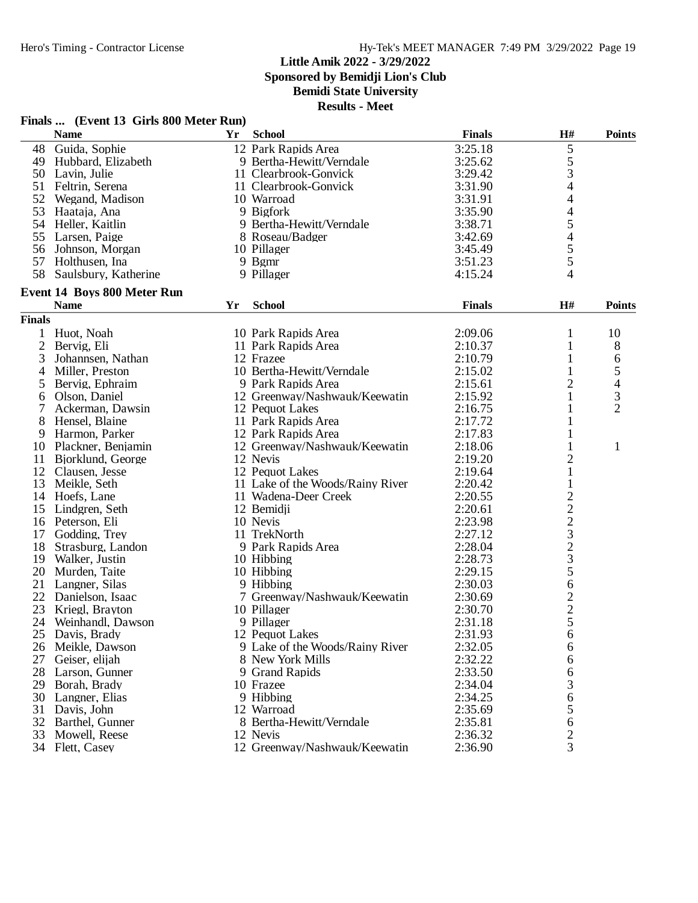**Sponsored by Bemidji Lion's Club**

**Bemidi State University**

**Results - Meet**

|                | <b>Name</b>                 | <b>Yr</b> | <b>School</b>                    | <b>Finals</b> | H#                       | <b>Points</b>  |
|----------------|-----------------------------|-----------|----------------------------------|---------------|--------------------------|----------------|
| 48             | Guida, Sophie               |           | 12 Park Rapids Area              | 3:25.18       | $\mathfrak s$            |                |
| 49             | Hubbard, Elizabeth          |           | 9 Bertha-Hewitt/Verndale         | 3:25.62       |                          |                |
|                | 50 Lavin, Julie             |           | 11 Clearbrook-Gonvick            | 3:29.42       | $\frac{5}{3}$            |                |
|                | 51 Feltrin, Serena          |           | 11 Clearbrook-Gonvick            | 3:31.90       | 4                        |                |
|                | 52 Wegand, Madison          |           | 10 Warroad                       | 3:31.91       | 4                        |                |
| 53             | Haataja, Ana                |           | 9 Bigfork                        | 3:35.90       | $\overline{\mathcal{L}}$ |                |
| 54             | Heller, Kaitlin             |           | 9 Bertha-Hewitt/Verndale         | 3:38.71       | 5                        |                |
| 55             | Larsen, Paige               |           | 8 Roseau/Badger                  | 3:42.69       | 4                        |                |
| 56             | Johnson, Morgan             |           | 10 Pillager                      | 3:45.49       | 5                        |                |
|                | 57 Holthusen, Ina           |           | 9 Bgmr                           | 3:51.23       | 5                        |                |
| 58             | Saulsbury, Katherine        |           | 9 Pillager                       | 4:15.24       | 4                        |                |
|                | Event 14 Boys 800 Meter Run |           |                                  |               |                          |                |
|                | <b>Name</b>                 | Yr        | <b>School</b>                    | <b>Finals</b> | H#                       | <b>Points</b>  |
| <b>Finals</b>  |                             |           |                                  |               |                          |                |
|                | Huot, Noah                  |           | 10 Park Rapids Area              | 2:09.06       | 1                        | 10             |
| $\overline{c}$ | Bervig, Eli                 |           | 11 Park Rapids Area              | 2:10.37       | $\mathbf{1}$             | 8              |
| 3              | Johannsen, Nathan           |           | 12 Frazee                        | 2:10.79       | $\mathbf{1}$             | 6              |
| 4              | Miller, Preston             |           | 10 Bertha-Hewitt/Verndale        | 2:15.02       | 1                        | 5              |
| 5              | Bervig, Ephraim             |           | 9 Park Rapids Area               | 2:15.61       | 2                        | 4              |
| 6              | Olson, Daniel               |           | 12 Greenway/Nashwauk/Keewatin    | 2:15.92       | 1                        | 3              |
| 7              | Ackerman, Dawsin            |           | 12 Pequot Lakes                  | 2:16.75       | 1                        | $\overline{2}$ |
| 8              | Hensel, Blaine              |           | 11 Park Rapids Area              | 2:17.72       | 1                        |                |
| 9              | Harmon, Parker              |           | 12 Park Rapids Area              | 2:17.83       | 1                        |                |
|                | 10 Plackner, Benjamin       |           | 12 Greenway/Nashwauk/Keewatin    | 2:18.06       | 1                        | $\mathbf{1}$   |
| 11             | Bjorklund, George           |           | 12 Nevis                         | 2:19.20       | $\overline{c}$           |                |
| 12             | Clausen, Jesse              |           | 12 Pequot Lakes                  | 2:19.64       | $\mathbf{1}$             |                |
| 13             | Meikle, Seth                |           | 11 Lake of the Woods/Rainy River | 2:20.42       | 1                        |                |
| 14             | Hoefs, Lane                 |           | 11 Wadena-Deer Creek             | 2:20.55       |                          |                |
| 15             | Lindgren, Seth              |           | 12 Bemidji                       | 2:20.61       |                          |                |
|                | 16 Peterson, Eli            |           | 10 Nevis                         | 2:23.98       | $2223$<br>$233$<br>$5$   |                |
| 17             | Godding, Trey               |           | 11 TrekNorth                     | 2:27.12       |                          |                |
| 18             | Strasburg, Landon           |           | 9 Park Rapids Area               | 2:28.04       |                          |                |
| 19             | Walker, Justin              |           | 10 Hibbing                       | 2:28.73       |                          |                |
| 20             | Murden, Taite               |           | 10 Hibbing                       | 2:29.15       |                          |                |
| 21             | Langner, Silas              |           | 9 Hibbing                        | 2:30.03       | 6                        |                |
| 22             | Danielson, Isaac            |           | 7 Greenway/Nashwauk/Keewatin     | 2:30.69       |                          |                |
| 23             | Kriegl, Brayton             |           | 10 Pillager                      | 2:30.70       | $\frac{2}{5}$            |                |
| 24             | Weinhandl, Dawson           |           | 9 Pillager                       | 2:31.18       |                          |                |
|                |                             |           |                                  |               | 6                        |                |
| 25             | Davis, Brady                |           | 12 Pequot Lakes                  | 2:31.93       |                          |                |
|                | 26 Meikle, Dawson           |           | 9 Lake of the Woods/Rainy River  | 2:32.05       | 6                        |                |
| 27             | Geiser, elijah              |           | 8 New York Mills                 | 2:32.22       | 6                        |                |
| 28             | Larson, Gunner              |           | 9 Grand Rapids                   | 2:33.50       | 6                        |                |
|                | 29 Borah, Brady             |           | 10 Frazee                        | 2:34.04       | 3                        |                |
| 30             | Langner, Elias              |           | 9 Hibbing                        | 2:34.25       | 6                        |                |
| 31             | Davis, John                 |           | 12 Warroad                       | 2:35.69       | 5                        |                |
| 32             | Barthel, Gunner             |           | 8 Bertha-Hewitt/Verndale         | 2:35.81       | 6                        |                |
| 33             | Mowell, Reese               |           | 12 Nevis                         | 2:36.32       | $\overline{\mathbf{c}}$  |                |
|                | 34 Flett, Casey             |           | 12 Greenway/Nashwauk/Keewatin    | 2:36.90       | 3                        |                |

## **Finals ... (Event 13 Girls 800 Meter Run)**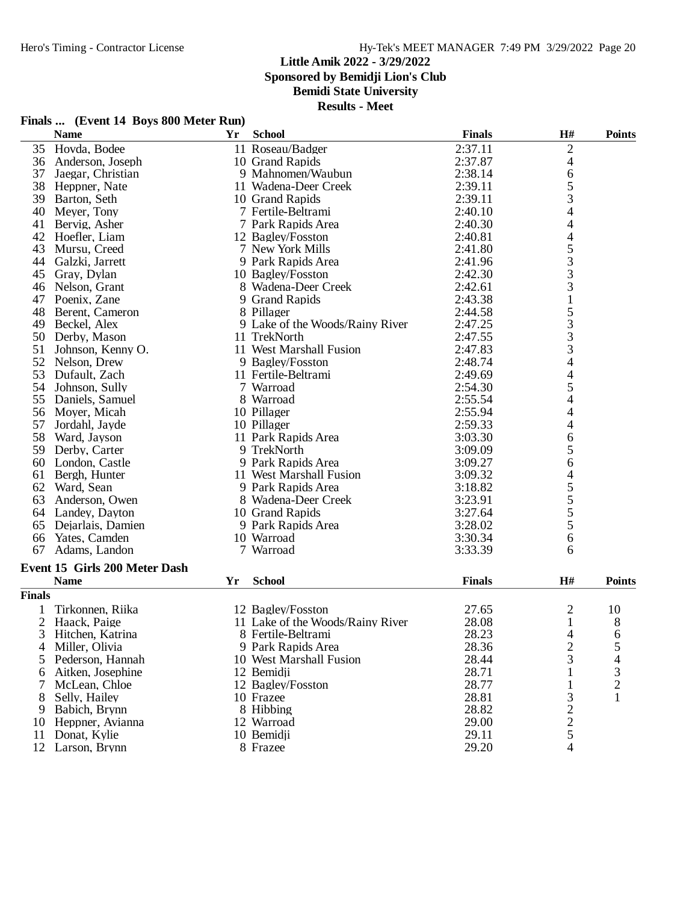**Sponsored by Bemidji Lion's Club**

**Bemidi State University**

|                | <b>Name</b>                   | Yr | <b>School</b>                    | <b>Finals</b> | $\mathbf{H}$ #                                  | <b>Points</b>  |
|----------------|-------------------------------|----|----------------------------------|---------------|-------------------------------------------------|----------------|
| 35             | Hovda, Bodee                  |    | 11 Roseau/Badger                 | 2:37.11       | $\overline{c}$                                  |                |
| 36             | Anderson, Joseph              |    | 10 Grand Rapids                  | 2:37.87       | 4                                               |                |
| 37             | Jaegar, Christian             |    | 9 Mahnomen/Waubun                | 2:38.14       | 6                                               |                |
| 38             | Heppner, Nate                 |    | 11 Wadena-Deer Creek             | 2:39.11       | 5                                               |                |
| 39             | Barton, Seth                  |    | 10 Grand Rapids                  | 2:39.11       | 3                                               |                |
| 40             | Meyer, Tony                   |    | 7 Fertile-Beltrami               | 2:40.10       | $\overline{\mathcal{A}}$                        |                |
| 41             | Bervig, Asher                 |    | 7 Park Rapids Area               | 2:40.30       | $\overline{4}$                                  |                |
| 42             | Hoefler, Liam                 |    | 12 Bagley/Fosston                | 2:40.81       | $\overline{\mathcal{L}}$                        |                |
| 43             | Mursu, Creed                  |    | 7 New York Mills                 | 2:41.80       |                                                 |                |
| 44             | Galzki, Jarrett               |    | 9 Park Rapids Area               | 2:41.96       | $\begin{array}{c} 5 \\ 3 \\ 3 \\ 3 \end{array}$ |                |
| 45             | Gray, Dylan                   |    | 10 Bagley/Fosston                | 2:42.30       |                                                 |                |
| 46             | Nelson, Grant                 |    | 8 Wadena-Deer Creek              | 2:42.61       |                                                 |                |
| 47             | Poenix, Zane                  |    | 9 Grand Rapids                   | 2:43.38       | $\,1\,$                                         |                |
| 48             | Berent, Cameron               |    | 8 Pillager                       | 2:44.58       |                                                 |                |
| 49             | Beckel, Alex                  |    | 9 Lake of the Woods/Rainy River  | 2:47.25       |                                                 |                |
| 50             | Derby, Mason                  |    | 11 TrekNorth                     | 2:47.55       |                                                 |                |
| 51             | Johnson, Kenny O.             |    | 11 West Marshall Fusion          | 2:47.83       | 53334                                           |                |
| 52             | Nelson, Drew                  |    | 9 Bagley/Fosston                 | 2:48.74       |                                                 |                |
| 53             | Dufault, Zach                 |    | 11 Fertile-Beltrami              | 2:49.69       | $\overline{\mathcal{L}}$                        |                |
| 54             | Johnson, Sully                |    | 7 Warroad                        | 2:54.30       | 5                                               |                |
| 55             | Daniels, Samuel               |    | 8 Warroad                        | 2:55.54       | $\overline{\mathcal{L}}$                        |                |
| 56             | Moyer, Micah                  |    | 10 Pillager                      | 2:55.94       | 4                                               |                |
| 57             | Jordahl, Jayde                |    | 10 Pillager                      | 2:59.33       | 4                                               |                |
| 58             | Ward, Jayson                  |    | 11 Park Rapids Area              | 3:03.30       | 6                                               |                |
| 59             | Derby, Carter                 |    | 9 TrekNorth                      | 3:09.09       | 5                                               |                |
| 60             | London, Castle                |    | 9 Park Rapids Area               | 3:09.27       | 6                                               |                |
| 61             | Bergh, Hunter                 |    | 11 West Marshall Fusion          | 3:09.32       | $\overline{\mathcal{L}}$                        |                |
| 62             | Ward, Sean                    |    | 9 Park Rapids Area               | 3:18.82       |                                                 |                |
| 63             | Anderson, Owen                |    | 8 Wadena-Deer Creek              | 3:23.91       | $\frac{5}{5}$<br>$\frac{5}{5}$                  |                |
| 64             | Landey, Dayton                |    | 10 Grand Rapids                  | 3:27.64       |                                                 |                |
| 65             | Dejarlais, Damien             |    | 9 Park Rapids Area               | 3:28.02       |                                                 |                |
| 66             | Yates, Camden                 |    | 10 Warroad                       | 3:30.34       | 6                                               |                |
| 67             | Adams, Landon                 |    | 7 Warroad                        | 3:33.39       | 6                                               |                |
|                |                               |    |                                  |               |                                                 |                |
|                | Event 15 Girls 200 Meter Dash |    |                                  |               |                                                 |                |
|                | <b>Name</b>                   | Yr | <b>School</b>                    | <b>Finals</b> | $\mathbf{H}$ #                                  | <b>Points</b>  |
| <b>Finals</b>  |                               |    |                                  |               |                                                 |                |
|                | Tirkonnen, Riika              |    | 12 Bagley/Fosston                | 27.65         | $\overline{c}$                                  | 10             |
| $\overline{2}$ | Haack, Paige                  |    | 11 Lake of the Woods/Rainy River | 28.08         | $\mathbf{1}$                                    | 8              |
| 3              | Hitchen, Katrina              |    | 8 Fertile-Beltrami               | 28.23         | 4                                               | 6              |
| 4              | Miller, Olivia                |    | 9 Park Rapids Area               | 28.36         | $\overline{\mathbf{c}}$                         | 5              |
| 5              | Pederson, Hannah              |    | 10 West Marshall Fusion          | 28.44         | 3                                               | 4              |
| 6              | Aitken, Josephine             |    | 12 Bemidji                       | 28.71         |                                                 | 3              |
| 7              | McLean, Chloe                 |    | 12 Bagley/Fosston                | 28.77         | 1                                               | $\overline{2}$ |
| 8              | Selly, Hailey                 |    | 10 Frazee                        | 28.81         | 3                                               | $\mathbf{1}$   |
| 9              | Babich, Brynn                 |    | 8 Hibbing                        | 28.82         |                                                 |                |
| 10             | Heppner, Avianna              |    | 12 Warroad                       | 29.00         |                                                 |                |
| 11             | Donat, Kylie                  |    | 10 Bemidji                       | 29.11         | $\frac{2}{2}$                                   |                |
|                | 12 Larson, Brynn              |    | 8 Frazee                         | 29.20         | 4                                               |                |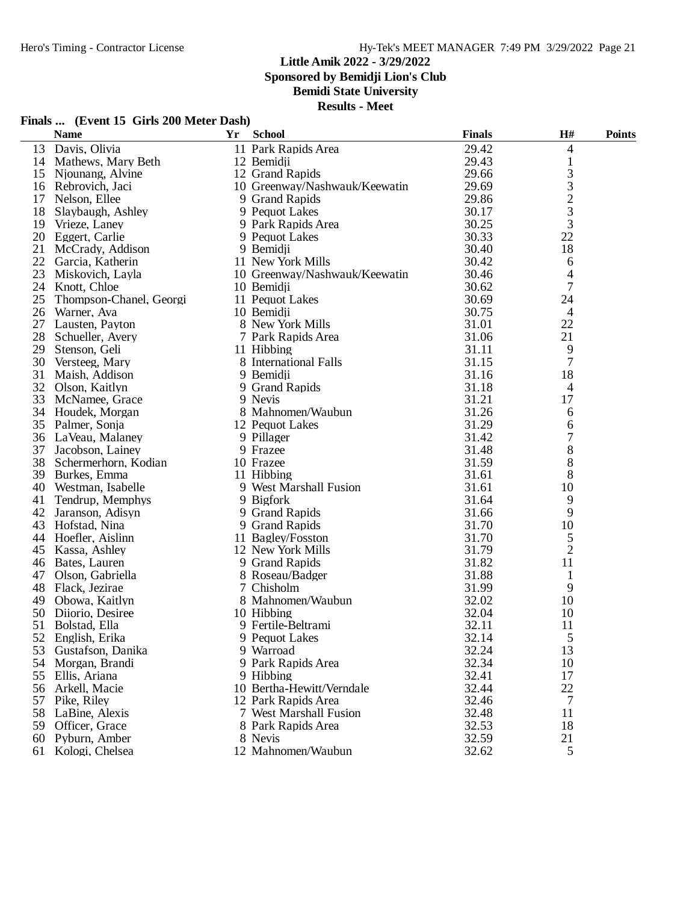**Sponsored by Bemidji Lion's Club**

**Bemidi State University**

|          | Finals  (Event 15 Girls 200 Meter Dash) |    |                                              |                |                |               |
|----------|-----------------------------------------|----|----------------------------------------------|----------------|----------------|---------------|
|          | <b>Name</b>                             | Yr | <b>School</b>                                | <b>Finals</b>  | H#             | <b>Points</b> |
| 13       | Davis, Olivia                           |    | 11 Park Rapids Area                          | 29.42          | 4              |               |
|          | 14 Mathews, Mary Beth                   |    | 12 Bemidji                                   | 29.43          | $\mathbf{1}$   |               |
|          | 15 Niounang, Alvine                     |    | 12 Grand Rapids                              | 29.66          | 3              |               |
| 16       | Rebrovich, Jaci                         |    | 10 Greenway/Nashwauk/Keewatin                | 29.69          | 3              |               |
|          | 17 Nelson, Ellee                        |    | 9 Grand Rapids                               | 29.86          | $\frac{2}{3}$  |               |
| 18       | Slaybaugh, Ashley                       |    | 9 Pequot Lakes                               | 30.17          |                |               |
| 19       | Vrieze, Laney                           |    | 9 Park Rapids Area                           | 30.25          | 3              |               |
| 20       | Eggert, Carlie                          |    | 9 Pequot Lakes                               | 30.33          | 22             |               |
| 21       | McCrady, Addison                        |    | 9 Bemidji                                    | 30.40          | 18             |               |
|          | 22 Garcia, Katherin                     |    | 11 New York Mills                            | 30.42          | 6              |               |
| 23       | Miskovich, Layla                        |    | 10 Greenway/Nashwauk/Keewatin                | 30.46          | 4              |               |
|          | 24 Knott, Chloe                         |    | 10 Bemidji                                   | 30.62          | 7              |               |
| 25       | Thompson-Chanel, Georgi                 |    | 11 Pequot Lakes                              | 30.69          | 24             |               |
| 26       | Warner, Ava                             |    | 10 Bemidji                                   | 30.75          | $\overline{4}$ |               |
|          | 27 Lausten, Payton                      |    | 8 New York Mills                             | 31.01          | 22             |               |
| 28       | Schueller, Avery                        |    | 7 Park Rapids Area                           | 31.06          | 21             |               |
| 29       | Stenson, Geli                           |    | 11 Hibbing                                   | 31.11          | 9              |               |
| 30       | Versteeg, Mary                          |    | 8 International Falls                        | 31.15          | 7              |               |
| 31       | Maish, Addison                          |    | 9 Bemidji                                    | 31.16          | 18             |               |
| 32       | Olson, Kaitlyn                          |    | 9 Grand Rapids                               | 31.18          | $\overline{4}$ |               |
| 33       | McNamee, Grace                          |    | 9 Nevis                                      | 31.21          | 17             |               |
|          | 34 Houdek, Morgan                       |    | 8 Mahnomen/Waubun                            | 31.26          | 6              |               |
|          | 35 Palmer, Sonja                        |    | 12 Pequot Lakes                              | 31.29          | 6              |               |
|          | 36 LaVeau, Malaney                      |    | 9 Pillager                                   | 31.42          | 7              |               |
| 37       | Jacobson, Lainey                        |    | 9 Frazee                                     | 31.48          | 8              |               |
| 38       | Schermerhorn, Kodian                    |    | 10 Frazee                                    | 31.59          | 8              |               |
|          | 39 Burkes, Emma                         |    | 11 Hibbing                                   | 31.61          | 8              |               |
|          | 40 Westman, Isabelle                    |    | 9 West Marshall Fusion                       | 31.61          | 10             |               |
| 41       | Tendrup, Memphys                        |    | 9 Bigfork                                    | 31.64          | 9              |               |
|          | 42 Jaranson, Adisyn                     |    | 9 Grand Rapids                               | 31.66          | 9              |               |
| 43       | Hofstad, Nina                           |    | 9 Grand Rapids                               | 31.70          | 10             |               |
| 44       | Hoefler, Aislinn                        |    | 11 Bagley/Fosston                            | 31.70          | 5              |               |
|          | 45 Kassa, Ashley                        |    | 12 New York Mills                            | 31.79          | $\overline{2}$ |               |
|          | 46 Bates, Lauren                        |    | 9 Grand Rapids                               | 31.82          | 11             |               |
|          | 47 Olson, Gabriella                     |    | 8 Roseau/Badger                              | 31.88          | 1              |               |
|          | 48 Flack, Jezirae                       |    | 7 Chisholm                                   | 31.99          | 9              |               |
| 49       | Obowa, Kaitlyn                          |    | 8 Mahnomen/Waubun                            | 32.02          | 10             |               |
|          | 50 Diiorio, Desiree                     |    | 10 Hibbing                                   | 32.04          | 10             |               |
|          | 51 Bolstad, Ella                        |    | 9 Fertile-Beltrami                           | 32.11          | 11             |               |
|          | 52 English, Erika                       |    | 9 Pequot Lakes                               | 32.14          | 5              |               |
| 53       | Gustafson, Danika                       |    | 9 Warroad                                    | 32.24          | 13             |               |
|          | 54 Morgan, Brandi                       |    | 9 Park Rapids Area                           | 32.34          | 10             |               |
| 55       | Ellis, Ariana                           |    | 9 Hibbing                                    | 32.41          | 17             |               |
| 56       | Arkell, Macie                           |    | 10 Bertha-Hewitt/Verndale                    | 32.44          | 22             |               |
| 57       | Pike, Riley                             |    | 12 Park Rapids Area                          | 32.46          | 7              |               |
| 58       | LaBine, Alexis<br>59 Officer, Grace     |    | 7 West Marshall Fusion<br>8 Park Rapids Area | 32.48          | 11             |               |
|          |                                         |    | 8 Nevis                                      | 32.53<br>32.59 | 18<br>21       |               |
| 60<br>61 | Pyburn, Amber<br>Kologi, Chelsea        |    | 12 Mahnomen/Waubun                           | 32.62          | 5              |               |
|          |                                         |    |                                              |                |                |               |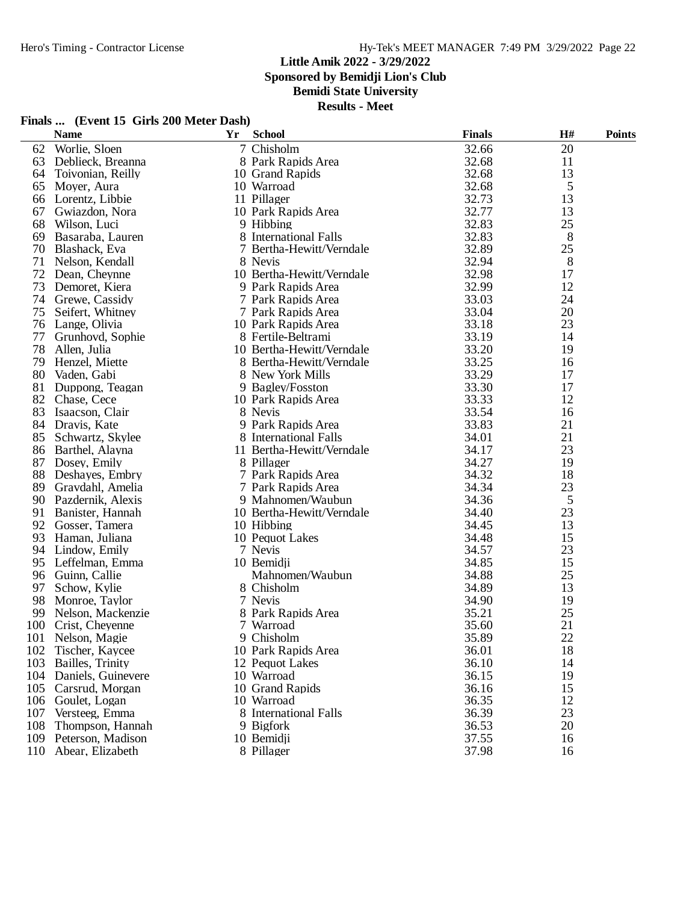**Sponsored by Bemidji Lion's Club**

**Bemidi State University**

|  | Finals  (Event 15 Girls 200 Meter Dash) |
|--|-----------------------------------------|
|--|-----------------------------------------|

|     | <b>Name</b>        | Yr | <b>School</b>             | <b>Finals</b> | H# | <b>Points</b> |
|-----|--------------------|----|---------------------------|---------------|----|---------------|
| 62  | Worlie, Sloen      |    | 7 Chisholm                | 32.66         | 20 |               |
| 63  | Deblieck, Breanna  |    | 8 Park Rapids Area        | 32.68         | 11 |               |
| 64  | Toivonian, Reilly  |    | 10 Grand Rapids           | 32.68         | 13 |               |
| 65  | Moyer, Aura        |    | 10 Warroad                | 32.68         | 5  |               |
| 66  | Lorentz, Libbie    |    | 11 Pillager               | 32.73         | 13 |               |
| 67  | Gwiazdon, Nora     |    | 10 Park Rapids Area       | 32.77         | 13 |               |
| 68  | Wilson, Luci       |    | 9 Hibbing                 | 32.83         | 25 |               |
| 69  | Basaraba, Lauren   |    | 8 International Falls     | 32.83         | 8  |               |
| 70  | Blashack, Eva      |    | 7 Bertha-Hewitt/Verndale  | 32.89         | 25 |               |
| 71  | Nelson, Kendall    |    | 8 Nevis                   | 32.94         | 8  |               |
| 72  | Dean, Cheynne      |    | 10 Bertha-Hewitt/Verndale | 32.98         | 17 |               |
| 73  | Demoret, Kiera     |    | 9 Park Rapids Area        | 32.99         | 12 |               |
| 74  | Grewe, Cassidy     |    | 7 Park Rapids Area        | 33.03         | 24 |               |
| 75  | Seifert, Whitney   |    | 7 Park Rapids Area        | 33.04         | 20 |               |
| 76  | Lange, Olivia      |    | 10 Park Rapids Area       | 33.18         | 23 |               |
| 77  | Grunhovd, Sophie   |    | 8 Fertile-Beltrami        | 33.19         | 14 |               |
| 78  | Allen, Julia       |    | 10 Bertha-Hewitt/Verndale | 33.20         | 19 |               |
| 79  | Henzel, Miette     |    | 8 Bertha-Hewitt/Verndale  | 33.25         | 16 |               |
| 80  | Vaden, Gabi        |    | 8 New York Mills          | 33.29         | 17 |               |
| 81  | Duppong, Teagan    |    | 9 Bagley/Fosston          | 33.30         | 17 |               |
| 82  | Chase, Cece        |    | 10 Park Rapids Area       | 33.33         | 12 |               |
| 83  | Isaacson, Clair    |    | 8 Nevis                   | 33.54         | 16 |               |
| 84  | Dravis, Kate       |    | 9 Park Rapids Area        | 33.83         | 21 |               |
| 85  | Schwartz, Skylee   |    | 8 International Falls     | 34.01         | 21 |               |
| 86  | Barthel, Alayna    |    | 11 Bertha-Hewitt/Verndale | 34.17         | 23 |               |
| 87  | Dosey, Emily       |    | 8 Pillager                | 34.27         | 19 |               |
| 88  | Deshayes, Embry    |    | 7 Park Rapids Area        | 34.32         | 18 |               |
| 89  | Gravdahl, Amelia   |    | 7 Park Rapids Area        | 34.34         | 23 |               |
| 90  | Pazdernik, Alexis  |    | 9 Mahnomen/Waubun         | 34.36         | 5  |               |
| 91  | Banister, Hannah   |    | 10 Bertha-Hewitt/Verndale | 34.40         | 23 |               |
| 92  | Gosser, Tamera     |    | 10 Hibbing                | 34.45         | 13 |               |
| 93  | Haman, Juliana     |    | 10 Pequot Lakes           | 34.48         | 15 |               |
| 94  | Lindow, Emily      |    | 7 Nevis                   | 34.57         | 23 |               |
| 95  | Leffelman, Emma    |    | 10 Bemidji                | 34.85         | 15 |               |
| 96  | Guinn, Callie      |    | Mahnomen/Waubun           | 34.88         | 25 |               |
| 97  | Schow, Kylie       |    | 8 Chisholm                | 34.89         | 13 |               |
| 98  | Monroe, Taylor     |    | 7 Nevis                   | 34.90         | 19 |               |
| 99  | Nelson, Mackenzie  |    | 8 Park Rapids Area        | 35.21         | 25 |               |
| 100 | Crist, Cheyenne    |    | 7 Warroad                 | 35.60         | 21 |               |
|     | 101 Nelson, Magie  |    | 9 Chisholm                | 35.89         | 22 |               |
| 102 | Tischer, Kaycee    |    | 10 Park Rapids Area       | 36.01         | 18 |               |
| 103 | Bailles, Trinity   |    | 12 Pequot Lakes           | 36.10         | 14 |               |
| 104 | Daniels, Guinevere |    | 10 Warroad                | 36.15         | 19 |               |
| 105 | Carsrud, Morgan    |    | 10 Grand Rapids           | 36.16         | 15 |               |
| 106 | Goulet, Logan      |    | 10 Warroad                | 36.35         | 12 |               |
| 107 | Versteeg, Emma     |    | 8 International Falls     | 36.39         | 23 |               |
| 108 | Thompson, Hannah   |    | 9 Bigfork                 | 36.53         | 20 |               |
| 109 | Peterson, Madison  |    | 10 Bemidji                | 37.55         | 16 |               |
| 110 | Abear, Elizabeth   |    | 8 Pillager                | 37.98         | 16 |               |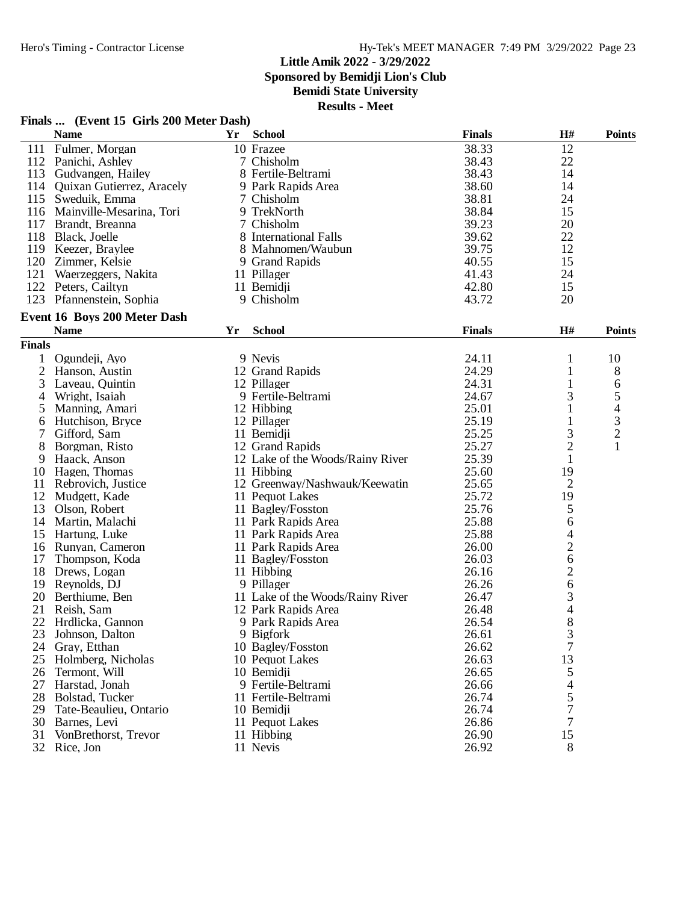**Sponsored by Bemidji Lion's Club**

## **Bemidi State University**

|                | Finals  (Event 15 Girls 200 Meter Dash) |    |                                  |               |                |                |
|----------------|-----------------------------------------|----|----------------------------------|---------------|----------------|----------------|
|                | <b>Name</b>                             | Yr | <b>School</b>                    | <b>Finals</b> | H#             | <b>Points</b>  |
| 111            | Fulmer, Morgan                          |    | 10 Frazee                        | 38.33         | 12             |                |
| 112            | Panichi, Ashley                         |    | 7 Chisholm                       | 38.43         | 22             |                |
| 113            | Gudvangen, Hailey                       |    | 8 Fertile-Beltrami               | 38.43         | 14             |                |
| 114            | Quixan Gutierrez, Aracely               |    | 9 Park Rapids Area               | 38.60         | 14             |                |
| 115            | Sweduik, Emma                           |    | 7 Chisholm                       | 38.81         | 24             |                |
|                | 116 Mainville-Mesarina, Tori            |    | 9 TrekNorth                      | 38.84         | 15             |                |
| 117            | Brandt, Breanna                         |    | 7 Chisholm                       | 39.23         | 20             |                |
| 118            | Black, Joelle                           |    | 8 International Falls            | 39.62         | 22             |                |
| 119            | Keezer, Braylee                         |    | 8 Mahnomen/Waubun                | 39.75         | 12             |                |
| 120            | Zimmer, Kelsie                          |    | 9 Grand Rapids                   | 40.55         | 15             |                |
| 121            | Waerzeggers, Nakita                     |    | 11 Pillager                      | 41.43         | 24             |                |
|                | 122 Peters, Cailtyn                     |    | 11 Bemidji                       | 42.80         | 15             |                |
|                | 123 Pfannenstein, Sophia                |    | 9 Chisholm                       | 43.72         | 20             |                |
|                | Event 16 Boys 200 Meter Dash            |    |                                  |               |                |                |
|                | <b>Name</b>                             | Yr | <b>School</b>                    | <b>Finals</b> | H#             | <b>Points</b>  |
| <b>Finals</b>  |                                         |    |                                  |               |                |                |
|                | Ogundeji, Ayo                           |    | 9 Nevis                          | 24.11         | 1              | 10             |
| $\overline{2}$ | Hanson, Austin                          |    | 12 Grand Rapids                  | 24.29         | 1              | 8              |
| 3              | Laveau, Quintin                         |    | 12 Pillager                      | 24.31         | 1              | 6              |
| 4              | Wright, Isaiah                          |    | 9 Fertile-Beltrami               | 24.67         | 3              | 5              |
| 5              | Manning, Amari                          |    | 12 Hibbing                       | 25.01         | 1              | 4              |
| 6              | Hutchison, Bryce                        |    | 12 Pillager                      | 25.19         | 1              | 3              |
| 7              | Gifford, Sam                            |    | 11 Bemidji                       | 25.25         | 3              | $\overline{c}$ |
| 8              | Borgman, Risto                          |    | 12 Grand Rapids                  | 25.27         | $\overline{c}$ | $\mathbf{1}$   |
| 9              | Haack, Anson                            |    | 12 Lake of the Woods/Rainy River | 25.39         | 1              |                |
| 10             | Hagen, Thomas                           |    | 11 Hibbing                       | 25.60         | 19             |                |
| 11             | Rebrovich, Justice                      |    | 12 Greenway/Nashwauk/Keewatin    | 25.65         | $\overline{2}$ |                |
| 12             | Mudgett, Kade                           |    | 11 Pequot Lakes                  | 25.72         | 19             |                |
| 13             | Olson, Robert                           |    | 11 Bagley/Fosston                | 25.76         | 5              |                |
| 14             | Martin, Malachi                         |    | 11 Park Rapids Area              | 25.88         | 6              |                |
| 15             | Hartung, Luke                           |    | 11 Park Rapids Area              | 25.88         | 4              |                |
|                | 16 Runyan, Cameron                      |    | 11 Park Rapids Area              | 26.00         | $\overline{c}$ |                |
| 17             | Thompson, Koda                          |    | 11 Bagley/Fosston                | 26.03         | 6              |                |
| 18             | Drews, Logan                            |    | 11 Hibbing                       | 26.16         | 2              |                |
| 19             | Reynolds, DJ                            |    | 9 Pillager                       | 26.26         | 6              |                |
| 20             | Berthiume, Ben                          |    | 11 Lake of the Woods/Rainy River | 26.47         | 3              |                |
| 21             | Reish, Sam                              |    | 12 Park Rapids Area              | 26.48         | 4              |                |
|                | 22 Hrdlicka, Gannon                     |    | 9 Park Rapids Area               | 26.54         | 8              |                |
| 23             | Johnson, Dalton                         |    | 9 Bigfork                        | 26.61         | 3              |                |
| 24             | Gray, Etthan                            |    | 10 Bagley/Fosston                | 26.62         | 7              |                |
| 25             | Holmberg, Nicholas                      |    | 10 Pequot Lakes                  | 26.63         | 13             |                |
|                | 26 Termont, Will                        |    | 10 Bemidji                       | 26.65         | 5              |                |
| 27             | Harstad, Jonah                          |    | 9 Fertile-Beltrami               | 26.66         | 4              |                |
| 28             | Bolstad, Tucker                         |    | 11 Fertile-Beltrami              | 26.74         | 5              |                |
| 29             | Tate-Beaulieu, Ontario                  |    | 10 Bemidii                       | 26.74         | 7              |                |
| 30             | Barnes, Levi                            |    | 11 Pequot Lakes                  | 26.86         | 7              |                |
| 31             | VonBrethorst, Trevor                    |    | 11 Hibbing                       | 26.90         | 15             |                |
|                | 32 Rice, Jon                            |    | 11 Nevis                         | 26.92         | 8              |                |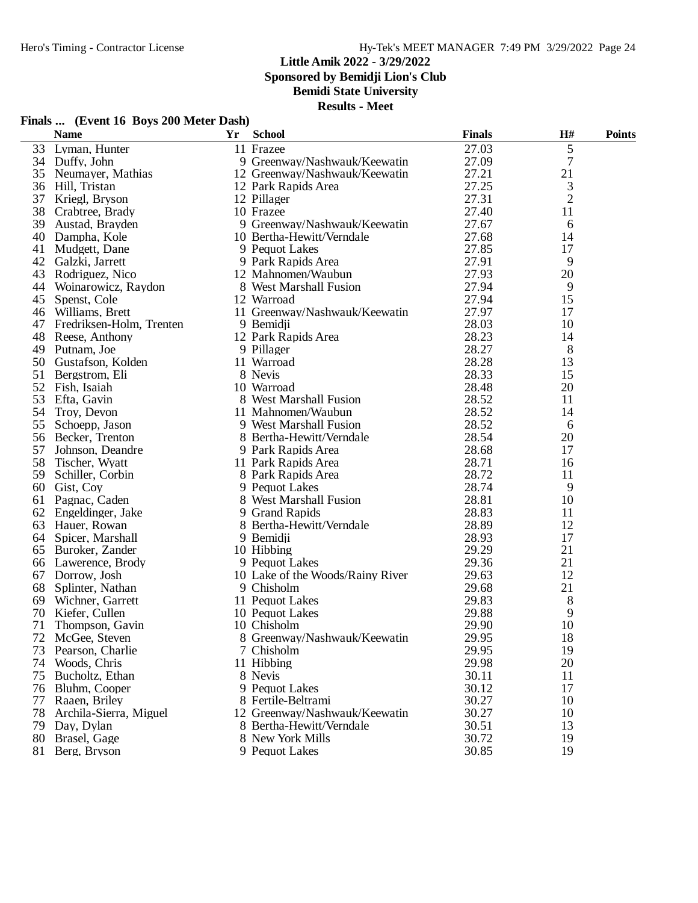**Sponsored by Bemidji Lion's Club**

**Bemidi State University**

**Results - Meet**

|    | <b>Name</b>                 | Yr | <b>School</b>                    | <b>Finals</b> | H#             | <b>Points</b> |
|----|-----------------------------|----|----------------------------------|---------------|----------------|---------------|
| 33 | Lyman, Hunter               |    | 11 Frazee                        | 27.03         | 5              |               |
|    | 34 Duffy, John              |    | 9 Greenway/Nashwauk/Keewatin     | 27.09         | $\tau$         |               |
| 35 | Neumayer, Mathias           |    | 12 Greenway/Nashwauk/Keewatin    | 27.21         | 21             |               |
|    | 36 Hill, Tristan            |    | 12 Park Rapids Area              | 27.25         | 3              |               |
| 37 | Kriegl, Bryson              |    | 12 Pillager                      | 27.31         | $\overline{2}$ |               |
| 38 | Crabtree, Brady             |    | 10 Frazee                        | 27.40         | 11             |               |
| 39 | Austad, Brayden             |    | 9 Greenway/Nashwauk/Keewatin     | 27.67         | 6              |               |
| 40 | Dampha, Kole                |    | 10 Bertha-Hewitt/Verndale        | 27.68         | 14             |               |
| 41 | Mudgett, Dane               |    | 9 Pequot Lakes                   | 27.85         | 17             |               |
| 42 | Galzki, Jarrett             |    | 9 Park Rapids Area               | 27.91         | 9              |               |
| 43 | Rodriguez, Nico             |    | 12 Mahnomen/Waubun               | 27.93         | 20             |               |
| 44 | Woinarowicz, Raydon         |    | 8 West Marshall Fusion           | 27.94         | 9              |               |
| 45 | Spenst, Cole                |    | 12 Warroad                       | 27.94         | 15             |               |
| 46 | Williams, Brett             |    | 11 Greenway/Nashwauk/Keewatin    | 27.97         | 17             |               |
|    | 47 Fredriksen-Holm, Trenten |    | 9 Bemidji                        | 28.03         | 10             |               |
| 48 | Reese, Anthony              |    | 12 Park Rapids Area              | 28.23         | 14             |               |
| 49 | Putnam, Joe                 |    | 9 Pillager                       | 28.27         | 8              |               |
| 50 | Gustafson, Kolden           |    | 11 Warroad                       | 28.28         | 13             |               |
| 51 | Bergstrom, Eli              |    | 8 Nevis                          | 28.33         | 15             |               |
| 52 | Fish, Isaiah                |    | 10 Warroad                       | 28.48         | 20             |               |
| 53 | Efta, Gavin                 |    | 8 West Marshall Fusion           | 28.52         | 11             |               |
| 54 | Troy, Devon                 |    | 11 Mahnomen/Waubun               | 28.52         | 14             |               |
| 55 | Schoepp, Jason              |    | 9 West Marshall Fusion           | 28.52         | 6              |               |
| 56 | Becker, Trenton             |    | 8 Bertha-Hewitt/Verndale         | 28.54         | 20             |               |
| 57 | Johnson, Deandre            |    | 9 Park Rapids Area               | 28.68         | 17             |               |
| 58 | Tischer, Wyatt              |    | 11 Park Rapids Area              | 28.71         | 16             |               |
| 59 | Schiller, Corbin            |    | 8 Park Rapids Area               | 28.72         | 11             |               |
| 60 | Gist, Coy                   |    | 9 Pequot Lakes                   | 28.74         | 9              |               |
| 61 | Pagnac, Caden               |    | 8 West Marshall Fusion           | 28.81         | 10             |               |
| 62 | Engeldinger, Jake           |    | 9 Grand Rapids                   | 28.83         | 11             |               |
| 63 | Hauer, Rowan                |    | 8 Bertha-Hewitt/Verndale         | 28.89         | 12             |               |
|    |                             |    |                                  | 28.93         | 17             |               |
| 65 | 64 Spicer, Marshall         |    | 9 Bemidji<br>10 Hibbing          | 29.29         | 21             |               |
|    | Buroker, Zander             |    | 9 Pequot Lakes                   | 29.36         | 21             |               |
|    | 66 Lawerence, Brody         |    |                                  | 29.63         | 12             |               |
| 67 | Dorrow, Josh                |    | 10 Lake of the Woods/Rainy River |               |                |               |
| 68 | Splinter, Nathan            |    | 9 Chisholm                       | 29.68         | 21             |               |
| 69 | Wichner, Garrett            |    | 11 Pequot Lakes                  | 29.83         | 8              |               |
| 70 | Kiefer, Cullen              |    | 10 Pequot Lakes                  | 29.88         | 9              |               |
| 71 | Thompson, Gavin             |    | 10 Chisholm                      | 29.90         | 10             |               |
|    | 72 McGee, Steven            |    | 8 Greenway/Nashwauk/Keewatin     | 29.95         | 18             |               |
| 73 | Pearson, Charlie            |    | 7 Chisholm                       | 29.95         | 19             |               |
| 74 | Woods, Chris                |    | 11 Hibbing                       | 29.98         | 20             |               |
| 75 | Bucholtz, Ethan             |    | 8 Nevis                          | 30.11         | 11             |               |
| 76 | Bluhm, Cooper               |    | 9 Pequot Lakes                   | 30.12         | 17             |               |
| 77 | Raaen, Briley               |    | 8 Fertile-Beltrami               | 30.27         | 10             |               |
| 78 | Archila-Sierra, Miguel      |    | 12 Greenway/Nashwauk/Keewatin    | 30.27         | 10             |               |
|    | 79 Day, Dylan               |    | 8 Bertha-Hewitt/Verndale         | 30.51         | 13             |               |
| 80 | Brasel, Gage                |    | 8 New York Mills                 | 30.72         | 19             |               |
| 81 | Berg, Bryson                |    | 9 Pequot Lakes                   | 30.85         | 19             |               |

## **Finals ... (Event 16 Boys 200 Meter Dash)**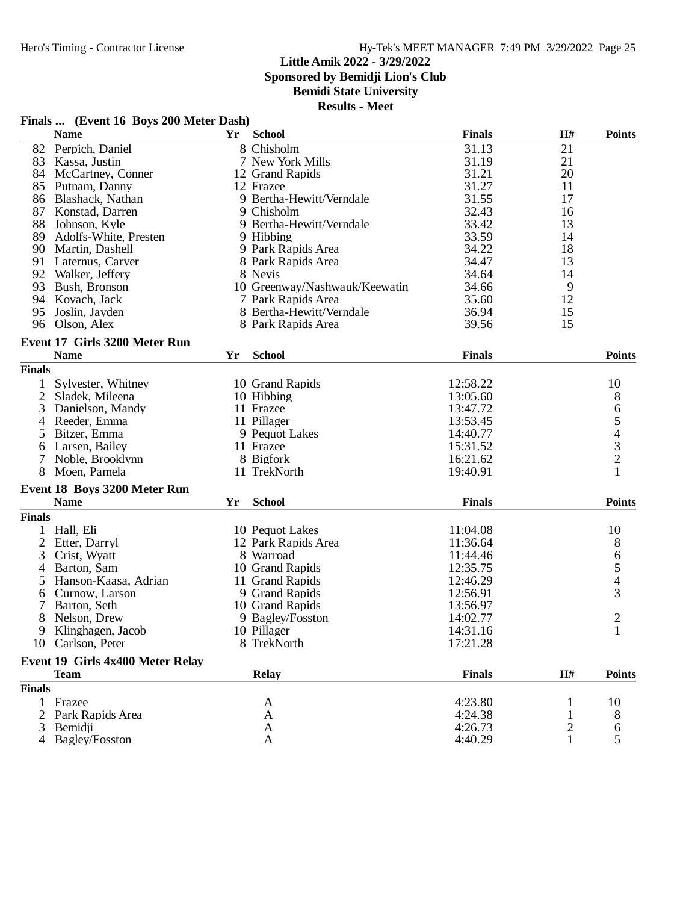**Sponsored by Bemidji Lion's Club**

## **Bemidi State University**

|                | <b>Name</b>                      | Yr | <b>School</b>                 | <b>Finals</b> | H# | <b>Points</b>                         |
|----------------|----------------------------------|----|-------------------------------|---------------|----|---------------------------------------|
|                | 82 Perpich, Daniel               |    | 8 Chisholm                    | 31.13         | 21 |                                       |
| 83             | Kassa, Justin                    |    | 7 New York Mills              | 31.19         | 21 |                                       |
| 84             | McCartney, Conner                |    | 12 Grand Rapids               | 31.21         | 20 |                                       |
| 85             | Putnam, Danny                    |    | 12 Frazee                     | 31.27         | 11 |                                       |
| 86             | Blashack, Nathan                 |    | 9 Bertha-Hewitt/Verndale      | 31.55         | 17 |                                       |
| 87             | Konstad, Darren                  |    | 9 Chisholm                    | 32.43         | 16 |                                       |
| 88             | Johnson, Kyle                    |    | 9 Bertha-Hewitt/Verndale      | 33.42         | 13 |                                       |
| 89             | Adolfs-White, Presten            |    | 9 Hibbing                     | 33.59         | 14 |                                       |
| 90             | Martin, Dashell                  |    | 9 Park Rapids Area            | 34.22         | 18 |                                       |
| 91             | Laternus, Carver                 |    | 8 Park Rapids Area            | 34.47         | 13 |                                       |
| 92             | Walker, Jeffery                  |    | 8 Nevis                       | 34.64         | 14 |                                       |
| 93             | Bush, Bronson                    |    | 10 Greenway/Nashwauk/Keewatin | 34.66         | 9  |                                       |
| 94             | Kovach, Jack                     |    | 7 Park Rapids Area            | 35.60         | 12 |                                       |
| 95             | Joslin, Jayden                   |    | 8 Bertha-Hewitt/Verndale      | 36.94         | 15 |                                       |
|                | 96 Olson, Alex                   |    | 8 Park Rapids Area            | 39.56         | 15 |                                       |
|                |                                  |    |                               |               |    |                                       |
|                | Event 17 Girls 3200 Meter Run    |    |                               |               |    |                                       |
|                | <b>Name</b>                      | Yr | <b>School</b>                 | <b>Finals</b> |    | <b>Points</b>                         |
| <b>Finals</b>  |                                  |    |                               |               |    |                                       |
| 1              | Sylvester, Whitney               |    | 10 Grand Rapids               | 12:58.22      |    | 10                                    |
| $\overline{2}$ | Sladek, Mileena                  |    | 10 Hibbing                    | 13:05.60      |    | 8                                     |
| 3              | Danielson, Mandy                 |    | 11 Frazee                     | 13:47.72      |    |                                       |
| 4              | Reeder, Emma                     |    | 11 Pillager                   | 13:53.45      |    |                                       |
| 5              | Bitzer, Emma                     |    | 9 Pequot Lakes                | 14:40.77      |    | 65432                                 |
| 6              | Larsen, Bailey                   |    | 11 Frazee                     | 15:31.52      |    |                                       |
| 7              | Noble, Brooklynn                 |    | 8 Bigfork                     | 16:21.62      |    |                                       |
| 8              | Moen, Pamela                     |    | 11 TrekNorth                  | 19:40.91      |    | $\mathbf{1}$                          |
|                | Event 18 Boys 3200 Meter Run     |    |                               |               |    |                                       |
|                | <b>Name</b>                      | Yr | <b>School</b>                 | <b>Finals</b> |    | <b>Points</b>                         |
| <b>Finals</b>  |                                  |    |                               |               |    |                                       |
| 1              | Hall, Eli                        |    | 10 Pequot Lakes               | 11:04.08      |    | 10                                    |
| $\overline{2}$ | Etter, Darryl                    |    | 12 Park Rapids Area           | 11:36.64      |    | 8                                     |
| 3              | Crist, Wyatt                     |    | 8 Warroad                     | 11:44.46      |    |                                       |
| 4              | Barton, Sam                      |    | 10 Grand Rapids               | 12:35.75      |    | $\begin{array}{c} 6 \\ 5 \end{array}$ |
| 5              | Hanson-Kaasa, Adrian             |    | 11 Grand Rapids               | 12:46.29      |    | $\overline{\mathcal{L}}$              |
|                | Curnow, Larson                   |    |                               | 12:56.91      |    | $\overline{3}$                        |
| 6              |                                  |    | 9 Grand Rapids                |               |    |                                       |
| 7              | Barton, Seth                     |    | 10 Grand Rapids               | 13:56.97      |    |                                       |
| 8              | Nelson, Drew                     |    | 9 Bagley/Fosston              | 14:02.77      |    | $\overline{c}$                        |
| 9              | Klinghagen, Jacob                |    | 10 Pillager                   | 14:31.16      |    | $\mathbf{1}$                          |
|                | 10 Carlson, Peter                |    | 8 TrekNorth                   | 17:21.28      |    |                                       |
|                | Event 19 Girls 4x400 Meter Relay |    |                               |               |    |                                       |
|                | <b>Team</b>                      |    | <b>Relay</b>                  | <b>Finals</b> | H# | <b>Points</b>                         |
| <b>Finals</b>  |                                  |    |                               |               |    |                                       |
| $\mathbf{1}$   | Frazee                           |    | A                             | 4:23.80       | 1  | 10                                    |
| 2              | Park Rapids Area                 |    | $\mathbf{A}$                  | 4:24.38       |    | 8                                     |
| 3              | Bemidii                          |    | A                             | 4:26.73       | 2  | 6                                     |
| 4              | Bagley/Fosston                   |    | A                             | 4:40.29       |    | 5                                     |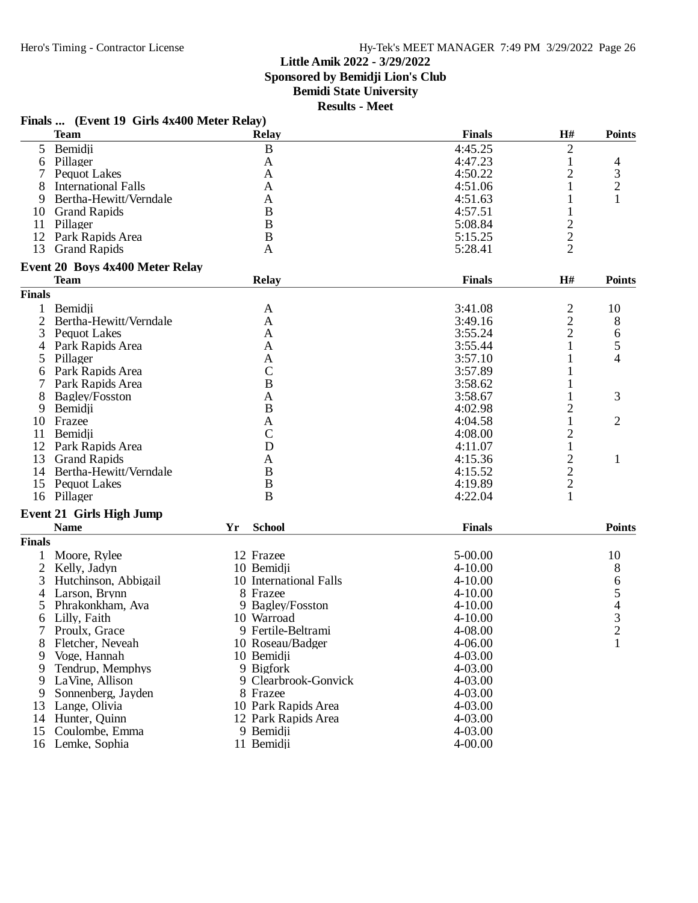## **Little Amik 2022 - 3/29/2022 Sponsored by Bemidji Lion's Club**

**Bemidi State University**

| <b>Finals</b><br>H#<br><b>Points</b><br><b>Team</b><br><b>Relay</b><br>5 <sup>5</sup><br>$\, {\bf B}$<br>4:45.25<br>2<br>Bemidji<br>6 Pillager<br>4:47.23<br>$\mathbf{1}$<br>A<br>$\overline{4}$<br>$\mathfrak{Z}$<br>2<br>7<br><b>Pequot Lakes</b><br>4:50.22<br>A<br>$\overline{c}$<br><b>International Falls</b><br>8<br>A<br>4:51.06<br>1<br>Bertha-Hewitt/Verndale<br>1<br>1<br>9<br>A<br>4:51.63<br>$\mathbf B$<br>4:57.51<br>1<br>10 Grand Rapids<br>$\frac{2}{2}$<br>B<br>11 Pillager<br>5:08.84<br>12 Park Rapids Area<br>B<br>5:15.25<br>13<br><b>Grand Rapids</b><br>5:28.41<br>A<br>Event 20 Boys 4x400 Meter Relay<br>H#<br><b>Team</b><br>Relay<br><b>Finals</b><br><b>Points</b><br><b>Finals</b><br>$\overline{c}$<br>Bemidji<br>3:41.08<br>10<br>$\mathbf{1}$<br>A<br>$\overline{c}$<br>$\overline{2}$<br>Bertha-Hewitt/Verndale<br>A<br>3:49.16<br>8<br>$\overline{c}$<br>3<br>$\mathbf{A}$<br>3:55.24<br><b>Pequot Lakes</b><br>6<br>5<br>1<br>Park Rapids Area<br>A<br>3:55.44<br>4<br>4<br>Pillager<br>3:57.10<br>1<br>5<br>A<br>$\mathcal{C}$<br>1<br>Park Rapids Area<br>3:57.89<br>6<br>B<br>Park Rapids Area<br>3:58.62<br>1<br>7<br>3<br>8<br>3:58.67<br>$\mathbf{1}$<br><b>Bagley/Fosston</b><br>A<br>$\, {\bf B}$<br>$\overline{\mathbf{c}}$<br>Bemidji<br>4:02.98<br>9<br>$\mathbf{1}$<br>$\overline{2}$<br>4:04.58<br>10 Frazee<br>A<br>$\mathcal{C}$<br>$\overline{c}$<br>4:08.00<br>Bemidji<br>11<br>D<br>$\mathbf{1}$<br>12<br>Park Rapids Area<br>4:11.07<br>$\frac{2}{2}$<br>13<br><b>Grand Rapids</b><br>4:15.36<br>1<br>A<br>B<br>14 Bertha-Hewitt/Verndale<br>4:15.52<br>$\overline{c}$<br>$\, {\bf B}$<br>15 Pequot Lakes<br>4:19.89<br>B<br>1<br>16 Pillager<br>4:22.04<br><b>Event 21 Girls High Jump</b><br><b>School</b><br><b>Finals</b><br><b>Name</b><br>Yr<br><b>Points</b><br><b>Finals</b><br>12 Frazee<br>$5 - 00.00$<br>10<br>Moore, Rylee<br>1<br>2 Kelly, Jadyn<br>10 Bemidji<br>8<br>$4 - 10.00$<br>$654$<br>3<br>3<br>Hutchinson, Abbigail<br>10 International Falls<br>$4 - 10.00$<br>8 Frazee<br>Larson, Brynn<br>$4 - 10.00$<br>4<br>9 Bagley/Fosston<br>5<br>Phrakonkham, Ava<br>$4 - 10.00$<br>Lilly, Faith<br>10 Warroad<br>$4 - 10.00$<br>6<br>9 Fertile-Beltrami<br>4-08.00<br>Proulx, Grace<br>$\mathbf{1}$<br>8<br>Fletcher, Neveah<br>10 Roseau/Badger<br>4-06.00<br>10 Bemidji<br>$4 - 03.00$<br>9<br>Voge, Hannah<br>Tendrup, Memphys<br>9 Bigfork<br>4-03.00<br>9<br>LaVine, Allison<br>9 Clearbrook-Gonvick<br>4-03.00<br>9<br>9<br>Sonnenberg, Jayden<br>8 Frazee<br>4-03.00<br>Lange, Olivia<br>10 Park Rapids Area<br>4-03.00<br>13<br>14 Hunter, Quinn<br>4-03.00<br>12 Park Rapids Area<br>Coulombe, Emma<br>9 Bemidji<br>4-03.00<br>15<br>16 Lemke, Sophia<br>11 Bemidji<br>$4 - 00.00$ | Finals  (Event 19 Girls 4x400 Meter Relay) |  |  |  |
|---------------------------------------------------------------------------------------------------------------------------------------------------------------------------------------------------------------------------------------------------------------------------------------------------------------------------------------------------------------------------------------------------------------------------------------------------------------------------------------------------------------------------------------------------------------------------------------------------------------------------------------------------------------------------------------------------------------------------------------------------------------------------------------------------------------------------------------------------------------------------------------------------------------------------------------------------------------------------------------------------------------------------------------------------------------------------------------------------------------------------------------------------------------------------------------------------------------------------------------------------------------------------------------------------------------------------------------------------------------------------------------------------------------------------------------------------------------------------------------------------------------------------------------------------------------------------------------------------------------------------------------------------------------------------------------------------------------------------------------------------------------------------------------------------------------------------------------------------------------------------------------------------------------------------------------------------------------------------------------------------------------------------------------------------------------------------------------------------------------------------------------------------------------------------------------------------------------------------------------------------------------------------------------------------------------------------------------------------------------------------------------------------------------------------------------------------------------------------------------------------------------------------------------------------------------------------------------------------------------------------------------------------------------------------------------------------------------------------------------------------------------------|--------------------------------------------|--|--|--|
|                                                                                                                                                                                                                                                                                                                                                                                                                                                                                                                                                                                                                                                                                                                                                                                                                                                                                                                                                                                                                                                                                                                                                                                                                                                                                                                                                                                                                                                                                                                                                                                                                                                                                                                                                                                                                                                                                                                                                                                                                                                                                                                                                                                                                                                                                                                                                                                                                                                                                                                                                                                                                                                                                                                                                                     |                                            |  |  |  |
|                                                                                                                                                                                                                                                                                                                                                                                                                                                                                                                                                                                                                                                                                                                                                                                                                                                                                                                                                                                                                                                                                                                                                                                                                                                                                                                                                                                                                                                                                                                                                                                                                                                                                                                                                                                                                                                                                                                                                                                                                                                                                                                                                                                                                                                                                                                                                                                                                                                                                                                                                                                                                                                                                                                                                                     |                                            |  |  |  |
|                                                                                                                                                                                                                                                                                                                                                                                                                                                                                                                                                                                                                                                                                                                                                                                                                                                                                                                                                                                                                                                                                                                                                                                                                                                                                                                                                                                                                                                                                                                                                                                                                                                                                                                                                                                                                                                                                                                                                                                                                                                                                                                                                                                                                                                                                                                                                                                                                                                                                                                                                                                                                                                                                                                                                                     |                                            |  |  |  |
|                                                                                                                                                                                                                                                                                                                                                                                                                                                                                                                                                                                                                                                                                                                                                                                                                                                                                                                                                                                                                                                                                                                                                                                                                                                                                                                                                                                                                                                                                                                                                                                                                                                                                                                                                                                                                                                                                                                                                                                                                                                                                                                                                                                                                                                                                                                                                                                                                                                                                                                                                                                                                                                                                                                                                                     |                                            |  |  |  |
|                                                                                                                                                                                                                                                                                                                                                                                                                                                                                                                                                                                                                                                                                                                                                                                                                                                                                                                                                                                                                                                                                                                                                                                                                                                                                                                                                                                                                                                                                                                                                                                                                                                                                                                                                                                                                                                                                                                                                                                                                                                                                                                                                                                                                                                                                                                                                                                                                                                                                                                                                                                                                                                                                                                                                                     |                                            |  |  |  |
|                                                                                                                                                                                                                                                                                                                                                                                                                                                                                                                                                                                                                                                                                                                                                                                                                                                                                                                                                                                                                                                                                                                                                                                                                                                                                                                                                                                                                                                                                                                                                                                                                                                                                                                                                                                                                                                                                                                                                                                                                                                                                                                                                                                                                                                                                                                                                                                                                                                                                                                                                                                                                                                                                                                                                                     |                                            |  |  |  |
|                                                                                                                                                                                                                                                                                                                                                                                                                                                                                                                                                                                                                                                                                                                                                                                                                                                                                                                                                                                                                                                                                                                                                                                                                                                                                                                                                                                                                                                                                                                                                                                                                                                                                                                                                                                                                                                                                                                                                                                                                                                                                                                                                                                                                                                                                                                                                                                                                                                                                                                                                                                                                                                                                                                                                                     |                                            |  |  |  |
|                                                                                                                                                                                                                                                                                                                                                                                                                                                                                                                                                                                                                                                                                                                                                                                                                                                                                                                                                                                                                                                                                                                                                                                                                                                                                                                                                                                                                                                                                                                                                                                                                                                                                                                                                                                                                                                                                                                                                                                                                                                                                                                                                                                                                                                                                                                                                                                                                                                                                                                                                                                                                                                                                                                                                                     |                                            |  |  |  |
|                                                                                                                                                                                                                                                                                                                                                                                                                                                                                                                                                                                                                                                                                                                                                                                                                                                                                                                                                                                                                                                                                                                                                                                                                                                                                                                                                                                                                                                                                                                                                                                                                                                                                                                                                                                                                                                                                                                                                                                                                                                                                                                                                                                                                                                                                                                                                                                                                                                                                                                                                                                                                                                                                                                                                                     |                                            |  |  |  |
|                                                                                                                                                                                                                                                                                                                                                                                                                                                                                                                                                                                                                                                                                                                                                                                                                                                                                                                                                                                                                                                                                                                                                                                                                                                                                                                                                                                                                                                                                                                                                                                                                                                                                                                                                                                                                                                                                                                                                                                                                                                                                                                                                                                                                                                                                                                                                                                                                                                                                                                                                                                                                                                                                                                                                                     |                                            |  |  |  |
|                                                                                                                                                                                                                                                                                                                                                                                                                                                                                                                                                                                                                                                                                                                                                                                                                                                                                                                                                                                                                                                                                                                                                                                                                                                                                                                                                                                                                                                                                                                                                                                                                                                                                                                                                                                                                                                                                                                                                                                                                                                                                                                                                                                                                                                                                                                                                                                                                                                                                                                                                                                                                                                                                                                                                                     |                                            |  |  |  |
|                                                                                                                                                                                                                                                                                                                                                                                                                                                                                                                                                                                                                                                                                                                                                                                                                                                                                                                                                                                                                                                                                                                                                                                                                                                                                                                                                                                                                                                                                                                                                                                                                                                                                                                                                                                                                                                                                                                                                                                                                                                                                                                                                                                                                                                                                                                                                                                                                                                                                                                                                                                                                                                                                                                                                                     |                                            |  |  |  |
|                                                                                                                                                                                                                                                                                                                                                                                                                                                                                                                                                                                                                                                                                                                                                                                                                                                                                                                                                                                                                                                                                                                                                                                                                                                                                                                                                                                                                                                                                                                                                                                                                                                                                                                                                                                                                                                                                                                                                                                                                                                                                                                                                                                                                                                                                                                                                                                                                                                                                                                                                                                                                                                                                                                                                                     |                                            |  |  |  |
|                                                                                                                                                                                                                                                                                                                                                                                                                                                                                                                                                                                                                                                                                                                                                                                                                                                                                                                                                                                                                                                                                                                                                                                                                                                                                                                                                                                                                                                                                                                                                                                                                                                                                                                                                                                                                                                                                                                                                                                                                                                                                                                                                                                                                                                                                                                                                                                                                                                                                                                                                                                                                                                                                                                                                                     |                                            |  |  |  |
|                                                                                                                                                                                                                                                                                                                                                                                                                                                                                                                                                                                                                                                                                                                                                                                                                                                                                                                                                                                                                                                                                                                                                                                                                                                                                                                                                                                                                                                                                                                                                                                                                                                                                                                                                                                                                                                                                                                                                                                                                                                                                                                                                                                                                                                                                                                                                                                                                                                                                                                                                                                                                                                                                                                                                                     |                                            |  |  |  |
|                                                                                                                                                                                                                                                                                                                                                                                                                                                                                                                                                                                                                                                                                                                                                                                                                                                                                                                                                                                                                                                                                                                                                                                                                                                                                                                                                                                                                                                                                                                                                                                                                                                                                                                                                                                                                                                                                                                                                                                                                                                                                                                                                                                                                                                                                                                                                                                                                                                                                                                                                                                                                                                                                                                                                                     |                                            |  |  |  |
|                                                                                                                                                                                                                                                                                                                                                                                                                                                                                                                                                                                                                                                                                                                                                                                                                                                                                                                                                                                                                                                                                                                                                                                                                                                                                                                                                                                                                                                                                                                                                                                                                                                                                                                                                                                                                                                                                                                                                                                                                                                                                                                                                                                                                                                                                                                                                                                                                                                                                                                                                                                                                                                                                                                                                                     |                                            |  |  |  |
|                                                                                                                                                                                                                                                                                                                                                                                                                                                                                                                                                                                                                                                                                                                                                                                                                                                                                                                                                                                                                                                                                                                                                                                                                                                                                                                                                                                                                                                                                                                                                                                                                                                                                                                                                                                                                                                                                                                                                                                                                                                                                                                                                                                                                                                                                                                                                                                                                                                                                                                                                                                                                                                                                                                                                                     |                                            |  |  |  |
|                                                                                                                                                                                                                                                                                                                                                                                                                                                                                                                                                                                                                                                                                                                                                                                                                                                                                                                                                                                                                                                                                                                                                                                                                                                                                                                                                                                                                                                                                                                                                                                                                                                                                                                                                                                                                                                                                                                                                                                                                                                                                                                                                                                                                                                                                                                                                                                                                                                                                                                                                                                                                                                                                                                                                                     |                                            |  |  |  |
|                                                                                                                                                                                                                                                                                                                                                                                                                                                                                                                                                                                                                                                                                                                                                                                                                                                                                                                                                                                                                                                                                                                                                                                                                                                                                                                                                                                                                                                                                                                                                                                                                                                                                                                                                                                                                                                                                                                                                                                                                                                                                                                                                                                                                                                                                                                                                                                                                                                                                                                                                                                                                                                                                                                                                                     |                                            |  |  |  |
|                                                                                                                                                                                                                                                                                                                                                                                                                                                                                                                                                                                                                                                                                                                                                                                                                                                                                                                                                                                                                                                                                                                                                                                                                                                                                                                                                                                                                                                                                                                                                                                                                                                                                                                                                                                                                                                                                                                                                                                                                                                                                                                                                                                                                                                                                                                                                                                                                                                                                                                                                                                                                                                                                                                                                                     |                                            |  |  |  |
|                                                                                                                                                                                                                                                                                                                                                                                                                                                                                                                                                                                                                                                                                                                                                                                                                                                                                                                                                                                                                                                                                                                                                                                                                                                                                                                                                                                                                                                                                                                                                                                                                                                                                                                                                                                                                                                                                                                                                                                                                                                                                                                                                                                                                                                                                                                                                                                                                                                                                                                                                                                                                                                                                                                                                                     |                                            |  |  |  |
|                                                                                                                                                                                                                                                                                                                                                                                                                                                                                                                                                                                                                                                                                                                                                                                                                                                                                                                                                                                                                                                                                                                                                                                                                                                                                                                                                                                                                                                                                                                                                                                                                                                                                                                                                                                                                                                                                                                                                                                                                                                                                                                                                                                                                                                                                                                                                                                                                                                                                                                                                                                                                                                                                                                                                                     |                                            |  |  |  |
|                                                                                                                                                                                                                                                                                                                                                                                                                                                                                                                                                                                                                                                                                                                                                                                                                                                                                                                                                                                                                                                                                                                                                                                                                                                                                                                                                                                                                                                                                                                                                                                                                                                                                                                                                                                                                                                                                                                                                                                                                                                                                                                                                                                                                                                                                                                                                                                                                                                                                                                                                                                                                                                                                                                                                                     |                                            |  |  |  |
|                                                                                                                                                                                                                                                                                                                                                                                                                                                                                                                                                                                                                                                                                                                                                                                                                                                                                                                                                                                                                                                                                                                                                                                                                                                                                                                                                                                                                                                                                                                                                                                                                                                                                                                                                                                                                                                                                                                                                                                                                                                                                                                                                                                                                                                                                                                                                                                                                                                                                                                                                                                                                                                                                                                                                                     |                                            |  |  |  |
|                                                                                                                                                                                                                                                                                                                                                                                                                                                                                                                                                                                                                                                                                                                                                                                                                                                                                                                                                                                                                                                                                                                                                                                                                                                                                                                                                                                                                                                                                                                                                                                                                                                                                                                                                                                                                                                                                                                                                                                                                                                                                                                                                                                                                                                                                                                                                                                                                                                                                                                                                                                                                                                                                                                                                                     |                                            |  |  |  |
|                                                                                                                                                                                                                                                                                                                                                                                                                                                                                                                                                                                                                                                                                                                                                                                                                                                                                                                                                                                                                                                                                                                                                                                                                                                                                                                                                                                                                                                                                                                                                                                                                                                                                                                                                                                                                                                                                                                                                                                                                                                                                                                                                                                                                                                                                                                                                                                                                                                                                                                                                                                                                                                                                                                                                                     |                                            |  |  |  |
|                                                                                                                                                                                                                                                                                                                                                                                                                                                                                                                                                                                                                                                                                                                                                                                                                                                                                                                                                                                                                                                                                                                                                                                                                                                                                                                                                                                                                                                                                                                                                                                                                                                                                                                                                                                                                                                                                                                                                                                                                                                                                                                                                                                                                                                                                                                                                                                                                                                                                                                                                                                                                                                                                                                                                                     |                                            |  |  |  |
|                                                                                                                                                                                                                                                                                                                                                                                                                                                                                                                                                                                                                                                                                                                                                                                                                                                                                                                                                                                                                                                                                                                                                                                                                                                                                                                                                                                                                                                                                                                                                                                                                                                                                                                                                                                                                                                                                                                                                                                                                                                                                                                                                                                                                                                                                                                                                                                                                                                                                                                                                                                                                                                                                                                                                                     |                                            |  |  |  |
|                                                                                                                                                                                                                                                                                                                                                                                                                                                                                                                                                                                                                                                                                                                                                                                                                                                                                                                                                                                                                                                                                                                                                                                                                                                                                                                                                                                                                                                                                                                                                                                                                                                                                                                                                                                                                                                                                                                                                                                                                                                                                                                                                                                                                                                                                                                                                                                                                                                                                                                                                                                                                                                                                                                                                                     |                                            |  |  |  |
|                                                                                                                                                                                                                                                                                                                                                                                                                                                                                                                                                                                                                                                                                                                                                                                                                                                                                                                                                                                                                                                                                                                                                                                                                                                                                                                                                                                                                                                                                                                                                                                                                                                                                                                                                                                                                                                                                                                                                                                                                                                                                                                                                                                                                                                                                                                                                                                                                                                                                                                                                                                                                                                                                                                                                                     |                                            |  |  |  |
|                                                                                                                                                                                                                                                                                                                                                                                                                                                                                                                                                                                                                                                                                                                                                                                                                                                                                                                                                                                                                                                                                                                                                                                                                                                                                                                                                                                                                                                                                                                                                                                                                                                                                                                                                                                                                                                                                                                                                                                                                                                                                                                                                                                                                                                                                                                                                                                                                                                                                                                                                                                                                                                                                                                                                                     |                                            |  |  |  |
|                                                                                                                                                                                                                                                                                                                                                                                                                                                                                                                                                                                                                                                                                                                                                                                                                                                                                                                                                                                                                                                                                                                                                                                                                                                                                                                                                                                                                                                                                                                                                                                                                                                                                                                                                                                                                                                                                                                                                                                                                                                                                                                                                                                                                                                                                                                                                                                                                                                                                                                                                                                                                                                                                                                                                                     |                                            |  |  |  |
|                                                                                                                                                                                                                                                                                                                                                                                                                                                                                                                                                                                                                                                                                                                                                                                                                                                                                                                                                                                                                                                                                                                                                                                                                                                                                                                                                                                                                                                                                                                                                                                                                                                                                                                                                                                                                                                                                                                                                                                                                                                                                                                                                                                                                                                                                                                                                                                                                                                                                                                                                                                                                                                                                                                                                                     |                                            |  |  |  |
|                                                                                                                                                                                                                                                                                                                                                                                                                                                                                                                                                                                                                                                                                                                                                                                                                                                                                                                                                                                                                                                                                                                                                                                                                                                                                                                                                                                                                                                                                                                                                                                                                                                                                                                                                                                                                                                                                                                                                                                                                                                                                                                                                                                                                                                                                                                                                                                                                                                                                                                                                                                                                                                                                                                                                                     |                                            |  |  |  |
|                                                                                                                                                                                                                                                                                                                                                                                                                                                                                                                                                                                                                                                                                                                                                                                                                                                                                                                                                                                                                                                                                                                                                                                                                                                                                                                                                                                                                                                                                                                                                                                                                                                                                                                                                                                                                                                                                                                                                                                                                                                                                                                                                                                                                                                                                                                                                                                                                                                                                                                                                                                                                                                                                                                                                                     |                                            |  |  |  |
|                                                                                                                                                                                                                                                                                                                                                                                                                                                                                                                                                                                                                                                                                                                                                                                                                                                                                                                                                                                                                                                                                                                                                                                                                                                                                                                                                                                                                                                                                                                                                                                                                                                                                                                                                                                                                                                                                                                                                                                                                                                                                                                                                                                                                                                                                                                                                                                                                                                                                                                                                                                                                                                                                                                                                                     |                                            |  |  |  |
|                                                                                                                                                                                                                                                                                                                                                                                                                                                                                                                                                                                                                                                                                                                                                                                                                                                                                                                                                                                                                                                                                                                                                                                                                                                                                                                                                                                                                                                                                                                                                                                                                                                                                                                                                                                                                                                                                                                                                                                                                                                                                                                                                                                                                                                                                                                                                                                                                                                                                                                                                                                                                                                                                                                                                                     |                                            |  |  |  |
|                                                                                                                                                                                                                                                                                                                                                                                                                                                                                                                                                                                                                                                                                                                                                                                                                                                                                                                                                                                                                                                                                                                                                                                                                                                                                                                                                                                                                                                                                                                                                                                                                                                                                                                                                                                                                                                                                                                                                                                                                                                                                                                                                                                                                                                                                                                                                                                                                                                                                                                                                                                                                                                                                                                                                                     |                                            |  |  |  |
|                                                                                                                                                                                                                                                                                                                                                                                                                                                                                                                                                                                                                                                                                                                                                                                                                                                                                                                                                                                                                                                                                                                                                                                                                                                                                                                                                                                                                                                                                                                                                                                                                                                                                                                                                                                                                                                                                                                                                                                                                                                                                                                                                                                                                                                                                                                                                                                                                                                                                                                                                                                                                                                                                                                                                                     |                                            |  |  |  |
|                                                                                                                                                                                                                                                                                                                                                                                                                                                                                                                                                                                                                                                                                                                                                                                                                                                                                                                                                                                                                                                                                                                                                                                                                                                                                                                                                                                                                                                                                                                                                                                                                                                                                                                                                                                                                                                                                                                                                                                                                                                                                                                                                                                                                                                                                                                                                                                                                                                                                                                                                                                                                                                                                                                                                                     |                                            |  |  |  |
|                                                                                                                                                                                                                                                                                                                                                                                                                                                                                                                                                                                                                                                                                                                                                                                                                                                                                                                                                                                                                                                                                                                                                                                                                                                                                                                                                                                                                                                                                                                                                                                                                                                                                                                                                                                                                                                                                                                                                                                                                                                                                                                                                                                                                                                                                                                                                                                                                                                                                                                                                                                                                                                                                                                                                                     |                                            |  |  |  |
|                                                                                                                                                                                                                                                                                                                                                                                                                                                                                                                                                                                                                                                                                                                                                                                                                                                                                                                                                                                                                                                                                                                                                                                                                                                                                                                                                                                                                                                                                                                                                                                                                                                                                                                                                                                                                                                                                                                                                                                                                                                                                                                                                                                                                                                                                                                                                                                                                                                                                                                                                                                                                                                                                                                                                                     |                                            |  |  |  |
|                                                                                                                                                                                                                                                                                                                                                                                                                                                                                                                                                                                                                                                                                                                                                                                                                                                                                                                                                                                                                                                                                                                                                                                                                                                                                                                                                                                                                                                                                                                                                                                                                                                                                                                                                                                                                                                                                                                                                                                                                                                                                                                                                                                                                                                                                                                                                                                                                                                                                                                                                                                                                                                                                                                                                                     |                                            |  |  |  |
|                                                                                                                                                                                                                                                                                                                                                                                                                                                                                                                                                                                                                                                                                                                                                                                                                                                                                                                                                                                                                                                                                                                                                                                                                                                                                                                                                                                                                                                                                                                                                                                                                                                                                                                                                                                                                                                                                                                                                                                                                                                                                                                                                                                                                                                                                                                                                                                                                                                                                                                                                                                                                                                                                                                                                                     |                                            |  |  |  |
|                                                                                                                                                                                                                                                                                                                                                                                                                                                                                                                                                                                                                                                                                                                                                                                                                                                                                                                                                                                                                                                                                                                                                                                                                                                                                                                                                                                                                                                                                                                                                                                                                                                                                                                                                                                                                                                                                                                                                                                                                                                                                                                                                                                                                                                                                                                                                                                                                                                                                                                                                                                                                                                                                                                                                                     |                                            |  |  |  |
|                                                                                                                                                                                                                                                                                                                                                                                                                                                                                                                                                                                                                                                                                                                                                                                                                                                                                                                                                                                                                                                                                                                                                                                                                                                                                                                                                                                                                                                                                                                                                                                                                                                                                                                                                                                                                                                                                                                                                                                                                                                                                                                                                                                                                                                                                                                                                                                                                                                                                                                                                                                                                                                                                                                                                                     |                                            |  |  |  |
|                                                                                                                                                                                                                                                                                                                                                                                                                                                                                                                                                                                                                                                                                                                                                                                                                                                                                                                                                                                                                                                                                                                                                                                                                                                                                                                                                                                                                                                                                                                                                                                                                                                                                                                                                                                                                                                                                                                                                                                                                                                                                                                                                                                                                                                                                                                                                                                                                                                                                                                                                                                                                                                                                                                                                                     |                                            |  |  |  |
|                                                                                                                                                                                                                                                                                                                                                                                                                                                                                                                                                                                                                                                                                                                                                                                                                                                                                                                                                                                                                                                                                                                                                                                                                                                                                                                                                                                                                                                                                                                                                                                                                                                                                                                                                                                                                                                                                                                                                                                                                                                                                                                                                                                                                                                                                                                                                                                                                                                                                                                                                                                                                                                                                                                                                                     |                                            |  |  |  |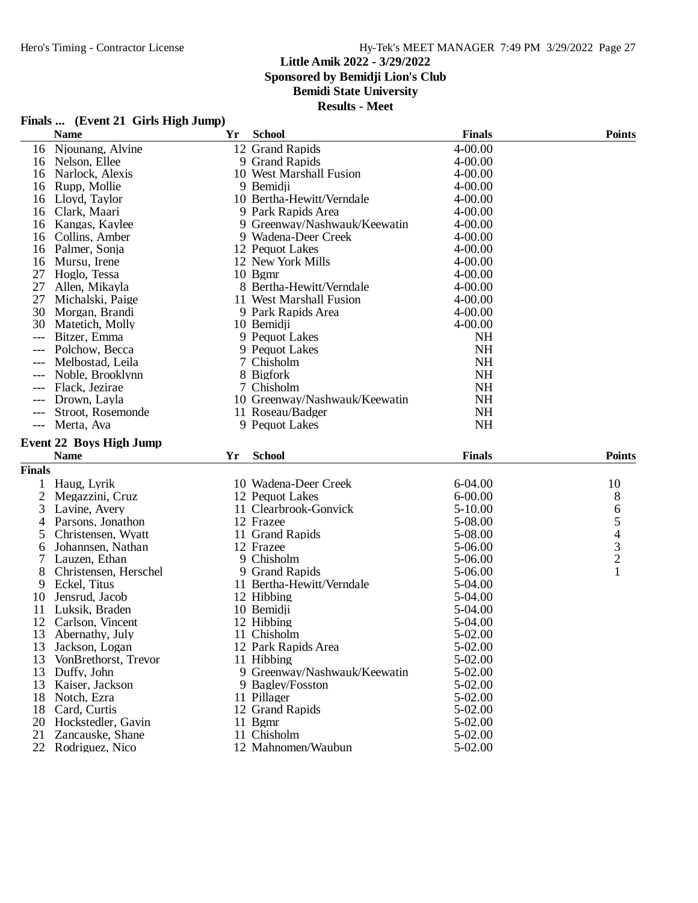### **Little Amik 2022 - 3/29/2022 Sponsored by Bemidji Lion's Club**

## **Bemidi State University**

| Finals  (Event 21 Girls High Jump) |  |
|------------------------------------|--|
|------------------------------------|--|

|                | <b>Name</b>                            | Yr | <b>School</b>                     | <b>Finals</b>      | <b>Points</b> |
|----------------|----------------------------------------|----|-----------------------------------|--------------------|---------------|
| 16             | Njounang, Alvine                       |    | 12 Grand Rapids                   | 4-00.00            |               |
| 16             | Nelson, Ellee                          |    | 9 Grand Rapids                    | $4 - 00.00$        |               |
| 16             | Narlock, Alexis                        |    | 10 West Marshall Fusion           | $4 - 00.00$        |               |
| 16             | Rupp, Mollie                           |    | 9 Bemidji                         | $4 - 00.00$        |               |
| 16             | Lloyd, Taylor                          |    | 10 Bertha-Hewitt/Verndale         | $4 - 00.00$        |               |
| 16             | Clark, Maari                           |    | 9 Park Rapids Area                | $4 - 00.00$        |               |
| 16             | Kangas, Kaylee                         |    | 9 Greenway/Nashwauk/Keewatin      | $4 - 00.00$        |               |
| 16             | Collins, Amber                         |    | 9 Wadena-Deer Creek               | $4 - 00.00$        |               |
| 16             | Palmer, Sonja                          |    | 12 Pequot Lakes                   | $4 - 00.00$        |               |
| 16             | Mursu, Irene                           |    | 12 New York Mills                 | $4 - 00.00$        |               |
| 27             | Hoglo, Tessa                           |    | 10 Bgmr                           | $4 - 00.00$        |               |
| 27             | Allen, Mikayla                         |    | 8 Bertha-Hewitt/Verndale          | $4 - 00.00$        |               |
| 27             | Michalski, Paige                       |    | 11 West Marshall Fusion           | $4 - 00.00$        |               |
| 30             | Morgan, Brandi                         |    | 9 Park Rapids Area                | $4 - 00.00$        |               |
| 30             | Matetich, Molly                        |    | 10 Bemidji                        | $4 - 00.00$        |               |
| $---$          | Bitzer, Emma                           |    | 9 Pequot Lakes                    | <b>NH</b>          |               |
| ---            | Polchow, Becca                         |    | 9 Pequot Lakes                    | <b>NH</b>          |               |
| $---$          | Melbostad, Leila                       |    | 7 Chisholm                        | <b>NH</b>          |               |
|                | Noble, Brooklynn                       |    | 8 Bigfork                         | <b>NH</b>          |               |
|                | Flack, Jezirae                         |    | 7 Chisholm                        | <b>NH</b>          |               |
| ---            | Drown, Layla                           |    | 10 Greenway/Nashwauk/Keewatin     | <b>NH</b>          |               |
| $---$          | Stroot, Rosemonde                      |    | 11 Roseau/Badger                  | <b>NH</b>          |               |
|                | --- Merta, Ava                         |    | 9 Pequot Lakes                    | <b>NH</b>          |               |
|                |                                        |    |                                   |                    |               |
|                |                                        |    |                                   |                    |               |
|                | <b>Event 22 Boys High Jump</b>         |    |                                   |                    |               |
|                | <b>Name</b>                            | Yr | <b>School</b>                     | <b>Finals</b>      | <b>Points</b> |
| <b>Finals</b>  |                                        |    |                                   |                    |               |
|                | Haug, Lyrik                            |    | 10 Wadena-Deer Creek              | $6 - 04.00$        | 10            |
| $\overline{2}$ | Megazzini, Cruz                        |    | 12 Pequot Lakes                   | $6 - 00.00$        | 8             |
| 3              | Lavine, Avery                          |    | 11 Clearbrook-Gonvick             | $5 - 10.00$        |               |
| 4              | Parsons, Jonathon                      |    | 12 Frazee                         | 5-08.00            |               |
| 5              | Christensen, Wyatt                     |    | 11 Grand Rapids                   | 5-08.00            |               |
| 6              | Johannsen, Nathan                      |    | 12 Frazee                         | 5-06.00            |               |
| 7              | Lauzen, Ethan                          |    | 9 Chisholm                        | 5-06.00            | 65432         |
| 8              | Christensen, Herschel                  |    | 9 Grand Rapids                    | 5-06.00            | $\mathbf{1}$  |
| 9              | Eckel, Titus                           |    | 11 Bertha-Hewitt/Verndale         | 5-04.00            |               |
| 10             | Jensrud, Jacob                         |    | 12 Hibbing                        | 5-04.00            |               |
| 11             | Luksik, Braden                         |    | 10 Bemidji                        | 5-04.00            |               |
| 12             | Carlson, Vincent                       |    | 12 Hibbing                        | 5-04.00            |               |
| 13             | Abernathy, July                        |    | 11 Chisholm                       | 5-02.00            |               |
| 13             | Jackson, Logan                         |    | 12 Park Rapids Area               | 5-02.00            |               |
| 13             | VonBrethorst, Trevor                   |    | 11 Hibbing                        | 5-02.00            |               |
| 13             | Duffy, John                            |    | 9 Greenway/Nashwauk/Keewatin      | 5-02.00            |               |
| 13             | Kaiser, Jackson                        |    | 9 Bagley/Fosston                  | 5-02.00            |               |
| 18             | Notch, Ezra                            |    | 11 Pillager                       | 5-02.00            |               |
| 18             | Card, Curtis                           |    | 12 Grand Rapids                   | 5-02.00            |               |
| 20             | Hockstedler, Gavin                     |    | 11 Bgmr                           | 5-02.00            |               |
| 21             | Zancauske, Shane<br>22 Rodriguez, Nico |    | 11 Chisholm<br>12 Mahnomen/Waubun | 5-02.00<br>5-02.00 |               |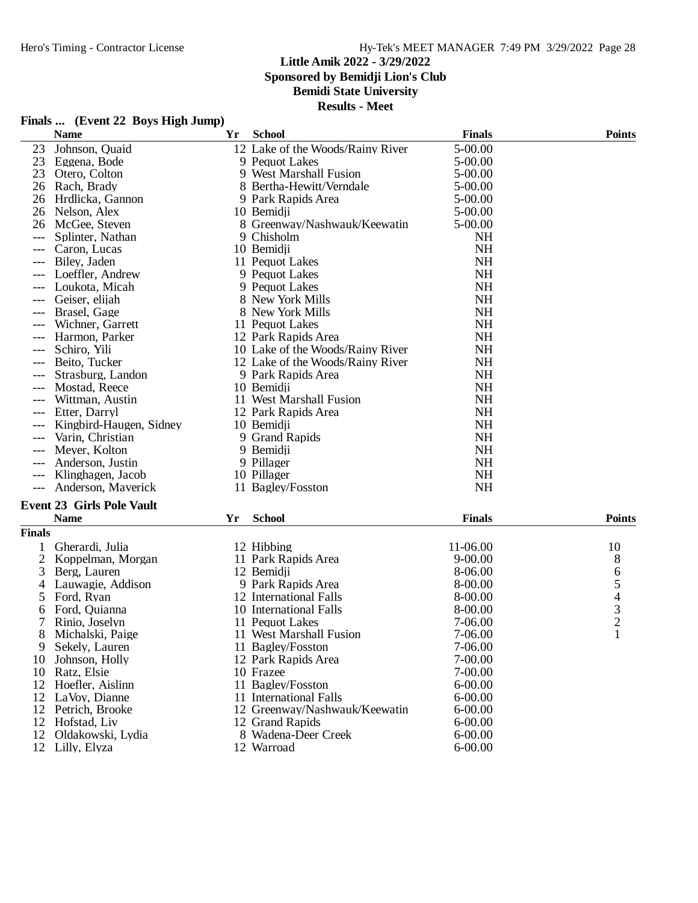### **Little Amik 2022 - 3/29/2022 Sponsored by Bemidji Lion's Club Bemidi State University Results - Meet**

## **Finals ... (Event 22 Boys High Jump)**

|               | $\mathbf{r}$ mans $\mathbf{w}$ (Event $\mathbf{r}$ $\mathbf{r}$ boys the sump)<br><b>Name</b> | Yr | <b>School</b>                    | <b>Finals</b>          | <b>Points</b>                                   |
|---------------|-----------------------------------------------------------------------------------------------|----|----------------------------------|------------------------|-------------------------------------------------|
| 23            | Johnson, Quaid                                                                                |    | 12 Lake of the Woods/Rainy River | 5-00.00                |                                                 |
| 23            | Eggena, Bode                                                                                  |    | 9 Pequot Lakes                   | 5-00.00                |                                                 |
| 23            | Otero, Colton                                                                                 |    | 9 West Marshall Fusion           | 5-00.00                |                                                 |
| 26            | Rach, Brady                                                                                   |    | 8 Bertha-Hewitt/Verndale         | 5-00.00                |                                                 |
| 26            | Hrdlicka, Gannon                                                                              |    | 9 Park Rapids Area               | 5-00.00                |                                                 |
| 26            | Nelson, Alex                                                                                  |    | 10 Bemidji                       | 5-00.00                |                                                 |
|               | 26 McGee, Steven                                                                              |    | 8 Greenway/Nashwauk/Keewatin     | 5-00.00                |                                                 |
| ---           | Splinter, Nathan                                                                              |    | 9 Chisholm                       | <b>NH</b>              |                                                 |
| $---$         | Caron, Lucas                                                                                  |    | 10 Bemidii                       | <b>NH</b>              |                                                 |
|               | Biley, Jaden                                                                                  |    | 11 Pequot Lakes                  | <b>NH</b>              |                                                 |
|               | Loeffler, Andrew                                                                              |    | 9 Pequot Lakes                   | <b>NH</b>              |                                                 |
|               | Loukota, Micah                                                                                |    | 9 Pequot Lakes                   | <b>NH</b>              |                                                 |
| $---$         | Geiser, elijah                                                                                |    | 8 New York Mills                 | <b>NH</b>              |                                                 |
| ---           | Brasel, Gage                                                                                  |    | 8 New York Mills                 | <b>NH</b>              |                                                 |
| $---$         | Wichner, Garrett                                                                              |    | 11 Pequot Lakes                  | <b>NH</b>              |                                                 |
|               | Harmon, Parker                                                                                |    | 12 Park Rapids Area              | <b>NH</b>              |                                                 |
|               | Schiro, Yili                                                                                  |    | 10 Lake of the Woods/Rainy River | <b>NH</b>              |                                                 |
| ---           | Beito, Tucker                                                                                 |    | 12 Lake of the Woods/Rainy River | <b>NH</b>              |                                                 |
|               | Strasburg, Landon                                                                             |    | 9 Park Rapids Area               | <b>NH</b>              |                                                 |
| ---           | Mostad, Reece                                                                                 |    | 10 Bemidji                       | <b>NH</b>              |                                                 |
| $---$         | Wittman, Austin                                                                               |    | 11 West Marshall Fusion          | <b>NH</b>              |                                                 |
| $---$         | Etter, Darryl                                                                                 |    | 12 Park Rapids Area              | <b>NH</b>              |                                                 |
|               | Kingbird-Haugen, Sidney                                                                       |    | 10 Bemidji                       | <b>NH</b>              |                                                 |
| $---$         | Varin, Christian                                                                              |    | 9 Grand Rapids                   | <b>NH</b>              |                                                 |
| ---           | Meyer, Kolton                                                                                 |    | 9 Bemidji                        | <b>NH</b>              |                                                 |
|               |                                                                                               |    |                                  | <b>NH</b>              |                                                 |
|               | Anderson, Justin                                                                              |    | 9 Pillager                       |                        |                                                 |
| $---$         | Klinghagen, Jacob                                                                             |    | 10 Pillager                      | <b>NH</b><br><b>NH</b> |                                                 |
|               | Anderson, Maverick                                                                            |    | 11 Bagley/Fosston                |                        |                                                 |
|               | <b>Event 23 Girls Pole Vault</b>                                                              |    |                                  |                        |                                                 |
|               | <b>Name</b>                                                                                   | Yr | <b>School</b>                    | <b>Finals</b>          | <b>Points</b>                                   |
| <b>Finals</b> |                                                                                               |    |                                  |                        |                                                 |
|               | Gherardi, Julia                                                                               |    | 12 Hibbing                       | 11-06.00               | 10                                              |
| 2             | Koppelman, Morgan                                                                             |    | 11 Park Rapids Area              | $9 - 00.00$            | 8                                               |
| 3             | Berg, Lauren                                                                                  |    | 12 Bemidji                       | 8-06.00                | 6                                               |
| 4             | Lauwagie, Addison                                                                             |    | 9 Park Rapids Area               | 8-00.00                |                                                 |
| 5             | Ford, Ryan                                                                                    |    | 12 International Falls           | 8-00.00                |                                                 |
| 6             | Ford, Quianna                                                                                 |    | 10 International Falls           | 8-00.00                | $\begin{array}{c} 5 \\ 4 \\ 3 \\ 2 \end{array}$ |
|               | Rinio, Joselyn                                                                                |    | 11 Pequot Lakes                  | 7-06.00                |                                                 |
| 8             | Michalski, Paige                                                                              |    | 11 West Marshall Fusion          | 7-06.00                |                                                 |
| 9             | Sekely, Lauren                                                                                |    | 11 Bagley/Fosston                | 7-06.00                |                                                 |
| 10            | Johnson, Holly                                                                                |    | 12 Park Rapids Area              | 7-00.00                |                                                 |
| 10            | Ratz, Elsie                                                                                   |    | 10 Frazee                        | 7-00.00                |                                                 |
| 12            | Hoefler, Aislinn                                                                              |    | 11 Bagley/Fosston                | $6 - 00.00$            |                                                 |
| 12            | LaVoy, Dianne                                                                                 |    | 11 International Falls           | $6 - 00.00$            |                                                 |
| 12            | Petrich, Brooke                                                                               |    | 12 Greenway/Nashwauk/Keewatin    | $6 - 00.00$            |                                                 |
|               | 12 Hofstad, Liv                                                                               |    | 12 Grand Rapids                  | $6 - 00.00$            |                                                 |
| 12            | Oldakowski, Lydia                                                                             |    | 8 Wadena-Deer Creek              | $6 - 00.00$            |                                                 |
|               | 12 Lilly, Elyza                                                                               |    | 12 Warroad                       | $6 - 00.00$            |                                                 |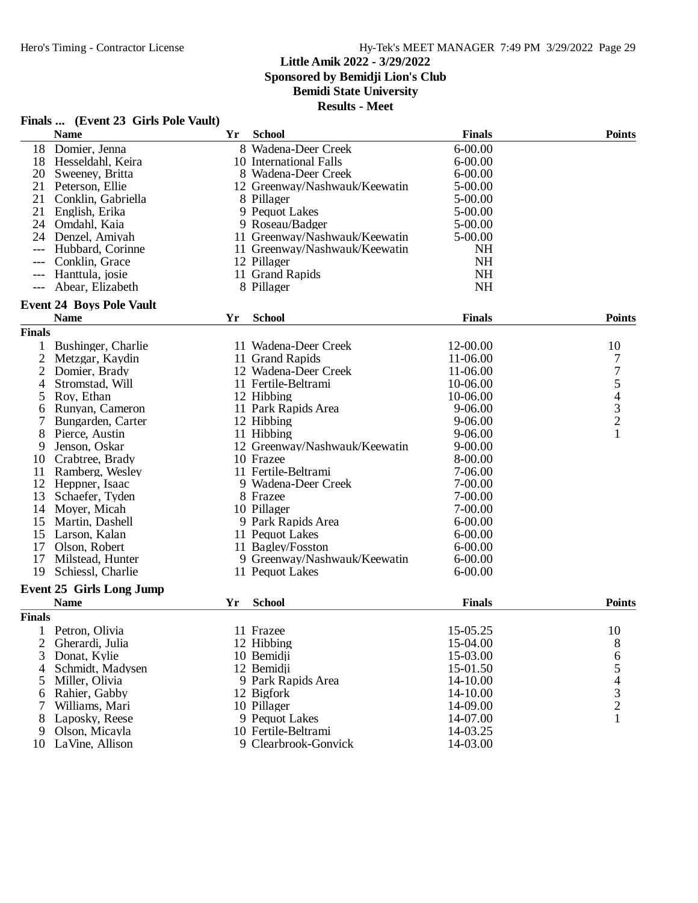### **Little Amik 2022 - 3/29/2022 Sponsored by Bemidji Lion's Club**

**Bemidi State University**

**Results - Meet**

|               | <b>Name</b>                             | Yr | <b>School</b>                 | <b>Finals</b> | <b>Points</b>                                   |
|---------------|-----------------------------------------|----|-------------------------------|---------------|-------------------------------------------------|
|               | 18 Domier, Jenna                        |    | 8 Wadena-Deer Creek           | $6 - 00.00$   |                                                 |
| 18            | Hesseldahl, Keira                       |    | 10 International Falls        | $6 - 00.00$   |                                                 |
| 20            | Sweeney, Britta                         |    | 8 Wadena-Deer Creek           | $6 - 00.00$   |                                                 |
| 21            | Peterson, Ellie                         |    | 12 Greenway/Nashwauk/Keewatin | 5-00.00       |                                                 |
| 21            | Conklin, Gabriella                      |    | 8 Pillager                    | 5-00.00       |                                                 |
| 21            | English, Erika                          |    | 9 Pequot Lakes                | 5-00.00       |                                                 |
|               | 24 Omdahl, Kaia                         |    | 9 Roseau/Badger               | 5-00.00       |                                                 |
| 24            | Denzel, Amiyah                          |    | 11 Greenway/Nashwauk/Keewatin | 5-00.00       |                                                 |
| ---           | Hubbard, Corinne                        |    | 11 Greenway/Nashwauk/Keewatin | <b>NH</b>     |                                                 |
|               | Conklin, Grace                          |    | 12 Pillager                   | <b>NH</b>     |                                                 |
|               | Hanttula, josie                         |    | 11 Grand Rapids               | <b>NH</b>     |                                                 |
| $---$         | Abear, Elizabeth                        |    | 8 Pillager                    | NH            |                                                 |
|               | <b>Event 24 Boys Pole Vault</b>         |    |                               |               |                                                 |
|               | <b>Name</b>                             | Yr | <b>School</b>                 | <b>Finals</b> | <b>Points</b>                                   |
| <b>Finals</b> |                                         |    |                               |               |                                                 |
| 1             | Bushinger, Charlie                      |    | 11 Wadena-Deer Creek          | 12-00.00      | 10                                              |
| 2             | Metzgar, Kaydin                         |    | 11 Grand Rapids               | 11-06.00      | 7                                               |
| 2             | Domier, Brady                           |    | 12 Wadena-Deer Creek          | 11-06.00      | $\overline{7}$                                  |
| 4             | Stromstad, Will                         |    | 11 Fertile-Beltrami           | 10-06.00      |                                                 |
| 5             | Roy, Ethan                              |    | 12 Hibbing                    | 10-06.00      |                                                 |
| 6             | Runyan, Cameron                         |    | 11 Park Rapids Area           | $9 - 06.00$   | $\begin{array}{c} 5 \\ 4 \\ 3 \\ 2 \end{array}$ |
|               | Bungarden, Carter                       |    | 12 Hibbing                    | $9 - 06.00$   |                                                 |
| 8             | Pierce, Austin                          |    | 11 Hibbing                    | 9-06.00       | $\mathbf{1}$                                    |
| 9             | Jenson, Oskar                           |    | 12 Greenway/Nashwauk/Keewatin | $9 - 00.00$   |                                                 |
| 10            | Crabtree, Brady                         |    | 10 Frazee                     | 8-00.00       |                                                 |
| 11            | Ramberg, Wesley                         |    | 11 Fertile-Beltrami           | 7-06.00       |                                                 |
| 12            | Heppner, Isaac                          |    | 9 Wadena-Deer Creek           | 7-00.00       |                                                 |
| 13            | Schaefer, Tyden                         |    | 8 Frazee                      | 7-00.00       |                                                 |
| 14            | Moyer, Micah                            |    | 10 Pillager                   | 7-00.00       |                                                 |
| 15            | Martin, Dashell                         |    | 9 Park Rapids Area            | 6-00.00       |                                                 |
| 15            | Larson, Kalan                           |    | 11 Pequot Lakes               | $6 - 00.00$   |                                                 |
| 17            | Olson, Robert                           |    | 11 Bagley/Fosston             | $6 - 00.00$   |                                                 |
| 17            | Milstead, Hunter                        |    | 9 Greenway/Nashwauk/Keewatin  | $6 - 00.00$   |                                                 |
| 19            | Schiessl, Charlie                       |    |                               | $6 - 00.00$   |                                                 |
|               |                                         |    | 11 Pequot Lakes               |               |                                                 |
|               | Event 25 Girls Long Jump<br><b>Name</b> | Yr | <b>School</b>                 | <b>Finals</b> | <b>Points</b>                                   |
| <b>Finals</b> |                                         |    |                               |               |                                                 |
|               |                                         |    | 11 Frazee                     |               | 10                                              |
|               | Petron, Olivia                          |    |                               | 15-05.25      |                                                 |
| 2             | Gherardi, Julia                         |    | 12 Hibbing                    | 15-04.00      | 8                                               |
| 3             | Donat, Kylie                            |    | 10 Bemidii                    | 15-03.00      |                                                 |
| 4             | Schmidt, Madysen                        |    | 12 Bemidji                    | 15-01.50      |                                                 |
| 5             | Miller, Olivia                          |    | 9 Park Rapids Area            | 14-10.00      | 65432                                           |
| 6             | Rahier, Gabby                           |    | 12 Bigfork                    | 14-10.00      |                                                 |
| 7             | Williams, Mari                          |    | 10 Pillager                   | 14-09.00      |                                                 |
| 8             | Laposky, Reese                          |    | 9 Pequot Lakes                | 14-07.00      | $\mathbf{1}$                                    |
| 9             | Olson, Micayla                          |    | 10 Fertile-Beltrami           | 14-03.25      |                                                 |
| 10            | LaVine, Allison                         |    | 9 Clearbrook-Gonvick          | 14-03.00      |                                                 |

## **Finals ... (Event 23 Girls Pole Vault)**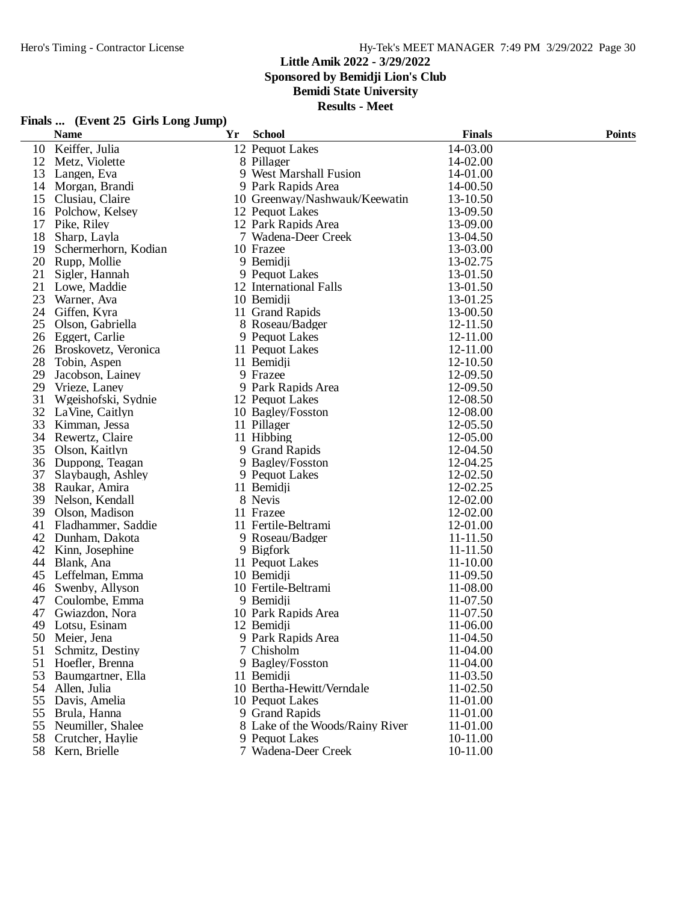**Finals ... (Event 25 Girls Long Jump)**

### **Little Amik 2022 - 3/29/2022 Sponsored by Bemidji Lion's Club**

**Bemidi State University**

|    | <b>Name</b>          | Yr | <b>School</b>                   | <b>Finals</b> | <b>Points</b> |
|----|----------------------|----|---------------------------------|---------------|---------------|
| 10 | Keiffer, Julia       |    | 12 Pequot Lakes                 | 14-03.00      |               |
| 12 | Metz, Violette       |    | 8 Pillager                      | 14-02.00      |               |
| 13 | Langen, Eva          |    | 9 West Marshall Fusion          | 14-01.00      |               |
| 14 | Morgan, Brandi       |    | 9 Park Rapids Area              | 14-00.50      |               |
| 15 | Clusiau, Claire      |    | 10 Greenway/Nashwauk/Keewatin   | 13-10.50      |               |
|    | 16 Polchow, Kelsey   |    | 12 Pequot Lakes                 | 13-09.50      |               |
| 17 | Pike, Riley          |    | 12 Park Rapids Area             | 13-09.00      |               |
| 18 | Sharp, Layla         |    | 7 Wadena-Deer Creek             | 13-04.50      |               |
| 19 | Schermerhorn, Kodian |    | 10 Frazee                       | 13-03.00      |               |
| 20 | Rupp, Mollie         |    | 9 Bemidji                       | 13-02.75      |               |
| 21 | Sigler, Hannah       |    | 9 Pequot Lakes                  | 13-01.50      |               |
| 21 | Lowe, Maddie         |    | 12 International Falls          | 13-01.50      |               |
| 23 | Warner, Ava          |    | 10 Bemidji                      | 13-01.25      |               |
| 24 | Giffen, Kyra         |    | 11 Grand Rapids                 | 13-00.50      |               |
| 25 | Olson, Gabriella     |    | 8 Roseau/Badger                 | 12-11.50      |               |
| 26 | Eggert, Carlie       |    | 9 Pequot Lakes                  | 12-11.00      |               |
| 26 | Broskovetz, Veronica |    | 11 Pequot Lakes                 | 12-11.00      |               |
| 28 | Tobin, Aspen         |    | 11 Bemidji                      | 12-10.50      |               |
| 29 | Jacobson, Lainey     |    | 9 Frazee                        | 12-09.50      |               |
| 29 | Vrieze, Laney        |    | 9 Park Rapids Area              | 12-09.50      |               |
| 31 | Wgeishofski, Sydnie  |    | 12 Pequot Lakes                 | 12-08.50      |               |
| 32 | LaVine, Caitlyn      |    | 10 Bagley/Fosston               | 12-08.00      |               |
| 33 | Kimman, Jessa        |    | 11 Pillager                     | 12-05.50      |               |
| 34 | Rewertz, Claire      |    | 11 Hibbing                      | 12-05.00      |               |
| 35 | Olson, Kaitlyn       |    | 9 Grand Rapids                  | 12-04.50      |               |
| 36 | Duppong, Teagan      |    | 9 Bagley/Fosston                | 12-04.25      |               |
| 37 | Slaybaugh, Ashley    |    | 9 Pequot Lakes                  | 12-02.50      |               |
| 38 | Raukar, Amira        |    | 11 Bemidji                      | 12-02.25      |               |
| 39 | Nelson, Kendall      |    | 8 Nevis                         | 12-02.00      |               |
| 39 | Olson, Madison       |    | 11 Frazee                       | 12-02.00      |               |
| 41 | Fladhammer, Saddie   |    | 11 Fertile-Beltrami             | 12-01.00      |               |
| 42 | Dunham, Dakota       |    | 9 Roseau/Badger                 | 11-11.50      |               |
|    | 42 Kinn, Josephine   |    | 9 Bigfork                       | 11-11.50      |               |
| 44 | Blank, Ana           |    | 11 Pequot Lakes                 | 11-10.00      |               |
| 45 | Leffelman, Emma      |    | 10 Bemidii                      | 11-09.50      |               |
| 46 | Swenby, Allyson      |    | 10 Fertile-Beltrami             | 11-08.00      |               |
| 47 | Coulombe, Emma       |    | 9 Bemidji                       | 11-07.50      |               |
| 47 | Gwiazdon, Nora       |    | 10 Park Rapids Area             | 11-07.50      |               |
| 49 | Lotsu, Esinam        |    | 12 Bemidji                      | 11-06.00      |               |
| 50 | Meier, Jena          |    | 9 Park Rapids Area              | 11-04.50      |               |
| 51 | Schmitz, Destiny     |    | 7 Chisholm                      | 11-04.00      |               |
| 51 | Hoefler, Brenna      |    | 9 Bagley/Fosston                | 11-04.00      |               |
| 53 | Baumgartner, Ella    |    | 11 Bemidji                      | 11-03.50      |               |
| 54 | Allen, Julia         |    | 10 Bertha-Hewitt/Verndale       | 11-02.50      |               |
| 55 | Davis, Amelia        |    | 10 Pequot Lakes                 | 11-01.00      |               |
| 55 | Brula, Hanna         |    | 9 Grand Rapids                  | 11-01.00      |               |
| 55 | Neumiller, Shalee    |    | 8 Lake of the Woods/Rainy River | 11-01.00      |               |
| 58 | Crutcher, Haylie     |    | 9 Pequot Lakes                  | 10-11.00      |               |
|    | 58 Kern, Brielle     |    | 7 Wadena-Deer Creek             | 10-11.00      |               |
|    |                      |    |                                 |               |               |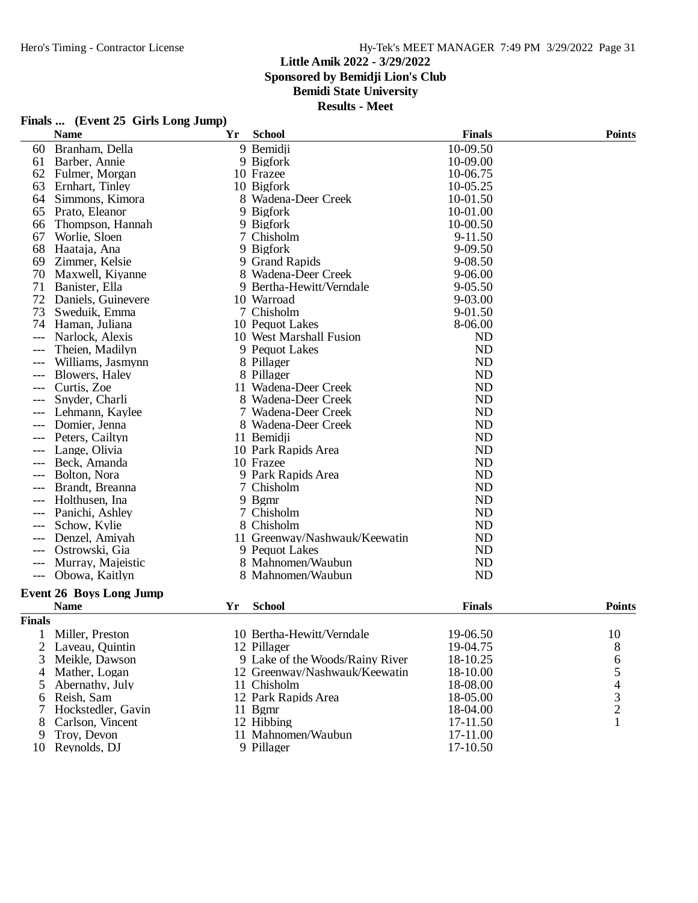## Hero's Timing - Contractor License Hy-Tek's MEET MANAGER 7:49 PM 3/29/2022 Page 31

## **Little Amik 2022 - 3/29/2022**

**Sponsored by Bemidji Lion's Club**

## **Bemidi State University**

| Finals  (Event 25 Girls Long Jump) |  |  |  |  |
|------------------------------------|--|--|--|--|
|------------------------------------|--|--|--|--|

|               | <b>Name</b>                    | Yr | <b>School</b>                   | <b>Finals</b> | <b>Points</b>                  |
|---------------|--------------------------------|----|---------------------------------|---------------|--------------------------------|
| 60            | Branham, Della                 |    | 9 Bemidji                       | 10-09.50      |                                |
| 61            | Barber, Annie                  |    | 9 Bigfork                       | 10-09.00      |                                |
| 62            | Fulmer, Morgan                 |    | 10 Frazee                       | 10-06.75      |                                |
| 63            | Ernhart, Tinley                |    | 10 Bigfork                      | 10-05.25      |                                |
| 64            | Simmons, Kimora                |    | 8 Wadena-Deer Creek             | 10-01.50      |                                |
| 65            | Prato, Eleanor                 |    | 9 Bigfork                       | 10-01.00      |                                |
| 66            | Thompson, Hannah               |    | 9 Bigfork                       | 10-00.50      |                                |
| 67            | Worlie, Sloen                  |    | 7 Chisholm                      | 9-11.50       |                                |
| 68            | Haataja, Ana                   |    | 9 Bigfork                       | 9-09.50       |                                |
| 69            | Zimmer, Kelsie                 |    | 9 Grand Rapids                  | 9-08.50       |                                |
| 70            | Maxwell, Kiyanne               |    | 8 Wadena-Deer Creek             | $9 - 06.00$   |                                |
| 71            | Banister, Ella                 |    | 9 Bertha-Hewitt/Verndale        | 9-05.50       |                                |
| 72            | Daniels, Guinevere             |    | 10 Warroad                      | 9-03.00       |                                |
| 73            | Sweduik, Emma                  |    | 7 Chisholm                      | 9-01.50       |                                |
| 74            | Haman, Juliana                 |    | 10 Pequot Lakes                 | 8-06.00       |                                |
| $---$         | Narlock, Alexis                |    | 10 West Marshall Fusion         | <b>ND</b>     |                                |
|               | Theien, Madilyn                |    | 9 Pequot Lakes                  | <b>ND</b>     |                                |
|               | Williams, Jasmynn              |    | 8 Pillager                      | <b>ND</b>     |                                |
| $---$         | Blowers, Haley                 |    | 8 Pillager                      | ND            |                                |
|               | Curtis, Zoe                    |    | 11 Wadena-Deer Creek            | <b>ND</b>     |                                |
|               | Snyder, Charli                 |    | 8 Wadena-Deer Creek             | <b>ND</b>     |                                |
| $---$         | Lehmann, Kaylee                |    | 7 Wadena-Deer Creek             | <b>ND</b>     |                                |
|               | Domier, Jenna                  |    | 8 Wadena-Deer Creek             | <b>ND</b>     |                                |
|               | Peters, Cailtyn                |    | 11 Bemidji                      | ND            |                                |
|               | Lange, Olivia                  |    | 10 Park Rapids Area             | ND            |                                |
|               | Beck, Amanda                   |    | 10 Frazee                       | <b>ND</b>     |                                |
|               | Bolton, Nora                   |    | 9 Park Rapids Area              | <b>ND</b>     |                                |
| $---$         | Brandt, Breanna                |    | 7 Chisholm                      | <b>ND</b>     |                                |
|               | Holthusen, Ina                 |    | 9 Bgmr                          | <b>ND</b>     |                                |
|               | Panichi, Ashley                |    | 7 Chisholm                      | <b>ND</b>     |                                |
| $---$         | Schow, Kylie                   |    | 8 Chisholm                      | ND            |                                |
|               | Denzel, Amiyah                 |    | 11 Greenway/Nashwauk/Keewatin   | <b>ND</b>     |                                |
|               | Ostrowski, Gia                 |    | 9 Pequot Lakes                  | <b>ND</b>     |                                |
| $---$         | Murray, Majeistic              |    | 8 Mahnomen/Waubun               | <b>ND</b>     |                                |
| $---$         | Obowa, Kaitlyn                 |    | 8 Mahnomen/Waubun               | <b>ND</b>     |                                |
|               | <b>Event 26 Boys Long Jump</b> |    |                                 |               |                                |
|               | <b>Name</b>                    |    |                                 | <b>Finals</b> | <b>Points</b>                  |
|               |                                | Yr | <b>School</b>                   |               |                                |
| <b>Finals</b> |                                |    |                                 |               |                                |
|               | Miller, Preston                |    | 10 Bertha-Hewitt/Verndale       | 19-06.50      | 10                             |
| 2             | Laveau, Quintin                |    | 12 Pillager                     | 19-04.75      | 8                              |
| 3             | Meikle, Dawson                 |    | 9 Lake of the Woods/Rainy River | 18-10.25      | 6                              |
| 4             | Mather, Logan                  |    | 12 Greenway/Nashwauk/Keewatin   | 18-10.00      |                                |
| 5             | Abernathy, July                |    | 11 Chisholm                     | 18-08.00      | $\frac{5}{4}$<br>$\frac{3}{2}$ |
| 6             | Reish, Sam                     |    | 12 Park Rapids Area             | 18-05.00      |                                |
| 7             | Hockstedler, Gavin             |    | $11$ Bgmr                       | 18-04.00      |                                |
| 8             | Carlson, Vincent               |    | 12 Hibbing                      | 17-11.50      | $\mathbf{1}$                   |
| 9             | Troy, Devon                    |    | 11 Mahnomen/Waubun              | 17-11.00      |                                |
| 10            | Reynolds, DJ                   |    | 9 Pillager                      | 17-10.50      |                                |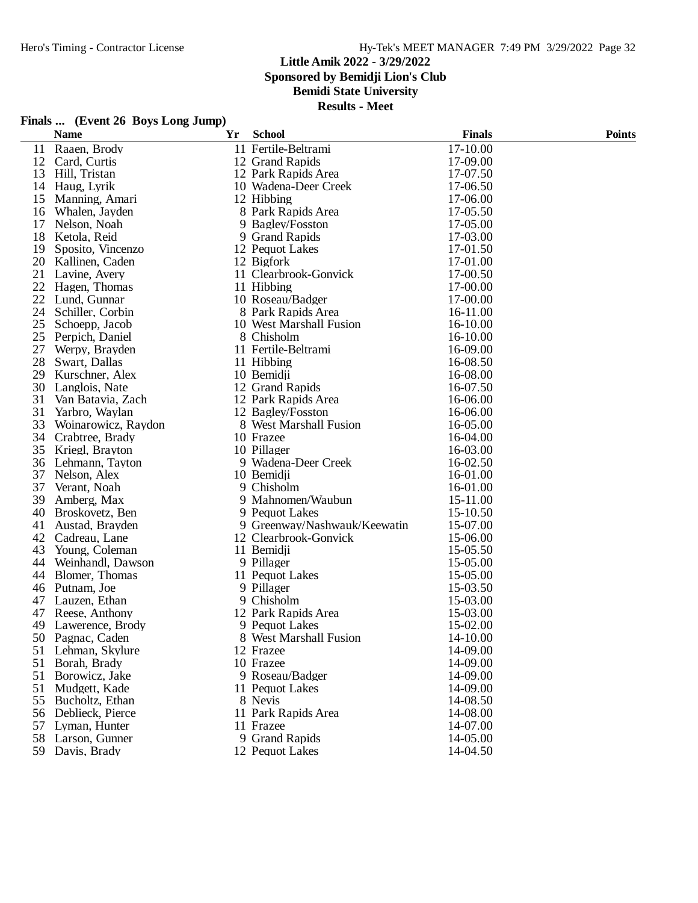### **Little Amik 2022 - 3/29/2022 Sponsored by Bemidji Lion's Club Bemidi State University**

| Finals  (Event 26 Boys Long Jump) |                                       |    |                                  |                      |               |
|-----------------------------------|---------------------------------------|----|----------------------------------|----------------------|---------------|
|                                   | <b>Name</b>                           | Yr | <b>School</b>                    | <b>Finals</b>        | <b>Points</b> |
| 11                                | Raaen, Brody                          |    | 11 Fertile-Beltrami              | 17-10.00             |               |
| 12                                | Card, Curtis                          |    | 12 Grand Rapids                  | 17-09.00             |               |
| 13                                | Hill, Tristan                         |    | 12 Park Rapids Area              | 17-07.50             |               |
|                                   | 14 Haug, Lyrik                        |    | 10 Wadena-Deer Creek             | 17-06.50             |               |
| 15                                | Manning, Amari                        |    | 12 Hibbing                       | 17-06.00             |               |
|                                   | 16 Whalen, Jayden                     |    | 8 Park Rapids Area               | 17-05.50             |               |
| 17                                | Nelson, Noah                          |    | 9 Bagley/Fosston                 | 17-05.00             |               |
| 18                                | Ketola, Reid                          |    | 9 Grand Rapids                   | 17-03.00             |               |
| 19                                | Sposito, Vincenzo                     |    | 12 Pequot Lakes                  | 17-01.50             |               |
|                                   | 20 Kallinen, Caden                    |    | 12 Bigfork                       | 17-01.00             |               |
| 21                                | Lavine, Avery                         |    | 11 Clearbrook-Gonvick            | 17-00.50             |               |
|                                   | 22 Hagen, Thomas                      |    | 11 Hibbing                       | 17-00.00             |               |
| 22                                | Lund, Gunnar                          |    | 10 Roseau/Badger                 | 17-00.00             |               |
| 24                                | Schiller, Corbin                      |    | 8 Park Rapids Area               | 16-11.00             |               |
| 25                                | Schoepp, Jacob                        |    | 10 West Marshall Fusion          | 16-10.00             |               |
|                                   | 25 Perpich, Daniel                    |    | 8 Chisholm                       | 16-10.00             |               |
| 27                                | Werpy, Brayden                        |    | 11 Fertile-Beltrami              | 16-09.00             |               |
| 28                                | Swart, Dallas                         |    | 11 Hibbing                       | 16-08.50             |               |
| 29                                | Kurschner, Alex                       |    | 10 Bemidji                       | 16-08.00             |               |
|                                   | 30 Langlois, Nate                     |    | 12 Grand Rapids                  | 16-07.50             |               |
| 31                                | Van Batavia, Zach                     |    | 12 Park Rapids Area              | 16-06.00             |               |
| 31                                | Yarbro, Waylan                        |    | 12 Bagley/Fosston                | 16-06.00             |               |
| 33                                | Woinarowicz, Raydon                   |    | 8 West Marshall Fusion           | 16-05.00             |               |
|                                   | 34 Crabtree, Brady                    |    | 10 Frazee                        | 16-04.00             |               |
| 35                                | Kriegl, Brayton                       |    | 10 Pillager                      | 16-03.00             |               |
| 36                                | Lehmann, Tayton                       |    | 9 Wadena-Deer Creek              | 16-02.50             |               |
| 37                                | Nelson, Alex                          |    | 10 Bemidji                       | 16-01.00             |               |
| 37                                | Verant, Noah                          |    | 9 Chisholm                       | 16-01.00             |               |
| 39                                | Amberg, Max                           |    | 9 Mahnomen/Waubun                | 15-11.00             |               |
| 40                                | Broskovetz, Ben                       |    | 9 Pequot Lakes                   | 15-10.50             |               |
| 41                                | Austad, Brayden                       |    | 9 Greenway/Nashwauk/Keewatin     | 15-07.00             |               |
| 42                                | Cadreau, Lane                         |    | 12 Clearbrook-Gonvick            | 15-06.00             |               |
|                                   | 43 Young, Coleman                     |    | 11 Bemidji                       | 15-05.50             |               |
|                                   | 44 Weinhandl, Dawson                  |    | 9 Pillager                       | 15-05.00             |               |
| 44                                | Blomer, Thomas                        |    | 11 Pequot Lakes                  | 15-05.00             |               |
|                                   | 46 Putnam, Joe                        |    | 9 Pillager                       | 15-03.50             |               |
| 47                                | Lauzen, Ethan                         |    | 9 Chisholm                       | 15-03.00             |               |
|                                   | 47 Reese, Anthony                     |    | 12 Park Rapids Area              | 15-03.00             |               |
|                                   | 49 Lawerence, Brody                   |    | 9 Pequot Lakes                   | 15-02.00             |               |
|                                   | 50 Pagnac, Caden                      |    | 8 West Marshall Fusion           | 14-10.00             |               |
|                                   | 51 Lehman, Skylure                    |    | 12 Frazee                        | 14-09.00             |               |
| 51                                | Borah, Brady                          |    | 10 Frazee                        | 14-09.00<br>14-09.00 |               |
| 51                                | Borowicz, Jake                        |    | 9 Roseau/Badger                  |                      |               |
| 51                                | Mudgett, Kade                         |    | 11 Pequot Lakes                  | 14-09.00             |               |
|                                   | 55 Bucholtz, Ethan                    |    | 8 Nevis                          | 14-08.50             |               |
|                                   | 56 Deblieck, Pierce                   |    | 11 Park Rapids Area<br>11 Frazee | 14-08.00             |               |
|                                   | 57 Lyman, Hunter<br>58 Larson, Gunner |    | 9 Grand Rapids                   | 14-07.00<br>14-05.00 |               |
|                                   |                                       |    | 12 Pequot Lakes                  |                      |               |
|                                   | 59 Davis, Brady                       |    |                                  | 14-04.50             |               |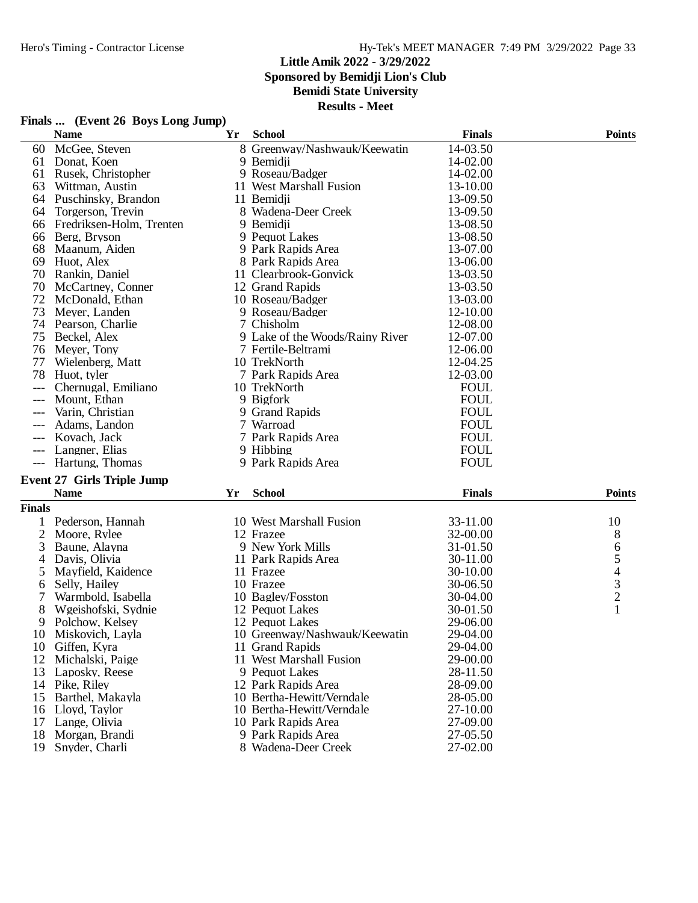### **Little Amik 2022 - 3/29/2022 Sponsored by Bemidji Lion's Club Bemidi State University**

|               | Finals  (Event 26 Boys Long Jump) |    |                                 |               |                |
|---------------|-----------------------------------|----|---------------------------------|---------------|----------------|
|               | <b>Name</b>                       | Yr | <b>School</b>                   | <b>Finals</b> | <b>Points</b>  |
| 60            | McGee, Steven                     |    | 8 Greenway/Nashwauk/Keewatin    | 14-03.50      |                |
| 61            | Donat, Koen                       |    | 9 Bemidji                       | 14-02.00      |                |
| 61            | Rusek, Christopher                |    | 9 Roseau/Badger                 | 14-02.00      |                |
| 63            | Wittman, Austin                   |    | 11 West Marshall Fusion         | 13-10.00      |                |
|               | 64 Puschinsky, Brandon            |    | 11 Bemidji                      | 13-09.50      |                |
| 64            | Torgerson, Trevin                 |    | 8 Wadena-Deer Creek             | 13-09.50      |                |
|               | 66 Fredriksen-Holm, Trenten       |    | 9 Bemidji                       | 13-08.50      |                |
| 66            | Berg, Bryson                      |    | 9 Pequot Lakes                  | 13-08.50      |                |
| 68            | Maanum, Aiden                     |    | 9 Park Rapids Area              | 13-07.00      |                |
|               | 69 Huot, Alex                     |    | 8 Park Rapids Area              | 13-06.00      |                |
| 70            | Rankin, Daniel                    |    | 11 Clearbrook-Gonvick           | 13-03.50      |                |
| 70            | McCartney, Conner                 |    | 12 Grand Rapids                 | 13-03.50      |                |
| 72            | McDonald, Ethan                   |    | 10 Roseau/Badger                | 13-03.00      |                |
| 73            | Meyer, Landen                     |    | 9 Roseau/Badger                 | 12-10.00      |                |
|               | 74 Pearson, Charlie               |    | 7 Chisholm                      | 12-08.00      |                |
| 75            | Beckel, Alex                      |    | 9 Lake of the Woods/Rainy River | 12-07.00      |                |
|               | 76 Meyer, Tony                    |    | 7 Fertile-Beltrami              | 12-06.00      |                |
| 77            | Wielenberg, Matt                  |    | 10 TrekNorth                    | 12-04.25      |                |
| 78            | Huot, tyler                       |    | 7 Park Rapids Area              | 12-03.00      |                |
|               | Chernugal, Emiliano               |    | 10 TrekNorth                    | <b>FOUL</b>   |                |
|               | Mount, Ethan                      |    | 9 Bigfork                       | <b>FOUL</b>   |                |
| $---$         | Varin, Christian                  |    | 9 Grand Rapids                  | <b>FOUL</b>   |                |
|               | Adams, Landon                     |    | 7 Warroad                       | <b>FOUL</b>   |                |
|               | Kovach, Jack                      |    | 7 Park Rapids Area              | <b>FOUL</b>   |                |
| $---$         | Langner, Elias                    |    | 9 Hibbing                       | <b>FOUL</b>   |                |
|               | Hartung, Thomas                   |    | 9 Park Rapids Area              | <b>FOUL</b>   |                |
|               |                                   |    |                                 |               |                |
|               | <b>Event 27 Girls Triple Jump</b> |    |                                 |               |                |
|               | <b>Name</b>                       | Yr | <b>School</b>                   | <b>Finals</b> | <b>Points</b>  |
| <b>Finals</b> |                                   |    |                                 |               |                |
|               | Pederson, Hannah                  |    | 10 West Marshall Fusion         | 33-11.00      | 10             |
| 2             | Moore, Rylee                      |    | 12 Frazee                       | 32-00.00      | 8              |
| 3             | Baune, Alayna                     |    | 9 New York Mills                | 31-01.50      | 6              |
| 4             | Davis, Olivia                     |    | 11 Park Rapids Area             | 30-11.00      | 5              |
| 5             | Mayfield, Kaidence                |    | 11 Frazee                       | 30-10.00      | $rac{4}{3}$    |
| 6             | Selly, Hailey                     |    | 10 Frazee                       | 30-06.50      |                |
|               | Warmbold, Isabella                |    | 10 Bagley/Fosston               | 30-04.00      | $\overline{c}$ |
| 8             | Wgeishofski, Sydnie               |    | 12 Pequot Lakes                 | 30-01.50      |                |
| 9             | Polchow, Kelsey                   |    | 12 Pequot Lakes                 | 29-06.00      |                |
| 10            | Miskovich, Layla                  |    | 10 Greenway/Nashwauk/Keewatin   | 29-04.00      |                |
| 10            | Giffen, Kyra                      |    | 11 Grand Rapids                 | 29-04.00      |                |
| 12            | Michalski, Paige                  |    | 11 West Marshall Fusion         | 29-00.00      |                |
|               | 13 Laposky, Reese                 |    | 9 Pequot Lakes                  | 28-11.50      |                |
|               | 14 Pike, Riley                    |    | 12 Park Rapids Area             | 28-09.00      |                |
| 15            | Barthel, Makayla                  |    | 10 Bertha-Hewitt/Verndale       | 28-05.00      |                |
| 16            | Lloyd, Taylor                     |    | 10 Bertha-Hewitt/Verndale       | 27-10.00      |                |
| 17            | Lange, Olivia                     |    | 10 Park Rapids Area             | 27-09.00      |                |
| 18            | Morgan, Brandi                    |    | 9 Park Rapids Area              | 27-05.50      |                |
|               | 19 Snyder, Charli                 |    | 8 Wadena-Deer Creek             | 27-02.00      |                |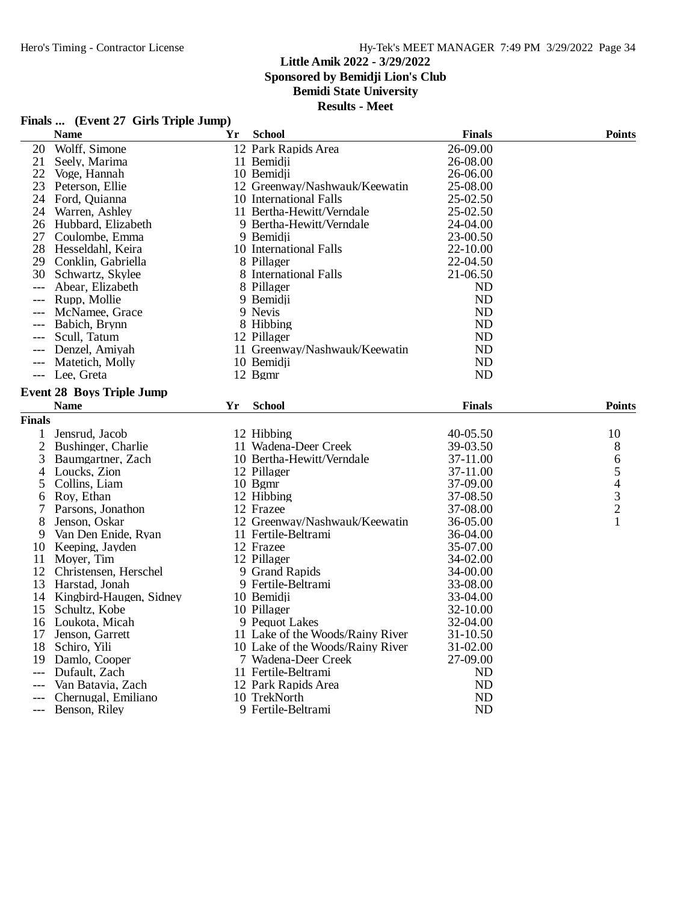## Hero's Timing - Contractor License Hy-Tek's MEET MANAGER 7:49 PM 3/29/2022 Page 34

## **Little Amik 2022 - 3/29/2022**

**Sponsored by Bemidji Lion's Club**

## **Bemidi State University**

|  |  | Finals  (Event 27 Girls Triple Jump) |
|--|--|--------------------------------------|
|--|--|--------------------------------------|

|               | <b>Name</b>                                 | Yr | <b>School</b>                                           | <b>Finals</b>          | <b>Points</b>         |
|---------------|---------------------------------------------|----|---------------------------------------------------------|------------------------|-----------------------|
| 20            | Wolff, Simone                               |    | 12 Park Rapids Area                                     | 26-09.00               |                       |
| 21            | Seely, Marima                               |    | 11 Bemidii                                              | 26-08.00               |                       |
| 22            | Voge, Hannah                                |    | 10 Bemidji                                              | 26-06.00               |                       |
| 23            | Peterson, Ellie                             |    | 12 Greenway/Nashwauk/Keewatin                           | 25-08.00               |                       |
| 24            | Ford, Quianna                               |    | 10 International Falls                                  | 25-02.50               |                       |
| 24            | Warren, Ashley                              |    | 11 Bertha-Hewitt/Verndale                               | 25-02.50               |                       |
| 26            | Hubbard, Elizabeth                          |    | 9 Bertha-Hewitt/Verndale                                | 24-04.00               |                       |
| 27            | Coulombe, Emma                              |    | 9 Bemidii                                               | 23-00.50               |                       |
| 28            | Hesseldahl, Keira                           |    | 10 International Falls                                  | 22-10.00               |                       |
| 29            | Conklin, Gabriella                          |    | 8 Pillager                                              | 22-04.50               |                       |
|               | 30 Schwartz, Skylee                         |    | 8 International Falls                                   | 21-06.50               |                       |
| $---$         | Abear, Elizabeth                            |    | 8 Pillager                                              | ND                     |                       |
| $---$         | Rupp, Mollie                                |    | 9 Bemidji                                               | ND                     |                       |
|               | McNamee, Grace                              |    | 9 Nevis                                                 | <b>ND</b>              |                       |
|               | Babich, Brynn                               |    | 8 Hibbing                                               | <b>ND</b>              |                       |
| $---$         | Scull, Tatum                                |    | 12 Pillager                                             | <b>ND</b>              |                       |
|               | Denzel, Amiyah                              |    | 11 Greenway/Nashwauk/Keewatin                           | <b>ND</b>              |                       |
| $---$         | Matetich, Molly                             |    | 10 Bemidji                                              | <b>ND</b>              |                       |
|               | --- Lee, Greta                              |    | 12 Bgmr                                                 | <b>ND</b>              |                       |
|               | <b>Event 28 Boys Triple Jump</b>            |    |                                                         |                        |                       |
|               | <b>Name</b>                                 | Yr | <b>School</b>                                           | <b>Finals</b>          | <b>Points</b>         |
| <b>Finals</b> |                                             |    |                                                         |                        |                       |
|               |                                             |    |                                                         |                        |                       |
|               |                                             |    |                                                         |                        |                       |
| $\mathbf{1}$  | Jensrud, Jacob                              |    | 12 Hibbing                                              | 40-05.50               | 10                    |
| 2             | Bushinger, Charlie                          |    | 11 Wadena-Deer Creek                                    | 39-03.50               | 8                     |
| 3             | Baumgartner, Zach                           |    | 10 Bertha-Hewitt/Verndale                               | 37-11.00               |                       |
| 4             | Loucks, Zion                                |    | 12 Pillager                                             | 37-11.00               |                       |
| 5             | Collins, Liam                               |    | 10 Bgmr                                                 | 37-09.00               |                       |
| 6             | Roy, Ethan                                  |    | 12 Hibbing                                              | 37-08.50               |                       |
| 7             | Parsons, Jonathon                           |    | 12 Frazee                                               | 37-08.00               | 65432<br>$\mathbf{1}$ |
| 8<br>9        | Jenson, Oskar                               |    | 12 Greenway/Nashwauk/Keewatin                           | 36-05.00               |                       |
|               | Van Den Enide, Ryan                         |    | 11 Fertile-Beltrami<br>12 Frazee                        | 36-04.00               |                       |
|               | 10 Keeping, Jayden                          |    |                                                         | 35-07.00               |                       |
| 11<br>12      | Moyer, Tim                                  |    | 12 Pillager                                             | 34-02.00               |                       |
| 13            | Christensen, Herschel                       |    | 9 Grand Rapids                                          | 34-00.00<br>33-08.00   |                       |
|               | Harstad, Jonah                              |    | 9 Fertile-Beltrami<br>10 Bemidji                        | 33-04.00               |                       |
| 15            | 14 Kingbird-Haugen, Sidney<br>Schultz, Kobe |    | 10 Pillager                                             | 32-10.00               |                       |
| 16            | Loukota, Micah                              |    | 9 Pequot Lakes                                          | 32-04.00               |                       |
| 17            | Jenson, Garrett                             |    | 11 Lake of the Woods/Rainy River                        | 31-10.50               |                       |
| 18            | Schiro, Yili                                |    |                                                         | 31-02.00               |                       |
| 19            | Damlo, Cooper                               |    | 10 Lake of the Woods/Rainy River<br>7 Wadena-Deer Creek | 27-09.00               |                       |
| $---$         | Dufault, Zach                               |    | 11 Fertile-Beltrami                                     | <b>ND</b>              |                       |
|               | Van Batavia, Zach                           |    | 12 Park Rapids Area                                     | <b>ND</b>              |                       |
|               | Chernugal, Emiliano                         |    | 10 TrekNorth                                            | <b>ND</b><br><b>ND</b> |                       |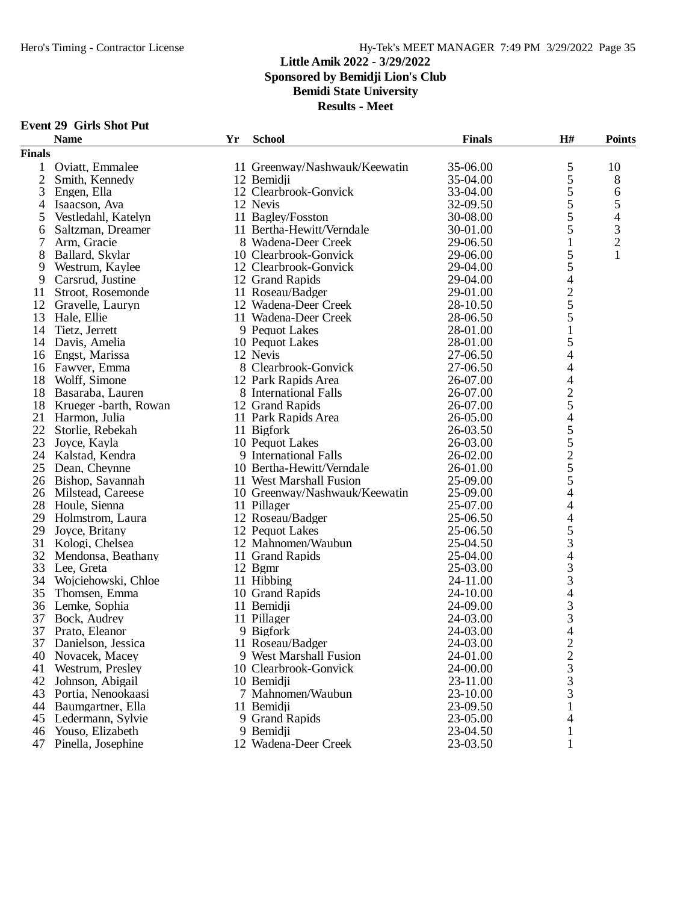## **Little Amik 2022 - 3/29/2022 Sponsored by Bemidji Lion's Club Bemidi State University**

**Results - Meet**

### **Event 29 Girls Shot Put**

|                | <b>Name</b>           | Yr | <b>School</b>                 | <b>Finals</b> | H#                       | <b>Points</b>            |
|----------------|-----------------------|----|-------------------------------|---------------|--------------------------|--------------------------|
| <b>Finals</b>  |                       |    |                               |               |                          |                          |
| 1              | Oviatt, Emmalee       |    | 11 Greenway/Nashwauk/Keewatin | 35-06.00      | 5                        | 10                       |
| $\overline{2}$ | Smith, Kennedy        |    | 12 Bemidji                    | 35-04.00      | 5                        | 8                        |
| 3              | Engen, Ella           |    | 12 Clearbrook-Gonvick         | 33-04.00      | 5                        | 6                        |
| $\overline{4}$ | Isaacson, Ava         |    | 12 Nevis                      | 32-09.50      | 5                        | 5                        |
| 5              | Vestledahl, Katelyn   |    | 11 Bagley/Fosston             | 30-08.00      | 5                        | $\overline{\mathcal{A}}$ |
| 6              | Saltzman, Dreamer     |    | 11 Bertha-Hewitt/Verndale     | 30-01.00      | 5                        | $\mathfrak 3$            |
| 7              | Arm, Gracie           |    | 8 Wadena-Deer Creek           | 29-06.50      | $\mathbf{1}$             | $\overline{c}$           |
| 8              | Ballard, Skylar       |    | 10 Clearbrook-Gonvick         | 29-06.00      | 5                        | $\mathbf{1}$             |
| 9              | Westrum, Kaylee       |    | 12 Clearbrook-Gonvick         | 29-04.00      | 5                        |                          |
| 9              | Carsrud, Justine      |    | 12 Grand Rapids               | 29-04.00      | $\overline{\mathcal{L}}$ |                          |
| 11             | Stroot, Rosemonde     |    | 11 Roseau/Badger              | 29-01.00      | $rac{2}{5}$              |                          |
| 12             | Gravelle, Lauryn      |    | 12 Wadena-Deer Creek          | 28-10.50      |                          |                          |
| 13             | Hale, Ellie           |    | 11 Wadena-Deer Creek          | 28-06.50      | 5                        |                          |
| 14             | Tietz, Jerrett        |    | 9 Pequot Lakes                | 28-01.00      | 1                        |                          |
| 14             | Davis, Amelia         |    | 10 Pequot Lakes               | 28-01.00      | 5                        |                          |
| 16             | Engst, Marissa        |    | 12 Nevis                      | 27-06.50      | $\overline{\mathcal{L}}$ |                          |
| 16             | Fawver, Emma          |    | 8 Clearbrook-Gonvick          | 27-06.50      | 4                        |                          |
| 18             | Wolff, Simone         |    | 12 Park Rapids Area           | 26-07.00      | 4                        |                          |
| 18             | Basaraba, Lauren      |    | 8 International Falls         | 26-07.00      |                          |                          |
| 18             | Krueger -barth, Rowan |    | 12 Grand Rapids               | 26-07.00      | $\frac{2}{5}$            |                          |
| 21             | Harmon, Julia         |    | 11 Park Rapids Area           | 26-05.00      | $\overline{4}$           |                          |
| 22             | Storlie, Rebekah      |    | 11 Bigfork                    | 26-03.50      | 5                        |                          |
| 23             | Joyce, Kayla          |    | 10 Pequot Lakes               | 26-03.00      | 5                        |                          |
| 24             | Kalstad, Kendra       |    | 9 International Falls         | 26-02.00      | $\overline{c}$           |                          |
| 25             | Dean, Cheynne         |    | 10 Bertha-Hewitt/Verndale     | 26-01.00      | 5                        |                          |
| 26             | Bishop, Savannah      |    | 11 West Marshall Fusion       | 25-09.00      | 5                        |                          |
| 26             | Milstead, Careese     |    | 10 Greenway/Nashwauk/Keewatin | 25-09.00      | 4                        |                          |
| 28             | Houle, Sienna         |    | 11 Pillager                   | 25-07.00      | $\overline{\mathcal{L}}$ |                          |
| 29             | Holmstrom, Laura      |    | 12 Roseau/Badger              | 25-06.50      | 4                        |                          |
| 29             | Joyce, Britany        |    | 12 Pequot Lakes               | 25-06.50      | 5                        |                          |
| 31             | Kologi, Chelsea       |    | 12 Mahnomen/Waubun            | 25-04.50      | 3                        |                          |
|                | 32 Mendonsa, Beathany |    | 11 Grand Rapids               | 25-04.00      | 4                        |                          |
| 33             | Lee, Greta            |    | 12 Bgmr                       | 25-03.00      | 3                        |                          |
| 34             | Wojciehowski, Chloe   |    | 11 Hibbing                    | 24-11.00      | 3                        |                          |
| 35             | Thomsen, Emma         |    | 10 Grand Rapids               | 24-10.00      | $\overline{\mathcal{L}}$ |                          |
| 36             | Lemke, Sophia         |    | 11 Bemidji                    | 24-09.00      | 3                        |                          |
| 37             | Bock, Audrey          |    | 11 Pillager                   | 24-03.00      | $\frac{3}{4}$            |                          |
| 37             | Prato, Eleanor        |    | 9 Bigfork                     | 24-03.00      |                          |                          |
|                | 37 Danielson, Jessica |    | 11 Roseau/Badger              | 24-03.00      | $\overline{2}$           |                          |
| 40             | Novacek, Macey        |    | 9 West Marshall Fusion        | 24-01.00      | $\overline{\mathbf{c}}$  |                          |
| 41             | Westrum, Presley      |    | 10 Clearbrook-Gonvick         | 24-00.00      | 3                        |                          |
| 42             | Johnson, Abigail      |    | 10 Bemidji                    | 23-11.00      | 3                        |                          |
| 43             | Portia, Nenookaasi    |    | 7 Mahnomen/Waubun             | 23-10.00      | 3                        |                          |
| 44             | Baumgartner, Ella     |    | 11 Bemidji                    | 23-09.50      |                          |                          |
| 45             | Ledermann, Sylvie     |    | 9 Grand Rapids                | 23-05.00      | 4                        |                          |
| 46             | Youso, Elizabeth      |    | 9 Bemidji                     | 23-04.50      |                          |                          |
| 47             | Pinella, Josephine    |    | 12 Wadena-Deer Creek          | 23-03.50      | 1                        |                          |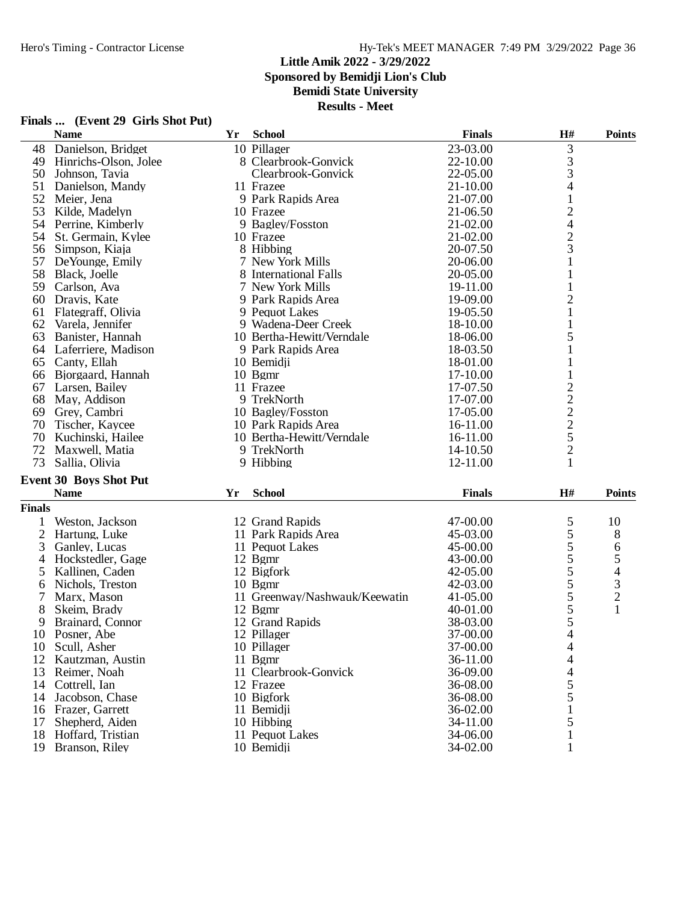### **Little Amik 2022 - 3/29/2022 Sponsored by Bemidji Lion's Club**

**Bemidi State University**

**Results - Meet**

|               | <b>Name</b>                                  | Yr | <b>School</b>                 | <b>Finals</b> | $\mathbf{H}$ #                 | <b>Points</b>  |
|---------------|----------------------------------------------|----|-------------------------------|---------------|--------------------------------|----------------|
| 48            | Danielson, Bridget                           |    | 10 Pillager                   | 23-03.00      | $\mathfrak{Z}$                 |                |
| 49            | Hinrichs-Olson, Jolee                        |    | 8 Clearbrook-Gonvick          | 22-10.00      |                                |                |
| 50            | Johnson, Tavia                               |    | Clearbrook-Gonvick            | 22-05.00      | $\frac{3}{3}$                  |                |
| 51            | Danielson, Mandy                             |    | 11 Frazee                     | 21-10.00      | 4                              |                |
| 52            | Meier, Jena                                  |    | 9 Park Rapids Area            | 21-07.00      | $\mathbf{1}$                   |                |
| 53            | Kilde, Madelyn                               |    | 10 Frazee                     | 21-06.50      | $\overline{c}$                 |                |
| 54            | Perrine, Kimberly                            |    | 9 Bagley/Fosston              | 21-02.00      | $\overline{4}$                 |                |
| 54            | St. Germain, Kylee                           |    | 10 Frazee                     | 21-02.00      |                                |                |
| 56            | Simpson, Kiaja                               |    | 8 Hibbing                     | 20-07.50      | $\frac{2}{3}$                  |                |
| 57            | De Younge, Emily                             |    | 7 New York Mills              | 20-06.00      | 1                              |                |
| 58            | Black, Joelle                                |    | 8 International Falls         | 20-05.00      | $\mathbf{1}$                   |                |
| 59            | Carlson, Ava                                 |    | 7 New York Mills              | 19-11.00      | $\mathbf{1}$                   |                |
| 60            | Dravis, Kate                                 |    | 9 Park Rapids Area            | 19-09.00      | $\overline{c}$                 |                |
| 61            | Flategraff, Olivia                           |    | 9 Pequot Lakes                | 19-05.50      | $\mathbf{1}$                   |                |
| 62            | Varela, Jennifer                             |    | 9 Wadena-Deer Creek           | 18-10.00      | 1                              |                |
| 63            | Banister, Hannah                             |    | 10 Bertha-Hewitt/Verndale     | 18-06.00      | 5                              |                |
| 64            | Laferriere, Madison                          |    | 9 Park Rapids Area            | 18-03.50      | 1                              |                |
| 65            | Canty, Ellah                                 |    | 10 Bemidji                    | 18-01.00      | 1                              |                |
| 66            | Bjorgaard, Hannah                            |    | $10$ Bgmr                     | 17-10.00      | $\mathbf{1}$                   |                |
| 67            | Larsen, Bailey                               |    | 11 Frazee                     | 17-07.50      |                                |                |
| 68            | May, Addison                                 |    | 9 TrekNorth                   | 17-07.00      |                                |                |
| 69            | Grey, Cambri                                 |    | 10 Bagley/Fosston             | 17-05.00      |                                |                |
| 70            | Tischer, Kaycee                              |    | 10 Park Rapids Area           | 16-11.00      |                                |                |
| 70            | Kuchinski, Hailee                            |    | 10 Bertha-Hewitt/Verndale     | 16-11.00      | $\frac{2}{2}$<br>$\frac{2}{5}$ |                |
| 72            | Maxwell, Matia                               |    | 9 TrekNorth                   | 14-10.50      | $\overline{c}$                 |                |
| 73            | Sallia, Olivia                               |    | 9 Hibbing                     | 12-11.00      | 1                              |                |
|               |                                              |    |                               |               |                                |                |
|               | <b>Event 30 Boys Shot Put</b><br><b>Name</b> |    | <b>School</b>                 | <b>Finals</b> | H#                             |                |
|               |                                              | Yr |                               |               |                                | <b>Points</b>  |
| <b>Finals</b> |                                              |    |                               |               |                                |                |
| 1             | Weston, Jackson                              |    | 12 Grand Rapids               | 47-00.00      | 5                              | 10             |
| 2             | Hartung, Luke                                |    | 11 Park Rapids Area           | 45-03.00      | 5                              | 8              |
| 3             | Ganley, Lucas                                |    | 11 Pequot Lakes               | 45-00.00      | 5                              | 6              |
| 4             | Hockstedler, Gage                            |    | 12 Bgmr                       | 43-00.00      | 5                              | 5              |
| 5             | Kallinen, Caden                              |    | 12 Bigfork                    | 42-05.00      |                                | $\overline{4}$ |
| 6             | Nichols, Treston                             |    | $10$ Bgmr                     | 42-03.00      | $\frac{5}{5}$                  | $\frac{3}{2}$  |
| 7             | Marx, Mason                                  |    | 11 Greenway/Nashwauk/Keewatin | 41-05.00      |                                |                |
| 8             | Skeim, Brady                                 |    | 12 Bgmr                       | 40-01.00      | 5                              | $\mathbf{1}$   |
| 9             | Brainard, Connor                             |    | 12 Grand Rapids               | 38-03.00      | 5                              |                |
| 10            | Posner, Abe                                  |    | 12 Pillager                   | 37-00.00      | 4                              |                |
| 10            | Scull, Asher                                 |    | 10 Pillager                   | 37-00.00      | 4                              |                |
| 12            | Kautzman, Austin                             |    | 11 $Bgmr$                     | 36-11.00      | 4                              |                |
| 13            | Reimer, Noah                                 |    | 11 Clearbrook-Gonvick         | 36-09.00      | 4                              |                |
| 14            | Cottrell, Ian                                |    | 12 Frazee                     | 36-08.00      | 5                              |                |
| 14            | Jacobson, Chase                              |    | 10 Bigfork                    | 36-08.00      | 5                              |                |
| 16            | Frazer, Garrett                              |    | 11 Bemidji                    | 36-02.00      | $\mathbf{1}$                   |                |
| 17            | Shepherd, Aiden                              |    | 10 Hibbing                    | 34-11.00      | 5                              |                |
| 18            | Hoffard, Tristian                            |    | 11 Pequot Lakes               | 34-06.00      | 1                              |                |
| 19            | Branson, Riley                               |    | 10 Bemidji                    | 34-02.00      | 1                              |                |

## **Finals ... (Event 29 Girls Shot Put)**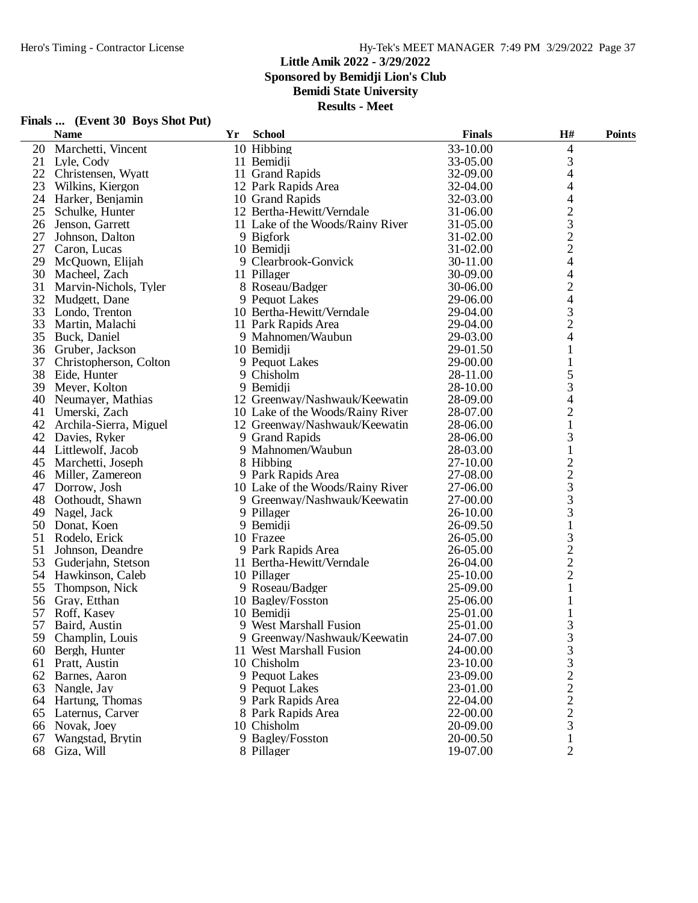**Sponsored by Bemidji Lion's Club**

**Bemidi State University**

**Results - Meet**

|    | <b>Name</b>            | Yr | <b>School</b>                    | <b>Finals</b> | H#                       | <b>Points</b> |
|----|------------------------|----|----------------------------------|---------------|--------------------------|---------------|
| 20 | Marchetti, Vincent     |    | 10 Hibbing                       | 33-10.00      | 4                        |               |
|    | 21 Lyle, Cody          |    | 11 Bemidji                       | 33-05.00      | 3                        |               |
|    | 22 Christensen, Wyatt  |    | 11 Grand Rapids                  | 32-09.00      | 4                        |               |
| 23 | Wilkins, Kiergon       |    | 12 Park Rapids Area              | 32-04.00      | 4                        |               |
| 24 | Harker, Benjamin       |    | 10 Grand Rapids                  | 32-03.00      | $\overline{\mathcal{L}}$ |               |
| 25 | Schulke, Hunter        |    | 12 Bertha-Hewitt/Verndale        | 31-06.00      | $\overline{c}$           |               |
| 26 | Jenson, Garrett        |    | 11 Lake of the Woods/Rainy River | 31-05.00      | 3                        |               |
| 27 | Johnson, Dalton        |    | 9 Bigfork                        | 31-02.00      | $\overline{c}$           |               |
| 27 | Caron, Lucas           |    | 10 Bemidii                       | 31-02.00      | $\overline{c}$           |               |
| 29 | McQuown, Elijah        |    | 9 Clearbrook-Gonvick             | 30-11.00      | $\overline{\mathcal{L}}$ |               |
| 30 | Macheel, Zach          |    | 11 Pillager                      | 30-09.00      | $\overline{\mathcal{L}}$ |               |
| 31 | Marvin-Nichols, Tyler  |    | 8 Roseau/Badger                  | 30-06.00      | $\overline{c}$           |               |
| 32 | Mudgett, Dane          |    | 9 Pequot Lakes                   | 29-06.00      | 4                        |               |
| 33 | Londo, Trenton         |    | 10 Bertha-Hewitt/Verndale        | 29-04.00      | 3                        |               |
| 33 | Martin, Malachi        |    | 11 Park Rapids Area              | 29-04.00      | $\overline{c}$           |               |
| 35 | Buck, Daniel           |    | 9 Mahnomen/Waubun                | 29-03.00      | 4                        |               |
| 36 | Gruber, Jackson        |    | 10 Bemidji                       | 29-01.50      | $\mathbf{1}$             |               |
| 37 | Christopherson, Colton |    | 9 Pequot Lakes                   | 29-00.00      | $\mathbf{1}$             |               |
| 38 | Eide, Hunter           |    | 9 Chisholm                       | 28-11.00      | 5                        |               |
| 39 | Meyer, Kolton          |    | 9 Bemidji                        | 28-10.00      | 3                        |               |
| 40 | Neumayer, Mathias      |    | 12 Greenway/Nashwauk/Keewatin    | 28-09.00      | 4                        |               |
| 41 |                        |    |                                  | 28-07.00      | $\mathbf{2}$             |               |
|    | Umerski, Zach          |    | 10 Lake of the Woods/Rainy River |               |                          |               |
| 42 | Archila-Sierra, Miguel |    | 12 Greenway/Nashwauk/Keewatin    | 28-06.00      | $\mathbf{1}$             |               |
|    | 42 Davies, Ryker       |    | 9 Grand Rapids                   | 28-06.00      | 3                        |               |
|    | 44 Littlewolf, Jacob   |    | 9 Mahnomen/Waubun                | 28-03.00      | $\mathbf{1}$             |               |
| 45 | Marchetti, Joseph      |    | 8 Hibbing                        | 27-10.00      | $\overline{c}$           |               |
| 46 | Miller, Zamereon       |    | 9 Park Rapids Area               | 27-08.00      | $\overline{c}$           |               |
| 47 | Dorrow, Josh           |    | 10 Lake of the Woods/Rainy River | 27-06.00      | 3                        |               |
| 48 | Oothoudt, Shawn        |    | 9 Greenway/Nashwauk/Keewatin     | 27-00.00      | 3                        |               |
| 49 | Nagel, Jack            |    | 9 Pillager                       | 26-10.00      | 3                        |               |
| 50 | Donat, Koen            |    | 9 Bemidji                        | 26-09.50      | $\mathbf{1}$             |               |
| 51 | Rodelo, Erick          |    | 10 Frazee                        | 26-05.00      | 3                        |               |
| 51 | Johnson, Deandre       |    | 9 Park Rapids Area               | 26-05.00      | $\overline{c}$           |               |
| 53 | Guderjahn, Stetson     |    | 11 Bertha-Hewitt/Verndale        | 26-04.00      | $\overline{c}$           |               |
| 54 | Hawkinson, Caleb       |    | 10 Pillager                      | 25-10.00      | $\overline{c}$           |               |
| 55 | Thompson, Nick         |    | 9 Roseau/Badger                  | 25-09.00      | $\mathbf{1}$             |               |
| 56 | Gray, Etthan           |    | 10 Bagley/Fosston                | 25-06.00      | $\mathbf{1}$             |               |
| 57 | Roff, Kasey            |    | 10 Bemidii                       | 25-01.00      | 1                        |               |
| 57 | Baird, Austin          |    | 9 West Marshall Fusion           | 25-01.00      | 3                        |               |
| 59 | Champlin, Louis        |    | 9 Greenway/Nashwauk/Keewatin     | 24-07.00      | 3                        |               |
|    | 60 Bergh, Hunter       |    | 11 West Marshall Fusion          | 24-00.00      | 3                        |               |
| 61 | Pratt, Austin          |    | 10 Chisholm                      | 23-10.00      | 3                        |               |
|    | 62 Barnes, Aaron       |    | 9 Pequot Lakes                   | 23-09.00      | $\overline{\mathbf{c}}$  |               |
|    | 63 Nangle, Jay         |    | 9 Pequot Lakes                   | 23-01.00      |                          |               |
|    | 64 Hartung, Thomas     |    | 9 Park Rapids Area               | 22-04.00      | $\frac{2}{2}$            |               |
| 65 | Laternus, Carver       |    | 8 Park Rapids Area               | 22-00.00      |                          |               |
| 66 | Novak, Joey            |    | 10 Chisholm                      | 20-09.00      | 3                        |               |
| 67 | Wangstad, Brytin       |    | 9 Bagley/Fosston                 | 20-00.50      | 1                        |               |
| 68 | Giza, Will             |    | 8 Pillager                       | 19-07.00      | $\overline{2}$           |               |
|    |                        |    |                                  |               |                          |               |

## **Finals ... (Event 30 Boys Shot Put)**